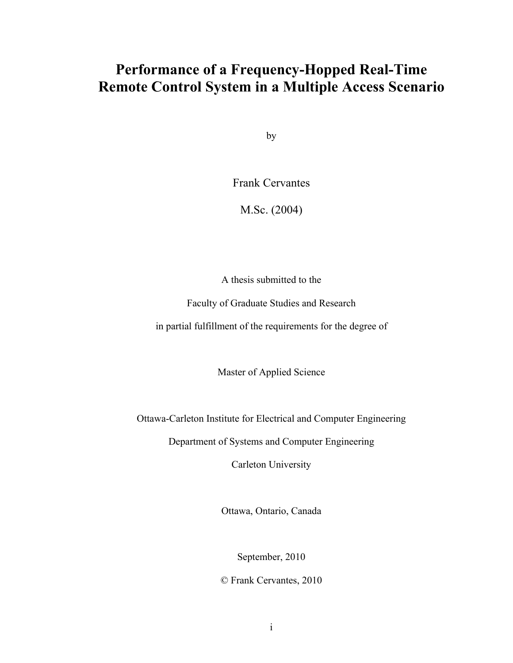### **Performance of a Frequency-Hopped Real-Time Remote Control System in a Multiple Access Scenario**

by

Frank Cervantes

M.Sc. (2004)

A thesis submitted to the

Faculty of Graduate Studies and Research

in partial fulfillment of the requirements for the degree of

Master of Applied Science

Ottawa-Carleton Institute for Electrical and Computer Engineering

Department of Systems and Computer Engineering

Carleton University

Ottawa, Ontario, Canada

September, 2010

© Frank Cervantes, 2010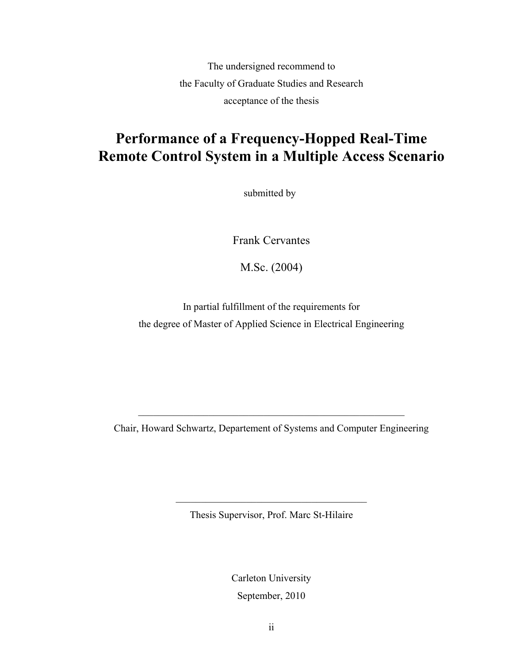The undersigned recommend to the Faculty of Graduate Studies and Research acceptance of the thesis

### **Performance of a Frequency-Hopped Real-Time Remote Control System in a Multiple Access Scenario**

submitted by

Frank Cervantes

M.Sc. (2004)

In partial fulfillment of the requirements for the degree of Master of Applied Science in Electrical Engineering

Chair, Howard Schwartz, Departement of Systems and Computer Engineering

 $\mathcal{L}_\text{max}$  , and the contract of the contract of the contract of the contract of the contract of the contract of the contract of the contract of the contract of the contract of the contract of the contract of the contr

Thesis Supervisor, Prof. Marc St-Hilaire

 $\mathcal{L}_\text{max}$  and  $\mathcal{L}_\text{max}$  and  $\mathcal{L}_\text{max}$  and  $\mathcal{L}_\text{max}$ 

Carleton University September, 2010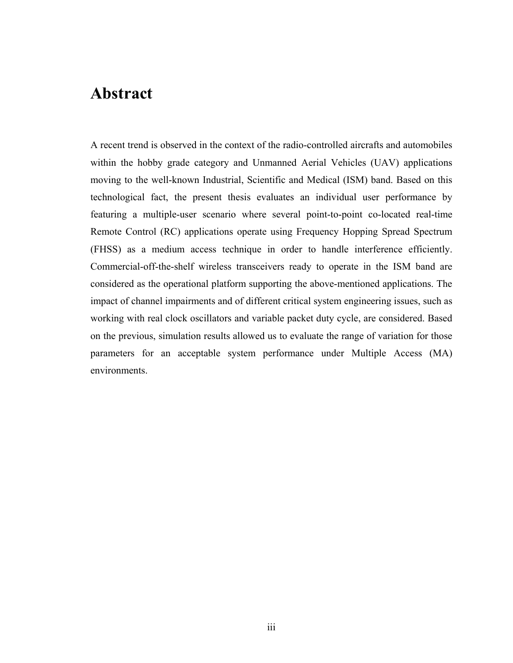### <span id="page-2-0"></span>**Abstract**

A recent trend is observed in the context of the radio-controlled aircrafts and automobiles within the hobby grade category and Unmanned Aerial Vehicles (UAV) applications moving to the well-known Industrial, Scientific and Medical (ISM) band. Based on this technological fact, the present thesis evaluates an individual user performance by featuring a multiple-user scenario where several point-to-point co-located real-time Remote Control (RC) applications operate using Frequency Hopping Spread Spectrum (FHSS) as a medium access technique in order to handle interference efficiently. Commercial-off-the-shelf wireless transceivers ready to operate in the ISM band are considered as the operational platform supporting the above-mentioned applications. The impact of channel impairments and of different critical system engineering issues, such as working with real clock oscillators and variable packet duty cycle, are considered. Based on the previous, simulation results allowed us to evaluate the range of variation for those parameters for an acceptable system performance under Multiple Access (MA) environments.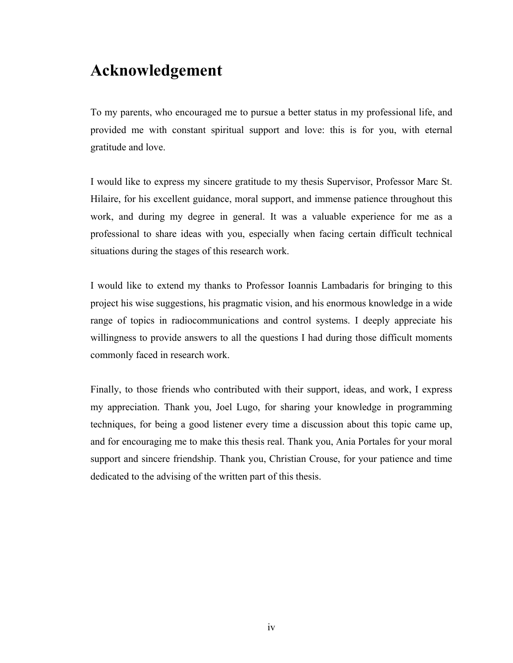### <span id="page-3-0"></span>**Acknowledgement**

To my parents, who encouraged me to pursue a better status in my professional life, and provided me with constant spiritual support and love: this is for you, with eternal gratitude and love.

I would like to express my sincere gratitude to my thesis Supervisor, Professor Marc St. Hilaire, for his excellent guidance, moral support, and immense patience throughout this work, and during my degree in general. It was a valuable experience for me as a professional to share ideas with you, especially when facing certain difficult technical situations during the stages of this research work.

I would like to extend my thanks to Professor Ioannis Lambadaris for bringing to this project his wise suggestions, his pragmatic vision, and his enormous knowledge in a wide range of topics in radiocommunications and control systems. I deeply appreciate his willingness to provide answers to all the questions I had during those difficult moments commonly faced in research work.

Finally, to those friends who contributed with their support, ideas, and work, I express my appreciation. Thank you, Joel Lugo, for sharing your knowledge in programming techniques, for being a good listener every time a discussion about this topic came up, and for encouraging me to make this thesis real. Thank you, Ania Portales for your moral support and sincere friendship. Thank you, Christian Crouse, for your patience and time dedicated to the advising of the written part of this thesis.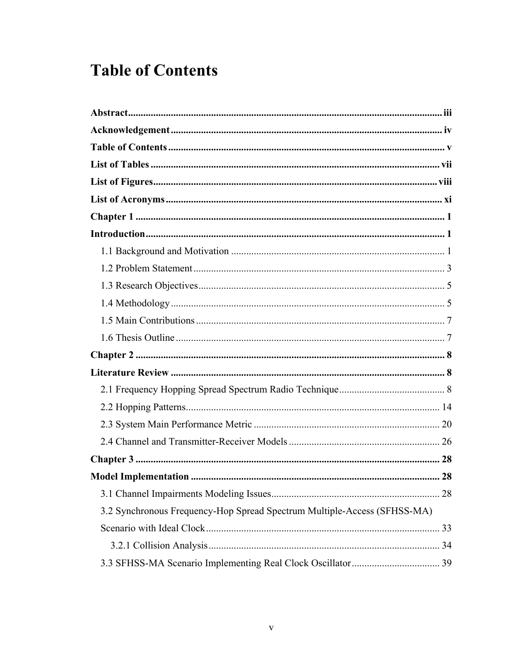## <span id="page-4-0"></span>**Table of Contents**

| 3.2 Synchronous Frequency-Hop Spread Spectrum Multiple-Access (SFHSS-MA) |  |
|--------------------------------------------------------------------------|--|
|                                                                          |  |
|                                                                          |  |
|                                                                          |  |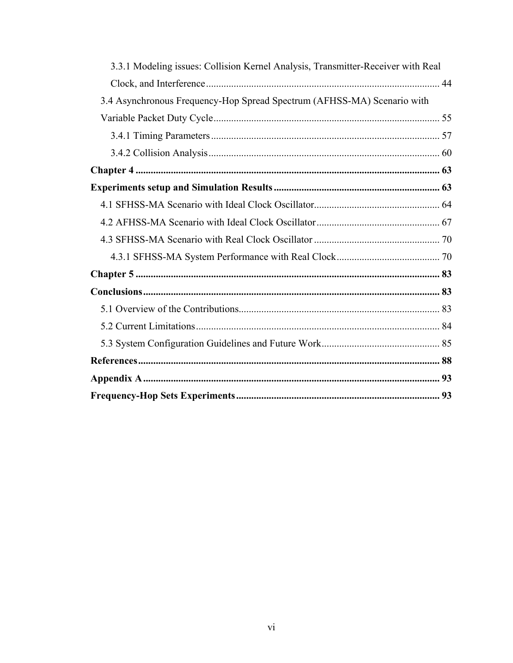| 3.3.1 Modeling issues: Collision Kernel Analysis, Transmitter-Receiver with Real |  |
|----------------------------------------------------------------------------------|--|
|                                                                                  |  |
| 3.4 Asynchronous Frequency-Hop Spread Spectrum (AFHSS-MA) Scenario with          |  |
|                                                                                  |  |
|                                                                                  |  |
|                                                                                  |  |
|                                                                                  |  |
|                                                                                  |  |
|                                                                                  |  |
|                                                                                  |  |
|                                                                                  |  |
|                                                                                  |  |
|                                                                                  |  |
|                                                                                  |  |
|                                                                                  |  |
|                                                                                  |  |
|                                                                                  |  |
|                                                                                  |  |
|                                                                                  |  |
|                                                                                  |  |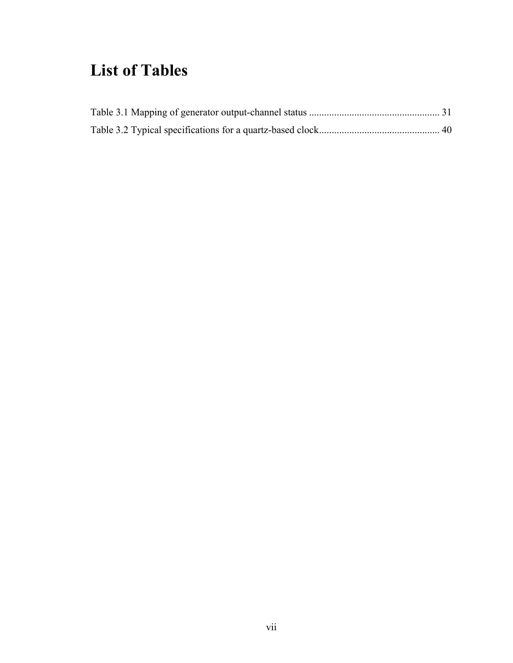## <span id="page-6-0"></span>**List of Tables**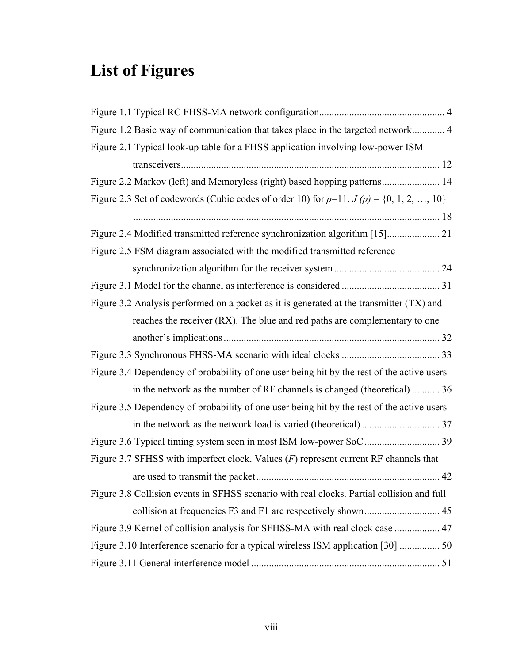# <span id="page-7-0"></span>**List of Figures**

| Figure 1.2 Basic way of communication that takes place in the targeted network 4              |
|-----------------------------------------------------------------------------------------------|
| Figure 2.1 Typical look-up table for a FHSS application involving low-power ISM               |
|                                                                                               |
| Figure 2.2 Markov (left) and Memoryless (right) based hopping patterns 14                     |
| Figure 2.3 Set of codewords (Cubic codes of order 10) for $p=11$ . $J(p) = \{0, 1, 2, , 10\}$ |
|                                                                                               |
| Figure 2.4 Modified transmitted reference synchronization algorithm [15] 21                   |
| Figure 2.5 FSM diagram associated with the modified transmitted reference                     |
|                                                                                               |
|                                                                                               |
| Figure 3.2 Analysis performed on a packet as it is generated at the transmitter (TX) and      |
| reaches the receiver (RX). The blue and red paths are complementary to one                    |
|                                                                                               |
|                                                                                               |
| Figure 3.4 Dependency of probability of one user being hit by the rest of the active users    |
| in the network as the number of RF channels is changed (theoretical)  36                      |
| Figure 3.5 Dependency of probability of one user being hit by the rest of the active users    |
|                                                                                               |
|                                                                                               |
| Figure 3.7 SFHSS with imperfect clock. Values $(F)$ represent current RF channels that        |
|                                                                                               |
| Figure 3.8 Collision events in SFHSS scenario with real clocks. Partial collision and full    |
|                                                                                               |
| Figure 3.9 Kernel of collision analysis for SFHSS-MA with real clock case  47                 |
| Figure 3.10 Interference scenario for a typical wireless ISM application [30]  50             |
|                                                                                               |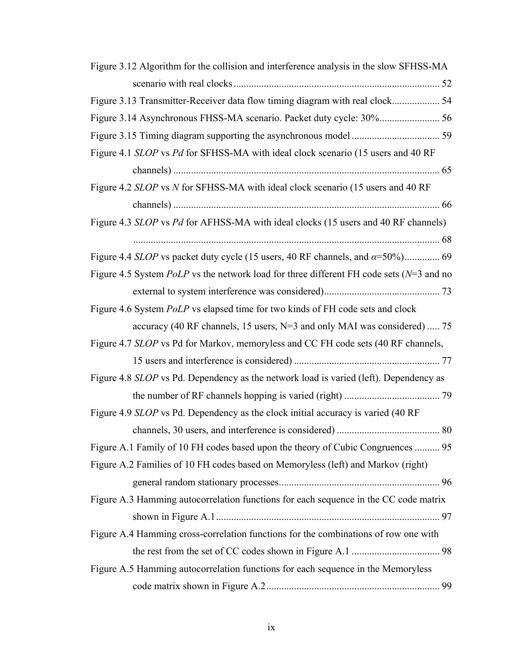| Figure 3.12 Algorithm for the collision and interference analysis in the slow SFHSS-MA       |
|----------------------------------------------------------------------------------------------|
|                                                                                              |
| Figure 3.13 Transmitter-Receiver data flow timing diagram with real clock 54                 |
| Figure 3.14 Asynchronous FHSS-MA scenario. Packet duty cycle: 30% 56                         |
|                                                                                              |
| Figure 4.1 SLOP vs Pd for SFHSS-MA with ideal clock scenario (15 users and 40 RF             |
|                                                                                              |
| Figure 4.2 SLOP vs N for SFHSS-MA with ideal clock scenario (15 users and 40 RF              |
|                                                                                              |
| Figure 4.3 SLOP vs Pd for AFHSS-MA with ideal clocks (15 users and 40 RF channels)           |
|                                                                                              |
|                                                                                              |
| Figure 4.5 System $PolP$ vs the network load for three different FH code sets ( $N=3$ and no |
|                                                                                              |
| Figure 4.6 System <i>PoLP</i> vs elapsed time for two kinds of FH code sets and clock        |
| accuracy (40 RF channels, 15 users, N=3 and only MAI was considered)  75                     |
| Figure 4.7 SLOP vs Pd for Markov, memoryless and CC FH code sets (40 RF channels,            |
|                                                                                              |
| Figure 4.8 SLOP vs Pd. Dependency as the network load is varied (left). Dependency as        |
|                                                                                              |
| Figure 4.9 SLOP vs Pd. Dependency as the clock initial accuracy is varied (40 RF)            |
|                                                                                              |
| Figure A.1 Family of 10 FH codes based upon the theory of Cubic Congruences  95              |
| Figure A.2 Families of 10 FH codes based on Memoryless (left) and Markov (right)             |
|                                                                                              |
| Figure A.3 Hamming autocorrelation functions for each sequence in the CC code matrix         |
|                                                                                              |
| Figure A.4 Hamming cross-correlation functions for the combinations of row one with          |
|                                                                                              |
| Figure A.5 Hamming autocorrelation functions for each sequence in the Memoryless             |
|                                                                                              |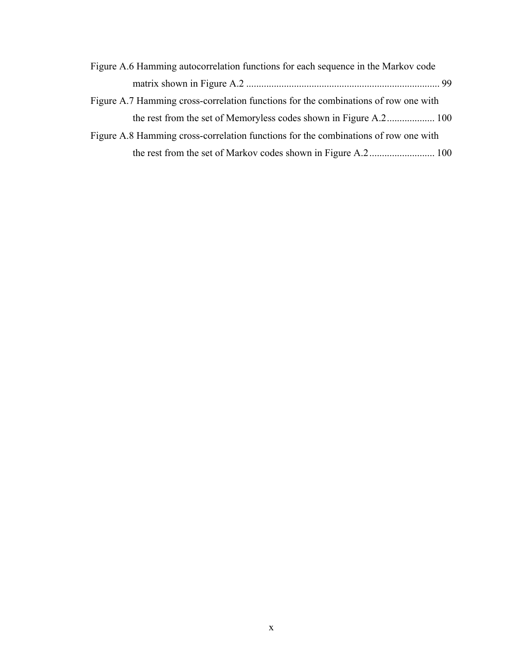| Figure A.6 Hamming autocorrelation functions for each sequence in the Markov code   |
|-------------------------------------------------------------------------------------|
|                                                                                     |
| Figure A.7 Hamming cross-correlation functions for the combinations of row one with |
|                                                                                     |
| Figure A.8 Hamming cross-correlation functions for the combinations of row one with |
|                                                                                     |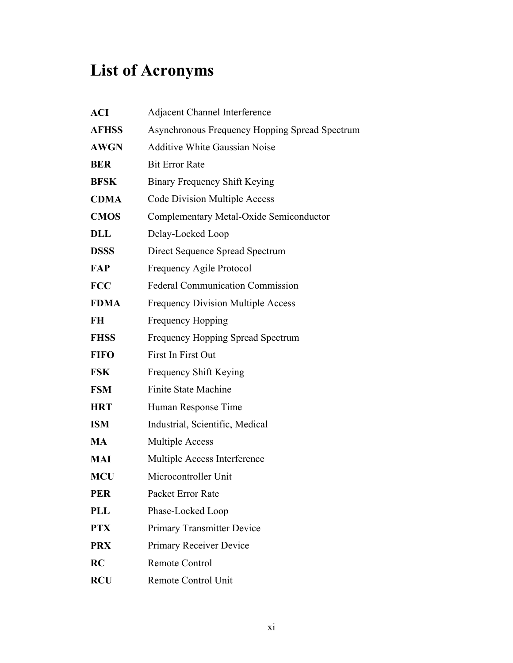# <span id="page-10-0"></span>**List of Acronyms**

| <b>ACI</b>   | <b>Adjacent Channel Interference</b>                  |
|--------------|-------------------------------------------------------|
| <b>AFHSS</b> | <b>Asynchronous Frequency Hopping Spread Spectrum</b> |
| <b>AWGN</b>  | <b>Additive White Gaussian Noise</b>                  |
| <b>BER</b>   | <b>Bit Error Rate</b>                                 |
| <b>BFSK</b>  | Binary Frequency Shift Keying                         |
| <b>CDMA</b>  | Code Division Multiple Access                         |
| <b>CMOS</b>  | Complementary Metal-Oxide Semiconductor               |
| DLL          | Delay-Locked Loop                                     |
| <b>DSSS</b>  | Direct Sequence Spread Spectrum                       |
| FAP          | Frequency Agile Protocol                              |
| <b>FCC</b>   | <b>Federal Communication Commission</b>               |
| <b>FDMA</b>  | <b>Frequency Division Multiple Access</b>             |
| FH           | Frequency Hopping                                     |
| <b>FHSS</b>  | Frequency Hopping Spread Spectrum                     |
| <b>FIFO</b>  | First In First Out                                    |
| <b>FSK</b>   | Frequency Shift Keying                                |
| <b>FSM</b>   | <b>Finite State Machine</b>                           |
| <b>HRT</b>   | Human Response Time                                   |
| <b>ISM</b>   | Industrial, Scientific, Medical                       |
| <b>MA</b>    | <b>Multiple Access</b>                                |
| MAI          | Multiple Access Interference                          |
| <b>MCU</b>   | Microcontroller Unit                                  |
| <b>PER</b>   | Packet Error Rate                                     |
| <b>PLL</b>   | Phase-Locked Loop                                     |
| <b>PTX</b>   | <b>Primary Transmitter Device</b>                     |
| <b>PRX</b>   | Primary Receiver Device                               |
| RC           | Remote Control                                        |
| <b>RCU</b>   | Remote Control Unit                                   |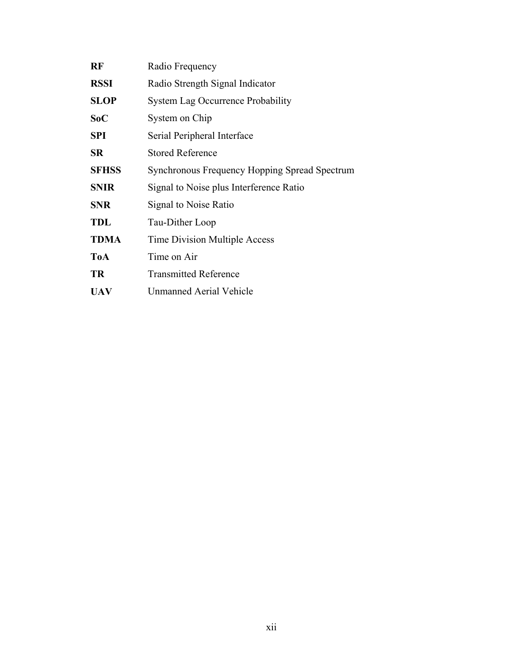| RF           | Radio Frequency                               |
|--------------|-----------------------------------------------|
| <b>RSSI</b>  | Radio Strength Signal Indicator               |
| <b>SLOP</b>  | <b>System Lag Occurrence Probability</b>      |
| SoC          | System on Chip                                |
| <b>SPI</b>   | Serial Peripheral Interface                   |
| <b>SR</b>    | <b>Stored Reference</b>                       |
| <b>SFHSS</b> | Synchronous Frequency Hopping Spread Spectrum |
| <b>SNIR</b>  | Signal to Noise plus Interference Ratio       |
| <b>SNR</b>   | Signal to Noise Ratio                         |
| <b>TDL</b>   | Tau-Dither Loop                               |
| <b>TDMA</b>  | Time Division Multiple Access                 |
| <b>ToA</b>   | Time on Air                                   |
| <b>TR</b>    | <b>Transmitted Reference</b>                  |
| <b>UAV</b>   | Unmanned Aerial Vehicle                       |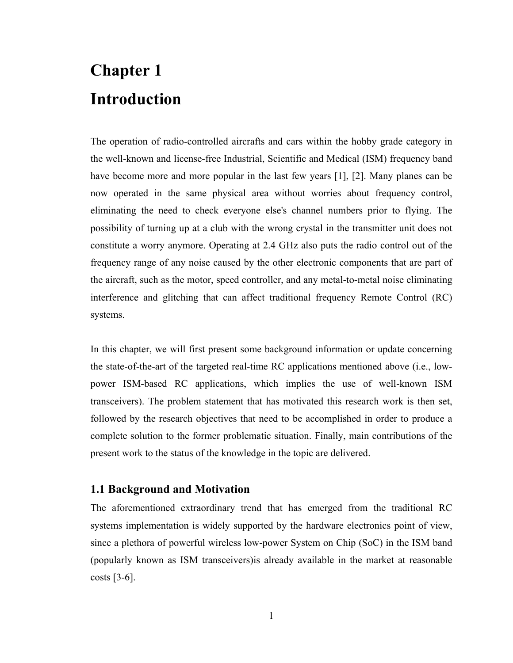# <span id="page-12-0"></span>**Chapter 1 Introduction**

The operation of radio-controlled aircrafts and cars within the hobby grade category in the well-known and license-free Industrial, Scientific and Medical (ISM) frequency band have become more and more popular in the last few years [1], [2]. Many planes can be now operated in the same physical area without worries about frequency control, eliminating the need to check everyone else's channel numbers prior to flying. The possibility of turning up at a club with the wrong crystal in the transmitter unit does not constitute a worry anymore. Operating at 2.4 GHz also puts the radio control out of the frequency range of any noise caused by the other electronic components that are part of the aircraft, such as the motor, speed controller, and any metal-to-metal noise eliminating interference and glitching that can affect traditional frequency Remote Control (RC) systems.

In this chapter, we will first present some background information or update concerning the state-of-the-art of the targeted real-time RC applications mentioned above (i.e., lowpower ISM-based RC applications, which implies the use of well-known ISM transceivers). The problem statement that has motivated this research work is then set, followed by the research objectives that need to be accomplished in order to produce a complete solution to the former problematic situation. Finally, main contributions of the present work to the status of the knowledge in the topic are delivered.

#### **1.1 Background and Motivation**

The aforementioned extraordinary trend that has emerged from the traditional RC systems implementation is widely supported by the hardware electronics point of view, since a plethora of powerful wireless low-power System on Chip (SoC) in the ISM band (popularly known as ISM transceivers)is already available in the market at reasonable costs  $[3-6]$ .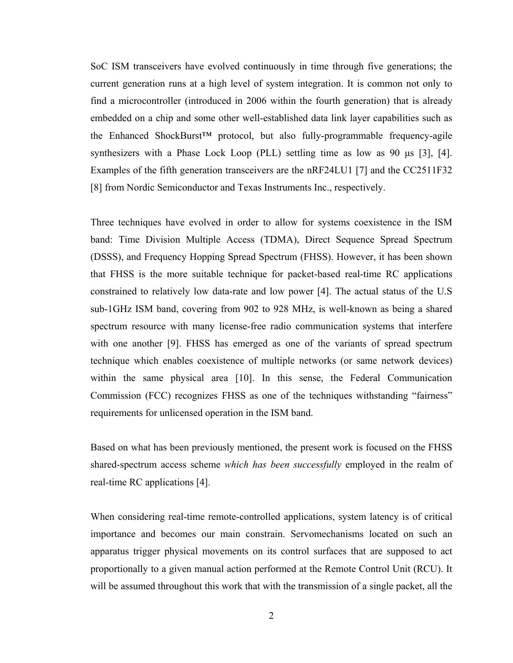SoC ISM transceivers have evolved continuously in time through five generations; the current generation runs at a high level of system integration. It is common not only to find a microcontroller (introduced in 2006 within the fourth generation) that is already embedded on a chip and some other well-established data link layer capabilities such as the Enhanced ShockBurst™ protocol, but also fully-programmable frequency-agile synthesizers with a Phase Lock Loop (PLL) settling time as low as 90 μs [3], [4]. Examples of the fifth generation transceivers are the nRF24LU1 [7] and the CC2511F32 [8] from Nordic Semiconductor and Texas Instruments Inc., respectively.

Three techniques have evolved in order to allow for systems coexistence in the ISM band: Time Division Multiple Access (TDMA), Direct Sequence Spread Spectrum (DSSS), and Frequency Hopping Spread Spectrum (FHSS). However, it has been shown that FHSS is the more suitable technique for packet-based real-time RC applications constrained to relatively low data-rate and low power [4]. The actual status of the U.S sub-1GHz ISM band, covering from 902 to 928 MHz, is well-known as being a shared spectrum resource with many license-free radio communication systems that interfere with one another [9]. FHSS has emerged as one of the variants of spread spectrum technique which enables coexistence of multiple networks (or same network devices) within the same physical area [10]. In this sense, the Federal Communication Commission (FCC) recognizes FHSS as one of the techniques withstanding "fairness" requirements for unlicensed operation in the ISM band.

Based on what has been previously mentioned, the present work is focused on the FHSS shared-spectrum access scheme *which has been successfully* employed in the realm of real-time RC applications [4].

When considering real-time remote-controlled applications, system latency is of critical importance and becomes our main constrain. Servomechanisms located on such an apparatus trigger physical movements on its control surfaces that are supposed to act proportionally to a given manual action performed at the Remote Control Unit (RCU). It will be assumed throughout this work that with the transmission of a single packet, all the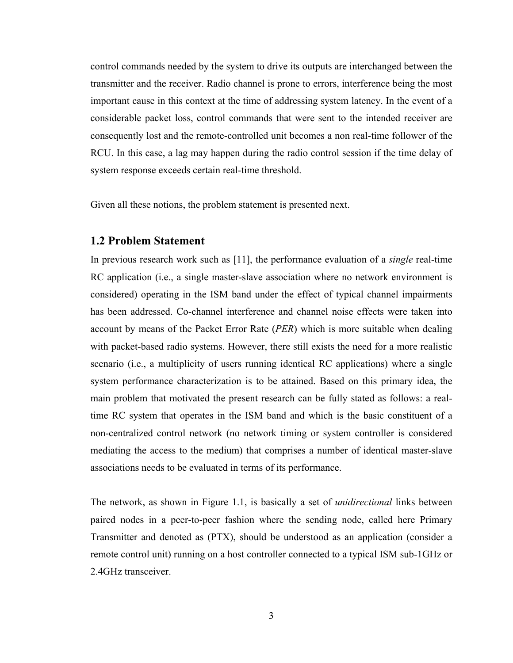<span id="page-14-0"></span>control commands needed by the system to drive its outputs are interchanged between the transmitter and the receiver. Radio channel is prone to errors, interference being the most important cause in this context at the time of addressing system latency. In the event of a considerable packet loss, control commands that were sent to the intended receiver are consequently lost and the remote-controlled unit becomes a non real-time follower of the RCU. In this case, a lag may happen during the radio control session if the time delay of system response exceeds certain real-time threshold.

Given all these notions, the problem statement is presented next.

#### **1.2 Problem Statement**

In previous research work such as [11], the performance evaluation of a *single* real-time RC application (i.e., a single master-slave association where no network environment is considered) operating in the ISM band under the effect of typical channel impairments has been addressed. Co-channel interference and channel noise effects were taken into account by means of the Packet Error Rate (*PER*) which is more suitable when dealing with packet-based radio systems. However, there still exists the need for a more realistic scenario (i.e., a multiplicity of users running identical RC applications) where a single system performance characterization is to be attained. Based on this primary idea, the main problem that motivated the present research can be fully stated as follows: a realtime RC system that operates in the ISM band and which is the basic constituent of a non-centralized control network (no network timing or system controller is considered mediating the access to the medium) that comprises a number of identical master-slave associations needs to be evaluated in terms of its performance.

The network, as shown in Figure 1.1, is basically a set of *unidirectional* links between paired nodes in a peer-to-peer fashion where the sending node, called here Primary Transmitter and denoted as (PTX), should be understood as an application (consider a remote control unit) running on a host controller connected to a typical ISM sub-1GHz or 2.4GHz transceiver.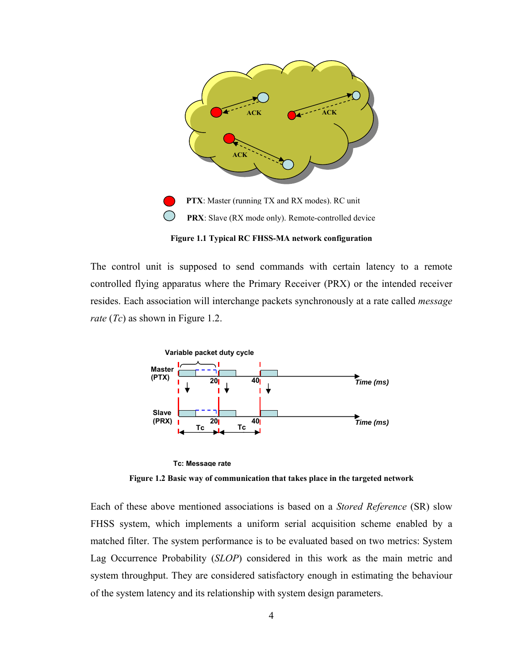<span id="page-15-0"></span>

**Figure 1.1 Typical RC FHSS-MA network configuration** 

The control unit is supposed to send commands with certain latency to a remote controlled flying apparatus where the Primary Receiver (PRX) or the intended receiver resides. Each association will interchange packets synchronously at a rate called *message rate* (*Tc*) as shown in Figure 1.2.





**Figure 1.2 Basic way of communication that takes place in the targeted network** 

Each of these above mentioned associations is based on a *Stored Reference* (SR) slow FHSS system, which implements a uniform serial acquisition scheme enabled by a matched filter. The system performance is to be evaluated based on two metrics: System Lag Occurrence Probability (*SLOP*) considered in this work as the main metric and system throughput. They are considered satisfactory enough in estimating the behaviour of the system latency and its relationship with system design parameters.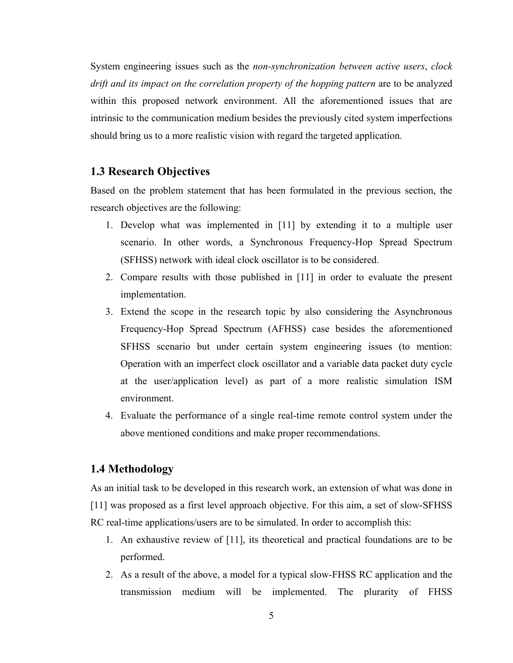<span id="page-16-0"></span>System engineering issues such as the *non-synchronization between active users*, *clock drift and its impact on the correlation property of the hopping pattern* are to be analyzed within this proposed network environment. All the aforementioned issues that are intrinsic to the communication medium besides the previously cited system imperfections should bring us to a more realistic vision with regard the targeted application.

#### **1.3 Research Objectives**

Based on the problem statement that has been formulated in the previous section, the research objectives are the following:

- 1. Develop what was implemented in [11] by extending it to a multiple user scenario. In other words, a Synchronous Frequency-Hop Spread Spectrum (SFHSS) network with ideal clock oscillator is to be considered.
- 2. Compare results with those published in [11] in order to evaluate the present implementation.
- 3. Extend the scope in the research topic by also considering the Asynchronous Frequency-Hop Spread Spectrum (AFHSS) case besides the aforementioned SFHSS scenario but under certain system engineering issues (to mention: Operation with an imperfect clock oscillator and a variable data packet duty cycle at the user/application level) as part of a more realistic simulation ISM environment.
- 4. Evaluate the performance of a single real-time remote control system under the above mentioned conditions and make proper recommendations.

#### **1.4 Methodology**

As an initial task to be developed in this research work, an extension of what was done in [11] was proposed as a first level approach objective. For this aim, a set of slow-SFHSS RC real-time applications/users are to be simulated. In order to accomplish this:

- 1. An exhaustive review of [11], its theoretical and practical foundations are to be performed.
- 2. As a result of the above, a model for a typical slow-FHSS RC application and the transmission medium will be implemented. The plurarity of FHSS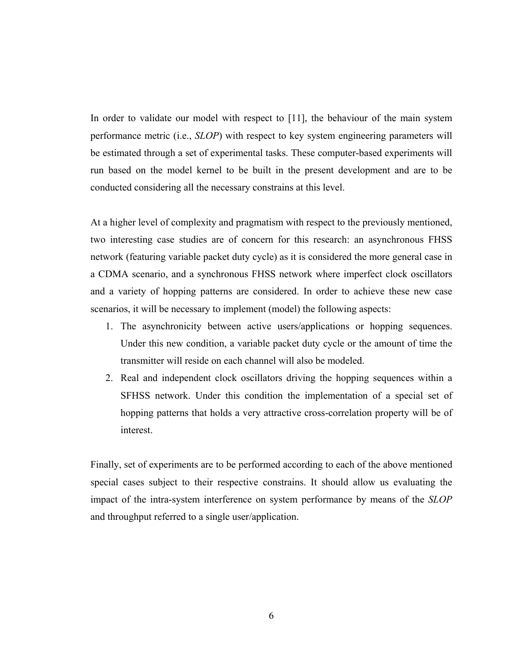In order to validate our model with respect to [11], the behaviour of the main system performance metric (i.e., *SLOP*) with respect to key system engineering parameters will be estimated through a set of experimental tasks. These computer-based experiments will run based on the model kernel to be built in the present development and are to be conducted considering all the necessary constrains at this level.

At a higher level of complexity and pragmatism with respect to the previously mentioned, two interesting case studies are of concern for this research: an asynchronous FHSS network (featuring variable packet duty cycle) as it is considered the more general case in a CDMA scenario, and a synchronous FHSS network where imperfect clock oscillators and a variety of hopping patterns are considered. In order to achieve these new case scenarios, it will be necessary to implement (model) the following aspects:

- 1. The asynchronicity between active users/applications or hopping sequences. Under this new condition, a variable packet duty cycle or the amount of time the transmitter will reside on each channel will also be modeled.
- 2. Real and independent clock oscillators driving the hopping sequences within a SFHSS network. Under this condition the implementation of a special set of hopping patterns that holds a very attractive cross-correlation property will be of interest.

Finally, set of experiments are to be performed according to each of the above mentioned special cases subject to their respective constrains. It should allow us evaluating the impact of the intra-system interference on system performance by means of the *SLOP* and throughput referred to a single user/application.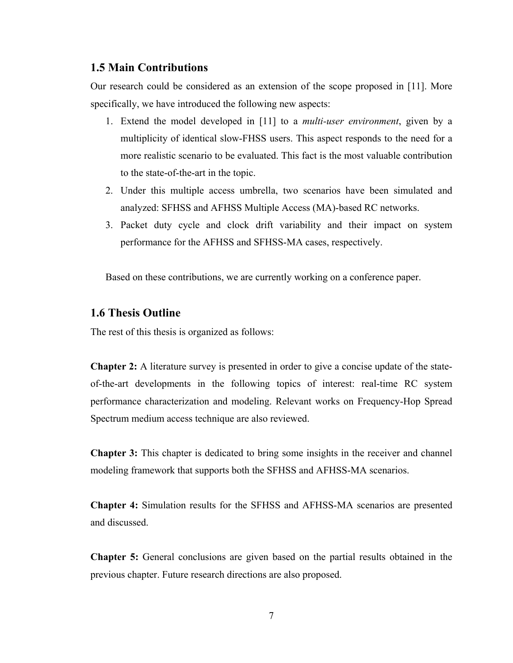#### <span id="page-18-0"></span>**1.5 Main Contributions**

Our research could be considered as an extension of the scope proposed in [11]. More specifically, we have introduced the following new aspects:

- 1. Extend the model developed in [11] to a *multi-user environment*, given by a multiplicity of identical slow-FHSS users. This aspect responds to the need for a more realistic scenario to be evaluated. This fact is the most valuable contribution to the state-of-the-art in the topic.
- 2. Under this multiple access umbrella, two scenarios have been simulated and analyzed: SFHSS and AFHSS Multiple Access (MA)-based RC networks.
- 3. Packet duty cycle and clock drift variability and their impact on system performance for the AFHSS and SFHSS-MA cases, respectively.

Based on these contributions, we are currently working on a conference paper.

#### **1.6 Thesis Outline**

The rest of this thesis is organized as follows:

**Chapter 2:** A literature survey is presented in order to give a concise update of the stateof-the-art developments in the following topics of interest: real-time RC system performance characterization and modeling. Relevant works on Frequency-Hop Spread Spectrum medium access technique are also reviewed.

**Chapter 3:** This chapter is dedicated to bring some insights in the receiver and channel modeling framework that supports both the SFHSS and AFHSS-MA scenarios.

**Chapter 4:** Simulation results for the SFHSS and AFHSS-MA scenarios are presented and discussed.

**Chapter 5:** General conclusions are given based on the partial results obtained in the previous chapter. Future research directions are also proposed.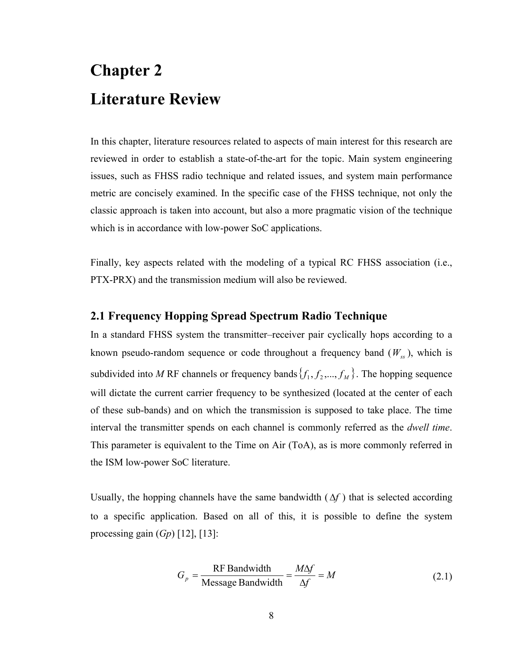# <span id="page-19-0"></span>**Chapter 2 Literature Review**

In this chapter, literature resources related to aspects of main interest for this research are reviewed in order to establish a state-of-the-art for the topic. Main system engineering issues, such as FHSS radio technique and related issues, and system main performance metric are concisely examined. In the specific case of the FHSS technique, not only the classic approach is taken into account, but also a more pragmatic vision of the technique which is in accordance with low-power SoC applications.

Finally, key aspects related with the modeling of a typical RC FHSS association (i.e., PTX-PRX) and the transmission medium will also be reviewed.

#### **2.1 Frequency Hopping Spread Spectrum Radio Technique**

In a standard FHSS system the transmitter–receiver pair cyclically hops according to a known pseudo-random sequence or code throughout a frequency band  $(W_{ss})$ , which is subdivided into *M* RF channels or frequency bands  $\{f_1, f_2, ..., f_M\}$ . The hopping sequence will dictate the current carrier frequency to be synthesized (located at the center of each of these sub-bands) and on which the transmission is supposed to take place. The time interval the transmitter spends on each channel is commonly referred as the *dwell time*. This parameter is equivalent to the Time on Air (ToA), as is more commonly referred in the ISM low-power SoC literature.

Usually, the hopping channels have the same bandwidth  $(\Delta f)$  that is selected according to a specific application. Based on all of this, it is possible to define the system processing gain (*Gp*) [12], [13]:

$$
G_p = \frac{\text{RF Bandwidth}}{\text{Message Bandwidth}} = \frac{M\Delta f}{\Delta f} = M \tag{2.1}
$$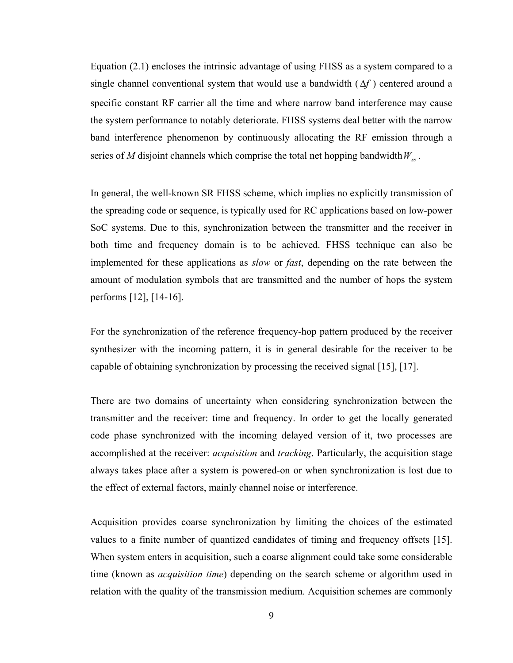Equation (2.1) encloses the intrinsic advantage of using FHSS as a system compared to a single channel conventional system that would use a bandwidth  $(\Delta f)$  centered around a specific constant RF carrier all the time and where narrow band interference may cause the system performance to notably deteriorate. FHSS systems deal better with the narrow band interference phenomenon by continuously allocating the RF emission through a series of *M* disjoint channels which comprise the total net hopping bandwidth  $W_{ss}$ .

In general, the well-known SR FHSS scheme, which implies no explicitly transmission of the spreading code or sequence, is typically used for RC applications based on low-power SoC systems. Due to this, synchronization between the transmitter and the receiver in both time and frequency domain is to be achieved. FHSS technique can also be implemented for these applications as *slow* or *fast*, depending on the rate between the amount of modulation symbols that are transmitted and the number of hops the system performs [12], [14-16].

For the synchronization of the reference frequency-hop pattern produced by the receiver synthesizer with the incoming pattern, it is in general desirable for the receiver to be capable of obtaining synchronization by processing the received signal [15], [17].

There are two domains of uncertainty when considering synchronization between the transmitter and the receiver: time and frequency. In order to get the locally generated code phase synchronized with the incoming delayed version of it, two processes are accomplished at the receiver: *acquisition* and *tracking*. Particularly, the acquisition stage always takes place after a system is powered-on or when synchronization is lost due to the effect of external factors, mainly channel noise or interference.

Acquisition provides coarse synchronization by limiting the choices of the estimated values to a finite number of quantized candidates of timing and frequency offsets [15]. When system enters in acquisition, such a coarse alignment could take some considerable time (known as *acquisition time*) depending on the search scheme or algorithm used in relation with the quality of the transmission medium. Acquisition schemes are commonly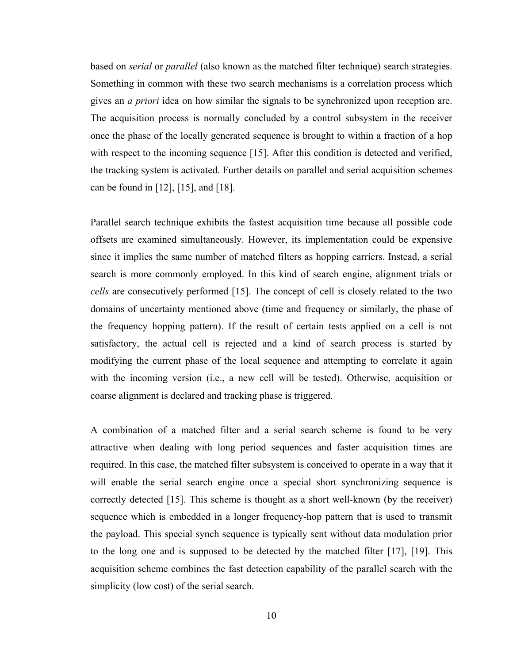based on *serial* or *parallel* (also known as the matched filter technique) search strategies. Something in common with these two search mechanisms is a correlation process which gives an *a priori* idea on how similar the signals to be synchronized upon reception are. The acquisition process is normally concluded by a control subsystem in the receiver once the phase of the locally generated sequence is brought to within a fraction of a hop with respect to the incoming sequence [15]. After this condition is detected and verified, the tracking system is activated. Further details on parallel and serial acquisition schemes can be found in [12], [15], and [18].

Parallel search technique exhibits the fastest acquisition time because all possible code offsets are examined simultaneously. However, its implementation could be expensive since it implies the same number of matched filters as hopping carriers. Instead, a serial search is more commonly employed. In this kind of search engine, alignment trials or *cells* are consecutively performed [15]. The concept of cell is closely related to the two domains of uncertainty mentioned above (time and frequency or similarly, the phase of the frequency hopping pattern). If the result of certain tests applied on a cell is not satisfactory, the actual cell is rejected and a kind of search process is started by modifying the current phase of the local sequence and attempting to correlate it again with the incoming version (i.e., a new cell will be tested). Otherwise, acquisition or coarse alignment is declared and tracking phase is triggered.

A combination of a matched filter and a serial search scheme is found to be very attractive when dealing with long period sequences and faster acquisition times are required. In this case, the matched filter subsystem is conceived to operate in a way that it will enable the serial search engine once a special short synchronizing sequence is correctly detected [15]. This scheme is thought as a short well-known (by the receiver) sequence which is embedded in a longer frequency-hop pattern that is used to transmit the payload. This special synch sequence is typically sent without data modulation prior to the long one and is supposed to be detected by the matched filter [17], [19]. This acquisition scheme combines the fast detection capability of the parallel search with the simplicity (low cost) of the serial search.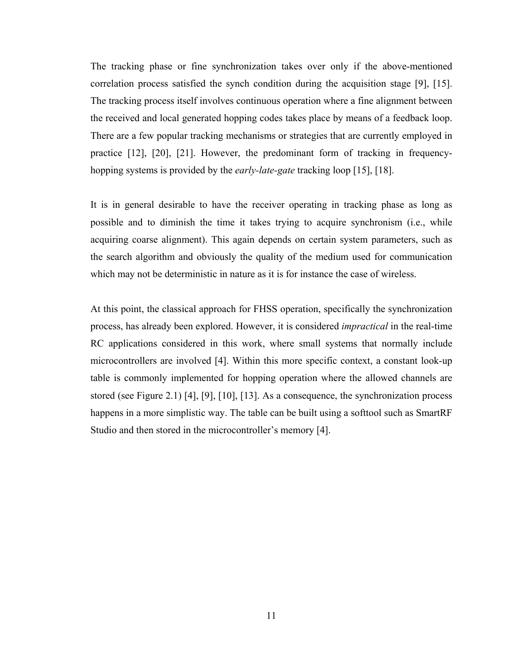The tracking phase or fine synchronization takes over only if the above-mentioned correlation process satisfied the synch condition during the acquisition stage [9], [15]. The tracking process itself involves continuous operation where a fine alignment between the received and local generated hopping codes takes place by means of a feedback loop. There are a few popular tracking mechanisms or strategies that are currently employed in practice [12], [20], [21]. However, the predominant form of tracking in frequencyhopping systems is provided by the *early-late-gate* tracking loop [15], [18].

It is in general desirable to have the receiver operating in tracking phase as long as possible and to diminish the time it takes trying to acquire synchronism (i.e., while acquiring coarse alignment). This again depends on certain system parameters, such as the search algorithm and obviously the quality of the medium used for communication which may not be deterministic in nature as it is for instance the case of wireless.

At this point, the classical approach for FHSS operation, specifically the synchronization process, has already been explored. However, it is considered *impractical* in the real-time RC applications considered in this work, where small systems that normally include microcontrollers are involved [4]. Within this more specific context, a constant look-up table is commonly implemented for hopping operation where the allowed channels are stored (see Figure 2.1) [4], [9], [10], [13]. As a consequence, the synchronization process happens in a more simplistic way. The table can be built using a softtool such as SmartRF Studio and then stored in the microcontroller's memory [4].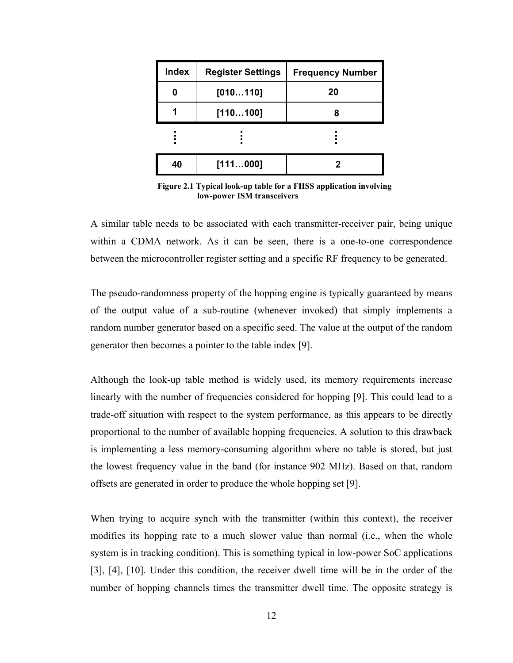<span id="page-23-0"></span>

| <b>Index</b> | <b>Register Settings</b> | <b>Frequency Number</b> |  |  |  |  |
|--------------|--------------------------|-------------------------|--|--|--|--|
| 0            | [010110]                 | 20                      |  |  |  |  |
|              | [110100]                 |                         |  |  |  |  |
|              |                          |                         |  |  |  |  |
| 40           | [111000]                 |                         |  |  |  |  |

 **Figure 2.1 Typical look-up table for a FHSS application involving low-power ISM transceivers** 

A similar table needs to be associated with each transmitter-receiver pair, being unique within a CDMA network. As it can be seen, there is a one-to-one correspondence between the microcontroller register setting and a specific RF frequency to be generated.

The pseudo-randomness property of the hopping engine is typically guaranteed by means of the output value of a sub-routine (whenever invoked) that simply implements a random number generator based on a specific seed. The value at the output of the random generator then becomes a pointer to the table index [9].

Although the look-up table method is widely used, its memory requirements increase linearly with the number of frequencies considered for hopping [9]. This could lead to a trade-off situation with respect to the system performance, as this appears to be directly proportional to the number of available hopping frequencies. A solution to this drawback is implementing a less memory-consuming algorithm where no table is stored, but just the lowest frequency value in the band (for instance 902 MHz). Based on that, random offsets are generated in order to produce the whole hopping set [9].

When trying to acquire synch with the transmitter (within this context), the receiver modifies its hopping rate to a much slower value than normal (i.e., when the whole system is in tracking condition). This is something typical in low-power SoC applications [3], [4], [10]. Under this condition, the receiver dwell time will be in the order of the number of hopping channels times the transmitter dwell time. The opposite strategy is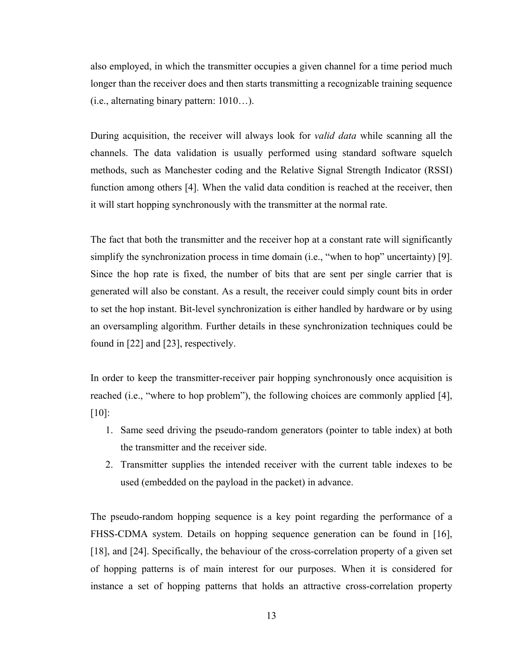also employed, in which the transmitter occupies a given channel for a time period much longer than the receiver does and then starts transmitting a recognizable training sequence (i.e., alternating binary pattern: 1010…).

During acquisition, the receiver will always look for *valid data* while scanning all the channels. The data validation is usually performed using standard software squelch methods, such as Manchester coding and the Relative Signal Strength Indicator (RSSI) function among others [4]. When the valid data condition is reached at the receiver, then it will start hopping synchronously with the transmitter at the normal rate.

The fact that both the transmitter and the receiver hop at a constant rate will significantly simplify the synchronization process in time domain (i.e., "when to hop" uncertainty) [9]. Since the hop rate is fixed, the number of bits that are sent per single carrier that is generated will also be constant. As a result, the receiver could simply count bits in order to set the hop instant. Bit-level synchronization is either handled by hardware or by using an oversampling algorithm. Further details in these synchronization techniques could be found in [22] and [23], respectively.

In order to keep the transmitter-receiver pair hopping synchronously once acquisition is reached (i.e., "where to hop problem"), the following choices are commonly applied [4], [10]:

- 1. Same seed driving the pseudo-random generators (pointer to table index) at both the transmitter and the receiver side.
- 2. Transmitter supplies the intended receiver with the current table indexes to be used (embedded on the payload in the packet) in advance.

The pseudo-random hopping sequence is a key point regarding the performance of a FHSS-CDMA system. Details on hopping sequence generation can be found in [16], [18], and [24]. Specifically, the behaviour of the cross-correlation property of a given set of hopping patterns is of main interest for our purposes. When it is considered for instance a set of hopping patterns that holds an attractive cross-correlation property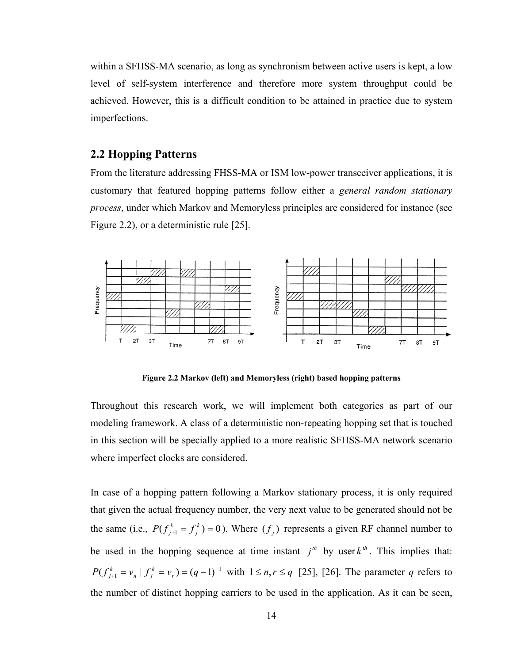<span id="page-25-0"></span>within a SFHSS-MA scenario, as long as synchronism between active users is kept, a low level of self-system interference and therefore more system throughput could be achieved. However, this is a difficult condition to be attained in practice due to system imperfections.

#### **2.2 Hopping Patterns**

From the literature addressing FHSS-MA or ISM low-power transceiver applications, it is customary that featured hopping patterns follow either a *general random stationary process*, under which Markov and Memoryless principles are considered for instance (see Figure 2.2), or a deterministic rule [25].



**Figure 2.2 Markov (left) and Memoryless (right) based hopping patterns** 

Throughout this research work, we will implement both categories as part of our modeling framework. A class of a deterministic non-repeating hopping set that is touched in this section will be specially applied to a more realistic SFHSS-MA network scenario where imperfect clocks are considered.

In case of a hopping pattern following a Markov stationary process, it is only required that given the actual frequency number, the very next value to be generated should not be the same (i.e.,  $P(f_{j+1}^k = f_j^k) = 0$ ). Where  $(f_j)$  represents a given RF channel number to be used in the hopping sequence at time instant  $j<sup>th</sup>$  by user  $k<sup>th</sup>$ . This implies that:  $P(f_{j+1}^k = v_n | f_j^k = v_r) = (q-1)^{-1}$  with  $1 \le n, r \le q$  [25], [26]. The parameter *q* refers to  $P(f_{j+1}^k = f_j^k) = 0$ ). Where  $(f_j)$ the number of distinct hopping carriers to be used in the application. As it can be seen,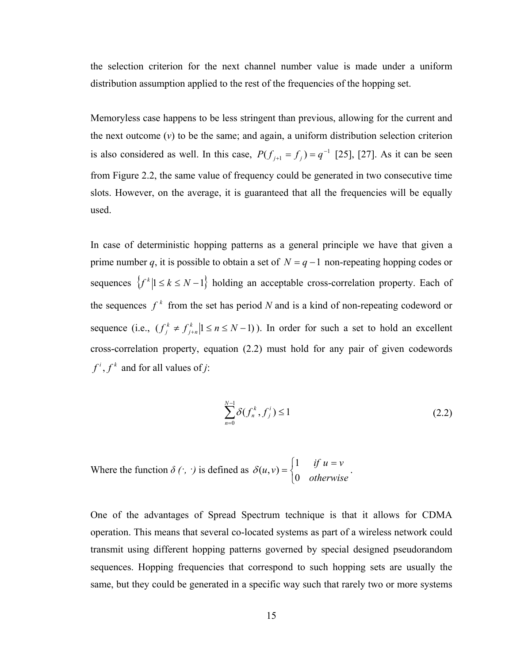the selection criterion for the next channel number value is made under a uniform distribution assumption applied to the rest of the frequencies of the hopping set.

Memoryless case happens to be less stringent than previous, allowing for the current and the next outcome (*v*) to be the same; and again, a uniform distribution selection criterion is also considered as well. In this case,  $P(f_{j+1} = f_j) = q^{-1}$  [25], [27]. As it can be seen from Figure 2.2, the same value of frequency could be generated in two consecutive time slots. However, on the average, it is guaranteed that all the frequencies will be equally used.

In case of deterministic hopping patterns as a general principle we have that given a prime number *q*, it is possible to obtain a set of  $N = q - 1$  non-repeating hopping codes or sequences  $\{f^k | 1 \le k \le N-1\}$  holding an acceptable cross-correlation property. Each of the sequences  $f^k$  from the set has period *N* and is a kind of non-repeating codeword or sequence (i.e.,  $(f_j^k \neq f_{j+n}^k | 1 \leq n \leq N-1)$ ). In order for such a set to hold an excellent cross-correlation property, equation (2.2) must hold for any pair of given codewords  $f^{i}$ ,  $f^{k}$  and for all values of *j*:

$$
\sum_{n=0}^{N-1} \delta(f_n^k, f_j^i) \le 1
$$
\n(2.2)

Where the function  $\delta(\cdot, \cdot)$  is defined as  $\delta(u, v) = \begin{cases} 1 & \text{if } v \neq 0 \\ 0 & \text{if } v = 1 \end{cases}$ .  $\overline{a}$  $=\begin{cases} 1 & \text{if } u = v \\ 0 & \text{otherwise} \end{cases}$  $u, v$  $\boldsymbol{0}$  $1 \quad \text{if}$  $\delta(u,v)$ 

One of the advantages of Spread Spectrum technique is that it allows for CDMA operation. This means that several co-located systems as part of a wireless network could transmit using different hopping patterns governed by special designed pseudorandom sequences. Hopping frequencies that correspond to such hopping sets are usually the same, but they could be generated in a specific way such that rarely two or more systems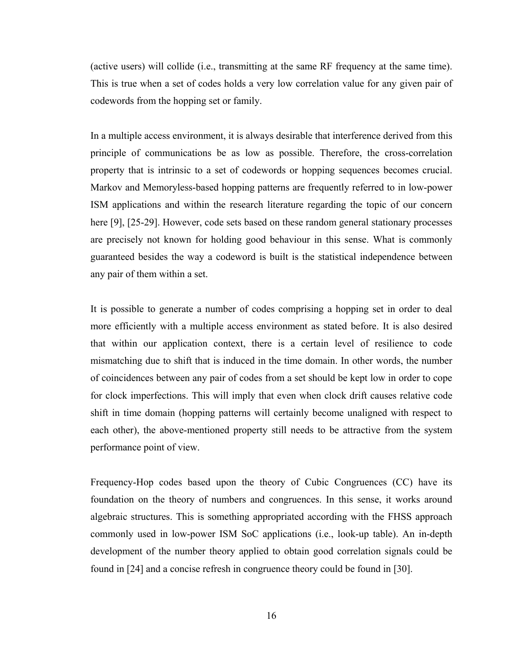(active users) will collide (i.e., transmitting at the same RF frequency at the same time). This is true when a set of codes holds a very low correlation value for any given pair of codewords from the hopping set or family.

In a multiple access environment, it is always desirable that interference derived from this principle of communications be as low as possible. Therefore, the cross-correlation property that is intrinsic to a set of codewords or hopping sequences becomes crucial. Markov and Memoryless-based hopping patterns are frequently referred to in low-power ISM applications and within the research literature regarding the topic of our concern here [9], [25-29]. However, code sets based on these random general stationary processes are precisely not known for holding good behaviour in this sense. What is commonly guaranteed besides the way a codeword is built is the statistical independence between any pair of them within a set.

It is possible to generate a number of codes comprising a hopping set in order to deal more efficiently with a multiple access environment as stated before. It is also desired that within our application context, there is a certain level of resilience to code mismatching due to shift that is induced in the time domain. In other words, the number of coincidences between any pair of codes from a set should be kept low in order to cope for clock imperfections. This will imply that even when clock drift causes relative code shift in time domain (hopping patterns will certainly become unaligned with respect to each other), the above-mentioned property still needs to be attractive from the system performance point of view.

Frequency-Hop codes based upon the theory of Cubic Congruences (CC) have its foundation on the theory of numbers and congruences. In this sense, it works around algebraic structures. This is something appropriated according with the FHSS approach commonly used in low-power ISM SoC applications (i.e., look-up table). An in-depth development of the number theory applied to obtain good correlation signals could be found in [24] and a concise refresh in congruence theory could be found in [30].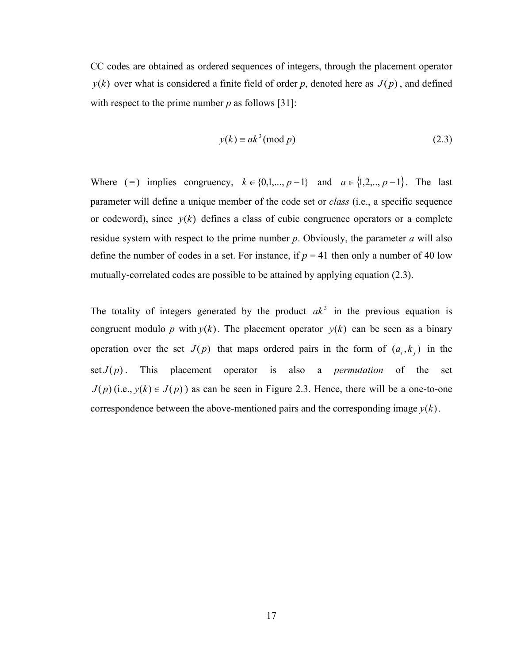CC codes are obtained as ordered sequences of integers, through the placement operator  $y(k)$  over what is considered a finite field of order p, denoted here as  $J(p)$ , and defined with respect to the prime number  $p$  as follows [31]:

$$
y(k) \equiv ak^3 \pmod{p} \tag{2.3}
$$

Where ( $\equiv$ ) implies congruency,  $k \in \{0,1,...,p-1\}$  and  $a \in \{1,2,...,p-1\}$ . The last parameter will define a unique member of the code set or *class* (i.e., a specific sequence or codeword), since  $y(k)$  defines a class of cubic congruence operators or a complete residue system with respect to the prime number *p*. Obviously, the parameter *a* will also define the number of codes in a set. For instance, if  $p = 41$  then only a number of 40 low mutually-correlated codes are possible to be attained by applying equation (2.3).

The totality of integers generated by the product  $ak^3$  in the previous equation is congruent modulo p with  $y(k)$ . The placement operator  $y(k)$  can be seen as a binary operation over the set  $J(p)$  that maps ordered pairs in the form of  $(a_i, k_j)$  in the set  $J(p)$ . This placement operator is also a *permutation* of the set  $J(p)$  (i.e.,  $y(k) \in J(p)$ ) as can be seen in Figure 2.3. Hence, there will be a one-to-one correspondence between the above-mentioned pairs and the corresponding image  $y(k)$ .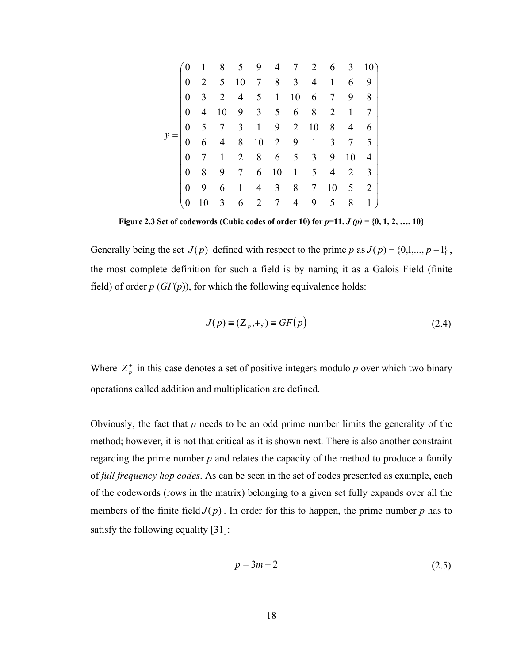<span id="page-29-0"></span>

|  | 0                | 1              |                | 8 5 9 4 7 2 6 3 10          |                     |                                  |                     |             |                     |                 |
|--|------------------|----------------|----------------|-----------------------------|---------------------|----------------------------------|---------------------|-------------|---------------------|-----------------|
|  | 0                | 2              | 5 <sup>5</sup> | 10                          |                     | 7 8 3                            |                     | $4 \quad 1$ | 6 9                 |                 |
|  | $\theta$         | 3              | $\overline{2}$ |                             | $4 \quad 5 \quad 1$ | 10                               | 6 7                 |             | 9 8                 |                 |
|  | $\theta$         | $\overline{4}$ | 10             | 9 3 5 6 8 2 1               |                     |                                  |                     |             |                     | $7\phantom{.0}$ |
|  | $\boldsymbol{0}$ | 5 <sup>5</sup> |                | $7 \quad 3 \quad 1 \quad 9$ |                     | 2                                | 10                  | 8           | $4\quad 6$          |                 |
|  | 0                | 6              | 4              | 8 10 2 9 1                  |                     |                                  |                     |             | $3 \quad 7 \quad 5$ |                 |
|  | 0                | 7              | 1              |                             |                     |                                  | $2 \t8 \t6 \t5 \t3$ | 9           | 10                  | $\overline{4}$  |
|  | 0                | 8              | 9              | $7\degree$                  | 6 10                | $\begin{array}{c} 1 \end{array}$ |                     | $5\quad 4$  |                     | $2 \quad 3$     |
|  | 0                | 9              | 6              |                             |                     |                                  | $1 \t4 \t3 \t8 \t7$ | 10          | 5 2                 |                 |
|  |                  | 10             | 3              | 6                           | $2 \overline{7}$    | 4                                | 9                   | 5           | 8                   | $\mathbf{1}$    |

**Figure 2.3 Set of codewords (Cubic codes of order 10) for**  $p=11$ **.**  $J(p) = \{0, 1, 2, ..., 10\}$ 

Generally being the set  $J(p)$  defined with respect to the prime *p* as  $J(p) = \{0,1,...,p-1\}$ , the most complete definition for such a field is by naming it as a Galois Field (finite field) of order  $p(GF(p))$ , for which the following equivalence holds:

$$
J(p) \equiv (Z_p^+, +, \cdot) \equiv GF(p) \tag{2.4}
$$

Where  $Z_p^+$  in this case denotes a set of positive integers modulo *p* over which two binary operations called addition and multiplication are defined.

Obviously, the fact that *p* needs to be an odd prime number limits the generality of the method; however, it is not that critical as it is shown next. There is also another constraint regarding the prime number *p* and relates the capacity of the method to produce a family of *full frequency hop codes*. As can be seen in the set of codes presented as example, each of the codewords (rows in the matrix) belonging to a given set fully expands over all the members of the finite field  $J(p)$ . In order for this to happen, the prime number p has to satisfy the following equality [31]:

$$
p = 3m + 2\tag{2.5}
$$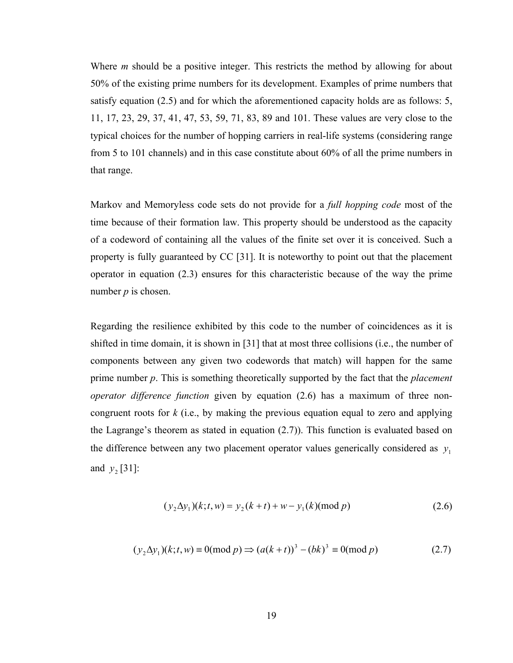Where *m* should be a positive integer. This restricts the method by allowing for about 50% of the existing prime numbers for its development. Examples of prime numbers that satisfy equation (2.5) and for which the aforementioned capacity holds are as follows: 5, 11, 17, 23, 29, 37, 41, 47, 53, 59, 71, 83, 89 and 101. These values are very close to the typical choices for the number of hopping carriers in real-life systems (considering range from 5 to 101 channels) and in this case constitute about 60% of all the prime numbers in that range.

Markov and Memoryless code sets do not provide for a *full hopping code* most of the time because of their formation law. This property should be understood as the capacity of a codeword of containing all the values of the finite set over it is conceived. Such a property is fully guaranteed by CC [31]. It is noteworthy to point out that the placement operator in equation (2.3) ensures for this characteristic because of the way the prime number *p* is chosen.

Regarding the resilience exhibited by this code to the number of coincidences as it is shifted in time domain, it is shown in [31] that at most three collisions (i.e., the number of components between any given two codewords that match) will happen for the same prime number *p*. This is something theoretically supported by the fact that the *placement operator difference function* given by equation (2.6) has a maximum of three noncongruent roots for *k* (i.e., by making the previous equation equal to zero and applying the Lagrange's theorem as stated in equation (2.7)). This function is evaluated based on the difference between any two placement operator values generically considered as  $y_1$ and  $y_2$  [31]:

$$
(y_2 \Delta y_1)(k; t, w) = y_2(k+t) + w - y_1(k) \text{ (mod } p)
$$
\n(2.6)

$$
(y_2 \Delta y_1)(k; t, w) \equiv 0 \pmod{p} \Rightarrow (a(k+t))^3 - (bk)^3 \equiv 0 \pmod{p} \tag{2.7}
$$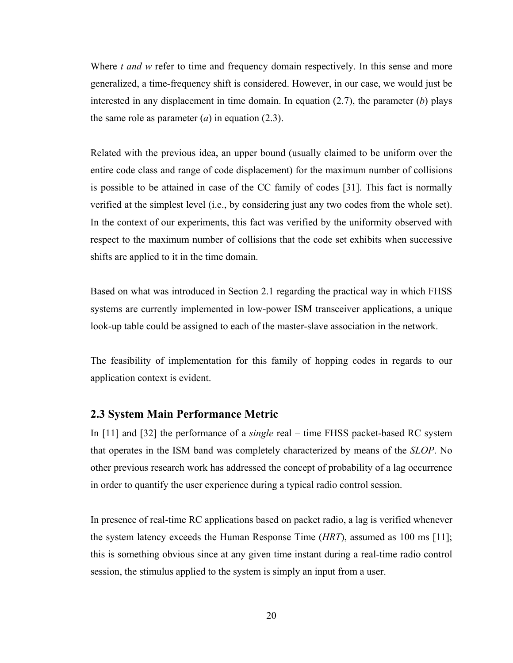<span id="page-31-0"></span>Where *t and* w refer to time and frequency domain respectively. In this sense and more generalized, a time-frequency shift is considered. However, in our case, we would just be interested in any displacement in time domain. In equation (2.7), the parameter (*b*) plays the same role as parameter  $(a)$  in equation  $(2.3)$ .

Related with the previous idea, an upper bound (usually claimed to be uniform over the entire code class and range of code displacement) for the maximum number of collisions is possible to be attained in case of the CC family of codes [31]. This fact is normally verified at the simplest level (i.e., by considering just any two codes from the whole set). In the context of our experiments, this fact was verified by the uniformity observed with respect to the maximum number of collisions that the code set exhibits when successive shifts are applied to it in the time domain.

Based on what was introduced in Section 2.1 regarding the practical way in which FHSS systems are currently implemented in low-power ISM transceiver applications, a unique look-up table could be assigned to each of the master-slave association in the network.

The feasibility of implementation for this family of hopping codes in regards to our application context is evident.

#### **2.3 System Main Performance Metric**

In [11] and [32] the performance of a *single* real – time FHSS packet-based RC system that operates in the ISM band was completely characterized by means of the *SLOP*. No other previous research work has addressed the concept of probability of a lag occurrence in order to quantify the user experience during a typical radio control session.

In presence of real-time RC applications based on packet radio, a lag is verified whenever the system latency exceeds the Human Response Time (*HRT*), assumed as 100 ms [11]; this is something obvious since at any given time instant during a real-time radio control session, the stimulus applied to the system is simply an input from a user.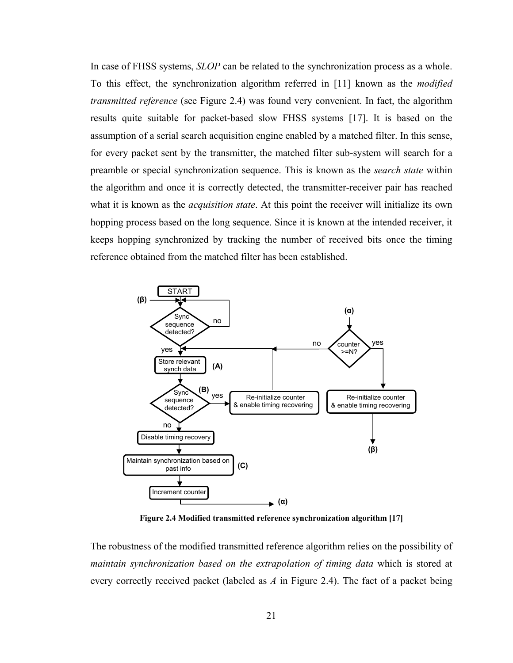<span id="page-32-0"></span>In case of FHSS systems, *SLOP* can be related to the synchronization process as a whole. To this effect, the synchronization algorithm referred in [11] known as the *modified transmitted reference* (see Figure 2.4) was found very convenient. In fact, the algorithm results quite suitable for packet-based slow FHSS systems [17]. It is based on the assumption of a serial search acquisition engine enabled by a matched filter. In this sense, for every packet sent by the transmitter, the matched filter sub-system will search for a preamble or special synchronization sequence. This is known as the *search state* within the algorithm and once it is correctly detected, the transmitter-receiver pair has reached what it is known as the *acquisition state*. At this point the receiver will initialize its own hopping process based on the long sequence. Since it is known at the intended receiver, it keeps hopping synchronized by tracking the number of received bits once the timing reference obtained from the matched filter has been established.



**Figure 2.4 Modified transmitted reference synchronization algorithm [17]** 

The robustness of the modified transmitted reference algorithm relies on the possibility of *maintain synchronization based on the extrapolation of timing data* which is stored at every correctly received packet (labeled as *A* in Figure 2.4). The fact of a packet being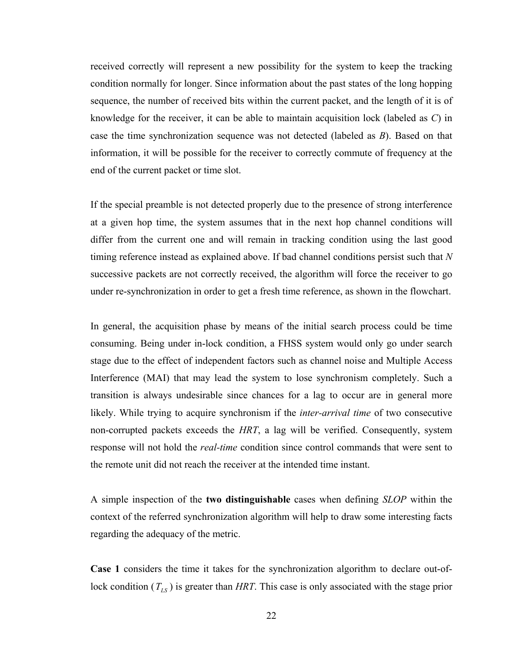received correctly will represent a new possibility for the system to keep the tracking condition normally for longer. Since information about the past states of the long hopping sequence, the number of received bits within the current packet, and the length of it is of knowledge for the receiver, it can be able to maintain acquisition lock (labeled as *C*) in case the time synchronization sequence was not detected (labeled as *B*). Based on that information, it will be possible for the receiver to correctly commute of frequency at the end of the current packet or time slot.

If the special preamble is not detected properly due to the presence of strong interference at a given hop time, the system assumes that in the next hop channel conditions will differ from the current one and will remain in tracking condition using the last good timing reference instead as explained above. If bad channel conditions persist such that *N* successive packets are not correctly received, the algorithm will force the receiver to go under re-synchronization in order to get a fresh time reference, as shown in the flowchart.

In general, the acquisition phase by means of the initial search process could be time consuming. Being under in-lock condition, a FHSS system would only go under search stage due to the effect of independent factors such as channel noise and Multiple Access Interference (MAI) that may lead the system to lose synchronism completely. Such a transition is always undesirable since chances for a lag to occur are in general more likely. While trying to acquire synchronism if the *inter-arrival time* of two consecutive non-corrupted packets exceeds the *HRT*, a lag will be verified. Consequently, system response will not hold the *real-time* condition since control commands that were sent to the remote unit did not reach the receiver at the intended time instant.

A simple inspection of the **two distinguishable** cases when defining *SLOP* within the context of the referred synchronization algorithm will help to draw some interesting facts regarding the adequacy of the metric.

**Case 1** considers the time it takes for the synchronization algorithm to declare out-oflock condition  $(T_{LS})$  is greater than *HRT*. This case is only associated with the stage prior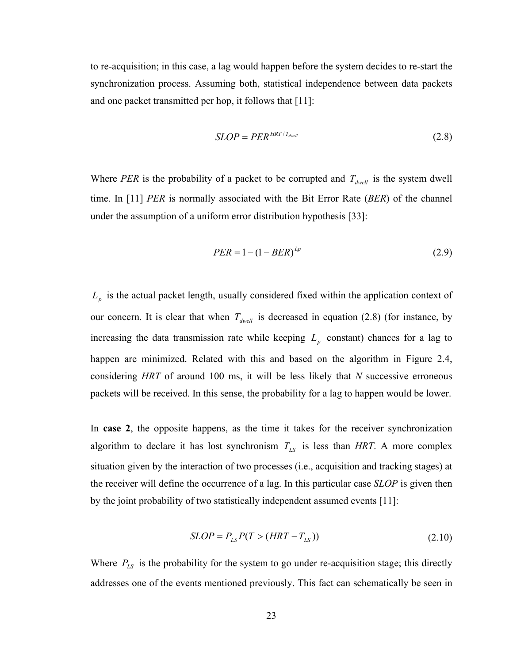to re-acquisition; in this case, a lag would happen before the system decides to re-start the synchronization process. Assuming both, statistical independence between data packets and one packet transmitted per hop, it follows that [11]:

$$
SLOP = PER^{HRT/T_{dwell}} \tag{2.8}
$$

Where *PER* is the probability of a packet to be corrupted and  $T_{dwell}$  is the system dwell time. In [11] *PER* is normally associated with the Bit Error Rate (*BER*) of the channel under the assumption of a uniform error distribution hypothesis [33]:

$$
PER = 1 - (1 - BER)^{Lp} \tag{2.9}
$$

 $L_p$  is the actual packet length, usually considered fixed within the application context of our concern. It is clear that when  $T_{dwell}$  is decreased in equation (2.8) (for instance, by increasing the data transmission rate while keeping  $L_p$  constant) chances for a lag to happen are minimized. Related with this and based on the algorithm in Figure 2.4, considering *HRT* of around 100 ms, it will be less likely that *N* successive erroneous packets will be received. In this sense, the probability for a lag to happen would be lower.

In **case 2**, the opposite happens, as the time it takes for the receiver synchronization algorithm to declare it has lost synchronism  $T_{LS}$  is less than *HRT*. A more complex situation given by the interaction of two processes (i.e., acquisition and tracking stages) at the receiver will define the occurrence of a lag. In this particular case *SLOP* is given then by the joint probability of two statistically independent assumed events [11]:

$$
SLOP = P_{LS}P(T > (HRT - T_{LS}))
$$
\n(2.10)

Where  $P_{LS}$  is the probability for the system to go under re-acquisition stage; this directly addresses one of the events mentioned previously. This fact can schematically be seen in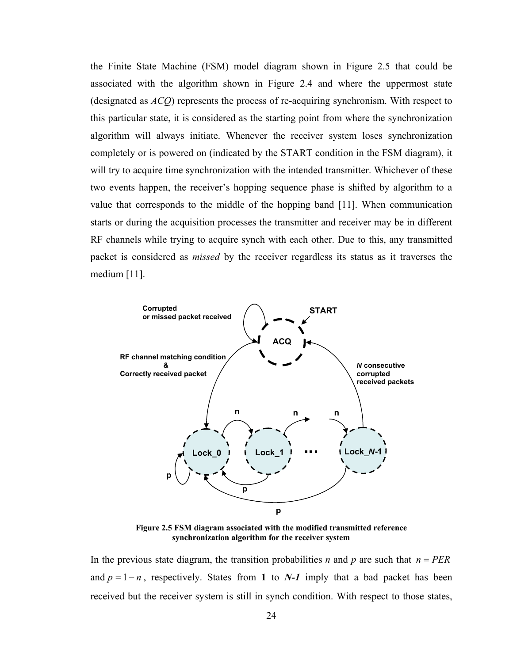<span id="page-35-0"></span>the Finite State Machine (FSM) model diagram shown in Figure 2.5 that could be associated with the algorithm shown in Figure 2.4 and where the uppermost state (designated as *ACQ*) represents the process of re-acquiring synchronism. With respect to this particular state, it is considered as the starting point from where the synchronization algorithm will always initiate. Whenever the receiver system loses synchronization completely or is powered on (indicated by the START condition in the FSM diagram), it will try to acquire time synchronization with the intended transmitter. Whichever of these two events happen, the receiver's hopping sequence phase is shifted by algorithm to a value that corresponds to the middle of the hopping band [11]. When communication starts or during the acquisition processes the transmitter and receiver may be in different RF channels while trying to acquire synch with each other. Due to this, any transmitted packet is considered as *missed* by the receiver regardless its status as it traverses the medium [11].



**Figure 2.5 FSM diagram associated with the modified transmitted reference synchronization algorithm for the receiver system** 

In the previous state diagram, the transition probabilities *n* and *p* are such that  $n = PER$ and  $p = 1 - n$ , respectively. States from 1 to *N*-*1* imply that a bad packet has been received but the receiver system is still in synch condition. With respect to those states,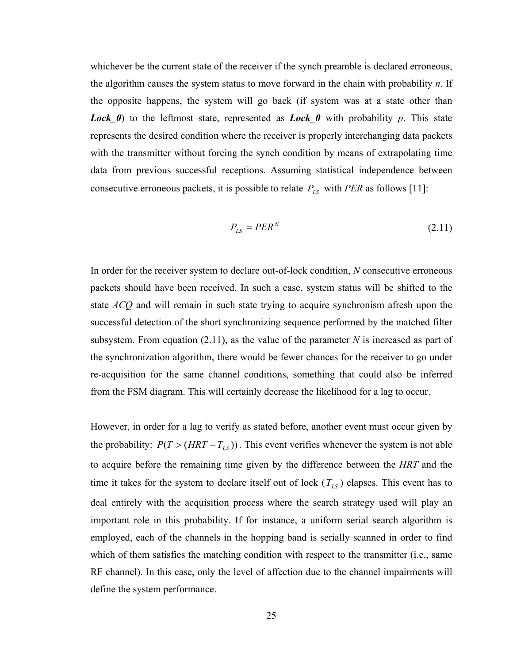whichever be the current state of the receiver if the synch preamble is declared erroneous, the algorithm causes the system status to move forward in the chain with probability *n*. If the opposite happens, the system will go back (if system was at a state other than *Lock*  $\theta$ ) to the leftmost state, represented as *Lock*  $\theta$  with probability  $p$ . This state represents the desired condition where the receiver is properly interchanging data packets with the transmitter without forcing the synch condition by means of extrapolating time data from previous successful receptions. Assuming statistical independence between consecutive erroneous packets, it is possible to relate  $P_{LS}$  with *PER* as follows [11]:

$$
P_{LS} = PER^N \tag{2.11}
$$

In order for the receiver system to declare out-of-lock condition, *N* consecutive erroneous packets should have been received. In such a case, system status will be shifted to the state *ACQ* and will remain in such state trying to acquire synchronism afresh upon the successful detection of the short synchronizing sequence performed by the matched filter subsystem. From equation  $(2.11)$ , as the value of the parameter N is increased as part of the synchronization algorithm, there would be fewer chances for the receiver to go under re-acquisition for the same channel conditions, something that could also be inferred from the FSM diagram. This will certainly decrease the likelihood for a lag to occur.

However, in order for a lag to verify as stated before, another event must occur given by the probability:  $P(T > (HRT - T_{LS}))$ . This event verifies whenever the system is not able to acquire before the remaining time given by the difference between the *HRT* and the time it takes for the system to declare itself out of lock  $(T_{LS})$  elapses. This event has to deal entirely with the acquisition process where the search strategy used will play an important role in this probability. If for instance, a uniform serial search algorithm is employed, each of the channels in the hopping band is serially scanned in order to find which of them satisfies the matching condition with respect to the transmitter (i.e., same RF channel). In this case, only the level of affection due to the channel impairments will define the system performance.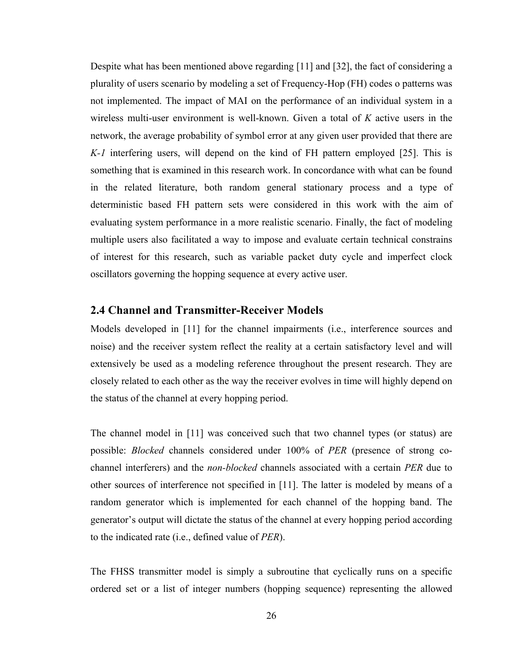Despite what has been mentioned above regarding [11] and [32], the fact of considering a plurality of users scenario by modeling a set of Frequency-Hop (FH) codes o patterns was not implemented. The impact of MAI on the performance of an individual system in a wireless multi-user environment is well-known. Given a total of *K* active users in the network, the average probability of symbol error at any given user provided that there are *K-1* interfering users, will depend on the kind of FH pattern employed [25]. This is something that is examined in this research work. In concordance with what can be found in the related literature, both random general stationary process and a type of deterministic based FH pattern sets were considered in this work with the aim of evaluating system performance in a more realistic scenario. Finally, the fact of modeling multiple users also facilitated a way to impose and evaluate certain technical constrains of interest for this research, such as variable packet duty cycle and imperfect clock oscillators governing the hopping sequence at every active user.

#### **2.4 Channel and Transmitter-Receiver Models**

Models developed in [11] for the channel impairments (i.e., interference sources and noise) and the receiver system reflect the reality at a certain satisfactory level and will extensively be used as a modeling reference throughout the present research. They are closely related to each other as the way the receiver evolves in time will highly depend on the status of the channel at every hopping period.

The channel model in [11] was conceived such that two channel types (or status) are possible: *Blocked* channels considered under 100% of *PER* (presence of strong cochannel interferers) and the *non-blocked* channels associated with a certain *PER* due to other sources of interference not specified in [11]. The latter is modeled by means of a random generator which is implemented for each channel of the hopping band. The generator's output will dictate the status of the channel at every hopping period according to the indicated rate (i.e., defined value of *PER*).

The FHSS transmitter model is simply a subroutine that cyclically runs on a specific ordered set or a list of integer numbers (hopping sequence) representing the allowed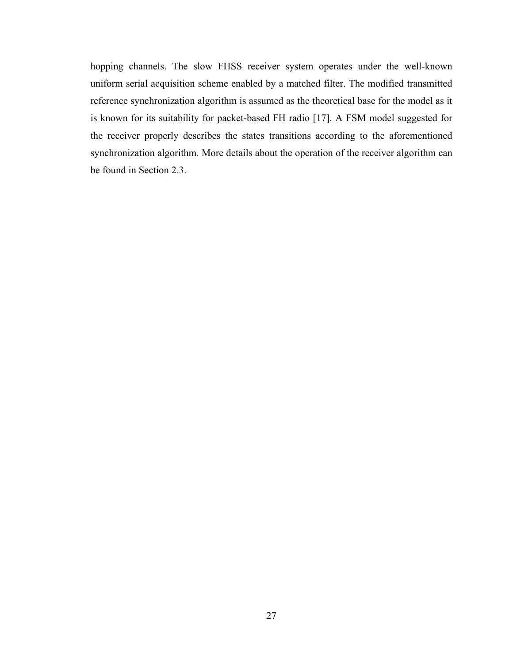hopping channels. The slow FHSS receiver system operates under the well-known uniform serial acquisition scheme enabled by a matched filter. The modified transmitted reference synchronization algorithm is assumed as the theoretical base for the model as it is known for its suitability for packet-based FH radio [17]. A FSM model suggested for the receiver properly describes the states transitions according to the aforementioned synchronization algorithm. More details about the operation of the receiver algorithm can be found in Section 2.3.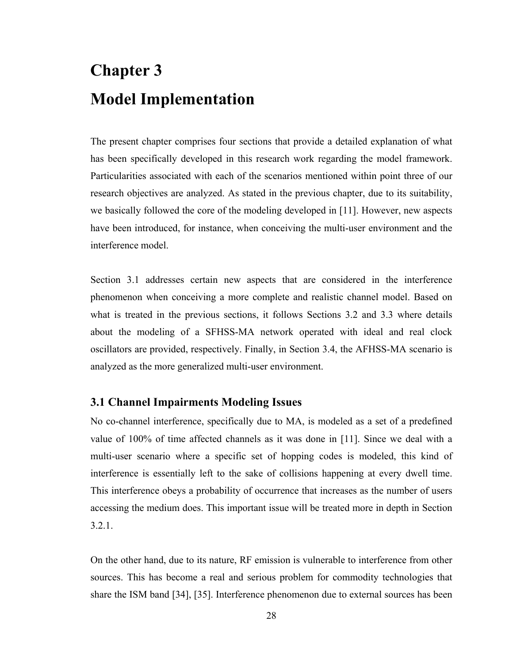# **Chapter 3 Model Implementation**

The present chapter comprises four sections that provide a detailed explanation of what has been specifically developed in this research work regarding the model framework. Particularities associated with each of the scenarios mentioned within point three of our research objectives are analyzed. As stated in the previous chapter, due to its suitability, we basically followed the core of the modeling developed in [11]. However, new aspects have been introduced, for instance, when conceiving the multi-user environment and the interference model.

Section 3.1 addresses certain new aspects that are considered in the interference phenomenon when conceiving a more complete and realistic channel model. Based on what is treated in the previous sections, it follows Sections 3.2 and 3.3 where details about the modeling of a SFHSS-MA network operated with ideal and real clock oscillators are provided, respectively. Finally, in Section 3.4, the AFHSS-MA scenario is analyzed as the more generalized multi-user environment.

#### **3.1 Channel Impairments Modeling Issues**

No co-channel interference, specifically due to MA, is modeled as a set of a predefined value of 100% of time affected channels as it was done in [11]. Since we deal with a multi-user scenario where a specific set of hopping codes is modeled, this kind of interference is essentially left to the sake of collisions happening at every dwell time. This interference obeys a probability of occurrence that increases as the number of users accessing the medium does. This important issue will be treated more in depth in Section 3.2.1.

On the other hand, due to its nature, RF emission is vulnerable to interference from other sources. This has become a real and serious problem for commodity technologies that share the ISM band [34], [35]. Interference phenomenon due to external sources has been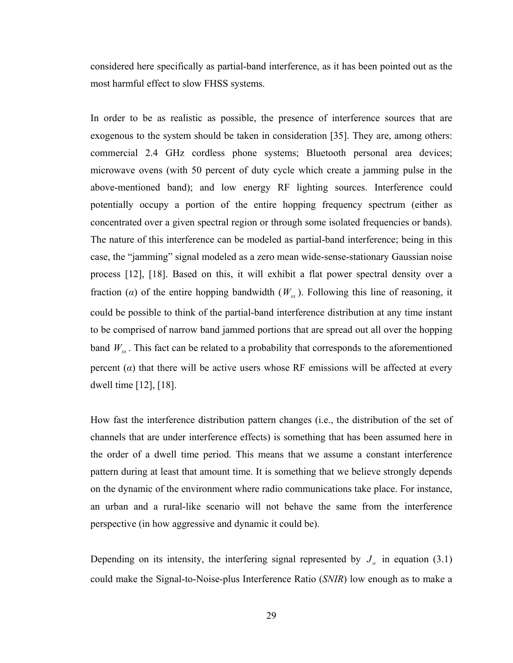considered here specifically as partial-band interference, as it has been pointed out as the most harmful effect to slow FHSS systems.

In order to be as realistic as possible, the presence of interference sources that are exogenous to the system should be taken in consideration [35]. They are, among others: commercial 2.4 GHz cordless phone systems; Bluetooth personal area devices; microwave ovens (with 50 percent of duty cycle which create a jamming pulse in the above-mentioned band); and low energy RF lighting sources. Interference could potentially occupy a portion of the entire hopping frequency spectrum (either as concentrated over a given spectral region or through some isolated frequencies or bands). The nature of this interference can be modeled as partial-band interference; being in this case, the "jamming" signal modeled as a zero mean wide-sense-stationary Gaussian noise process [12], [18]. Based on this, it will exhibit a flat power spectral density over a fraction ( $\alpha$ ) of the entire hopping bandwidth ( $W_{ss}$ ). Following this line of reasoning, it could be possible to think of the partial-band interference distribution at any time instant to be comprised of narrow band jammed portions that are spread out all over the hopping band  $W_{ss}$ . This fact can be related to a probability that corresponds to the aforementioned percent  $(a)$  that there will be active users whose RF emissions will be affected at every dwell time [12], [18].

How fast the interference distribution pattern changes (i.e., the distribution of the set of channels that are under interference effects) is something that has been assumed here in the order of a dwell time period. This means that we assume a constant interference pattern during at least that amount time. It is something that we believe strongly depends on the dynamic of the environment where radio communications take place. For instance, an urban and a rural-like scenario will not behave the same from the interference perspective (in how aggressive and dynamic it could be).

Depending on its intensity, the interfering signal represented by  $J<sub>o</sub>$  in equation (3.1) could make the Signal-to-Noise-plus Interference Ratio (*SNIR*) low enough as to make a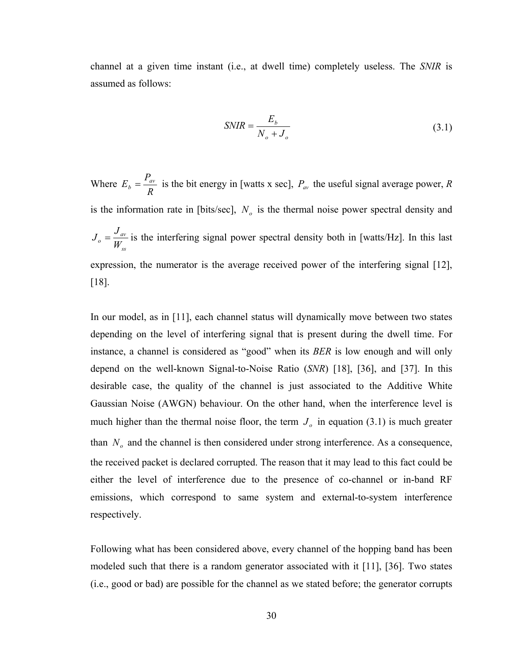channel at a given time instant (i.e., at dwell time) completely useless. The *SNIR* is assumed as follows:

$$
SNIR = \frac{E_b}{N_o + J_o} \tag{3.1}
$$

Where *R*  $E_b = \frac{P_{av}}{P}$  is the bit energy in [watts x sec],  $P_{av}$  the useful signal average power, *R* is the information rate in [bits/sec],  $N<sub>o</sub>$  is the thermal noise power spectral density and *ss*  $\sigma = \frac{V_{av}}{W_{ss}}$  $J_0 = \frac{J_{av}}{V}$  is the interfering signal power spectral density both in [watts/Hz]. In this last expression, the numerator is the average received power of the interfering signal [12], [18].

In our model, as in [11], each channel status will dynamically move between two states depending on the level of interfering signal that is present during the dwell time. For instance, a channel is considered as "good" when its *BER* is low enough and will only depend on the well-known Signal-to-Noise Ratio (*SNR*) [18], [36], and [37]. In this desirable case, the quality of the channel is just associated to the Additive White Gaussian Noise (AWGN) behaviour. On the other hand, when the interference level is much higher than the thermal noise floor, the term  $J<sub>o</sub>$  in equation (3.1) is much greater than  $N<sub>o</sub>$  and the channel is then considered under strong interference. As a consequence, the received packet is declared corrupted. The reason that it may lead to this fact could be either the level of interference due to the presence of co-channel or in-band RF emissions, which correspond to same system and external-to-system interference respectively.

Following what has been considered above, every channel of the hopping band has been modeled such that there is a random generator associated with it [11], [36]. Two states (i.e., good or bad) are possible for the channel as we stated before; the generator corrupts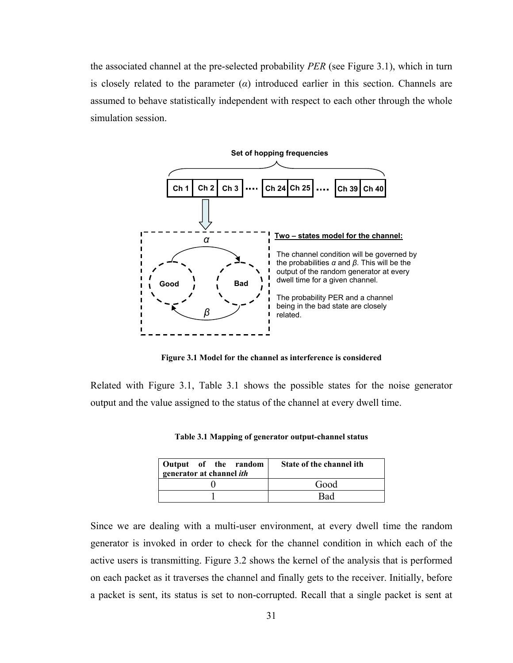the associated channel at the pre-selected probability *PER* (see Figure 3.1), which in turn is closely related to the parameter  $(\alpha)$  introduced earlier in this section. Channels are assumed to behave statistically independent with respect to each other through the whole simulation session.



**Figure 3.1 Model for the channel as interference is considered** 

Related with Figure 3.1, Table 3.1 shows the possible states for the noise generator output and the value assigned to the status of the channel at every dwell time.

| Output of the random<br>generator at channel <i>ith</i> | State of the channel ith |
|---------------------------------------------------------|--------------------------|
|                                                         | Good                     |
|                                                         | Bad                      |

**Table 3.1 Mapping of generator output-channel status** 

Since we are dealing with a multi-user environment, at every dwell time the random generator is invoked in order to check for the channel condition in which each of the active users is transmitting. Figure 3.2 shows the kernel of the analysis that is performed on each packet as it traverses the channel and finally gets to the receiver. Initially, before a packet is sent, its status is set to non-corrupted. Recall that a single packet is sent at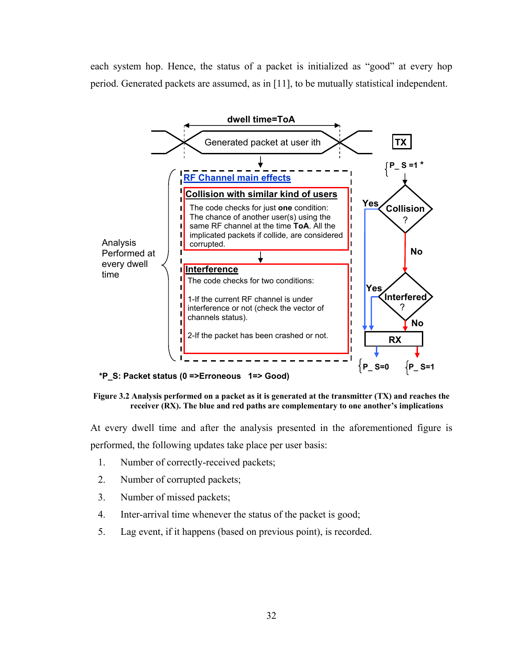each system hop. Hence, the status of a packet is initialized as "good" at every hop period. Generated packets are assumed, as in [11], to be mutually statistical independent.



**Figure 3.2 Analysis performed on a packet as it is generated at the transmitter (TX) and reaches the receiver (RX). The blue and red paths are complementary to one another's implications** 

At every dwell time and after the analysis presented in the aforementioned figure is performed, the following updates take place per user basis:

- 1. Number of correctly-received packets;
- 2. Number of corrupted packets;
- 3. Number of missed packets;
- 4. Inter-arrival time whenever the status of the packet is good;
- 5. Lag event, if it happens (based on previous point), is recorded.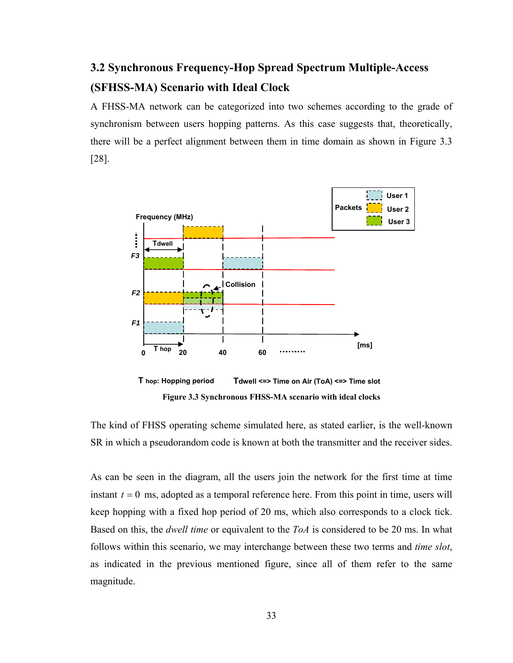# **3.2 Synchronous Frequency-Hop Spread Spectrum Multiple-Access (SFHSS-MA) Scenario with Ideal Clock**

A FHSS-MA network can be categorized into two schemes according to the grade of synchronism between users hopping patterns. As this case suggests that, theoretically, there will be a perfect alignment between them in time domain as shown in Figure 3.3 [28].



The kind of FHSS operating scheme simulated here, as stated earlier, is the well-known SR in which a pseudorandom code is known at both the transmitter and the receiver sides.

As can be seen in the diagram, all the users join the network for the first time at time instant  $t = 0$  ms, adopted as a temporal reference here. From this point in time, users will keep hopping with a fixed hop period of 20 ms, which also corresponds to a clock tick. Based on this, the *dwell time* or equivalent to the *ToA* is considered to be 20 ms. In what follows within this scenario, we may interchange between these two terms and *time slot*, as indicated in the previous mentioned figure, since all of them refer to the same magnitude.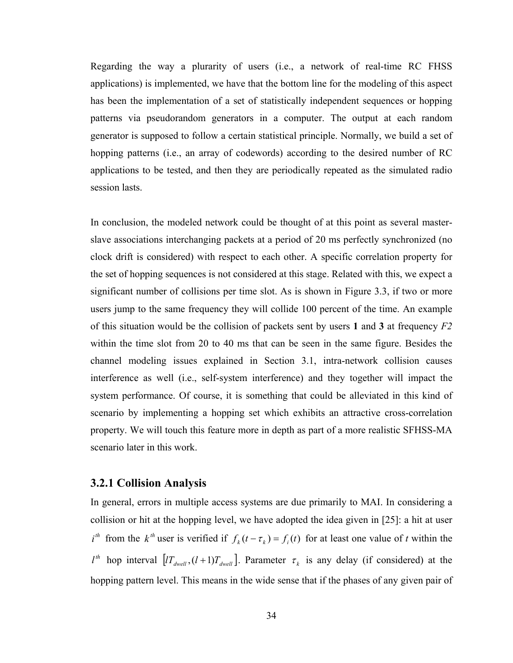Regarding the way a plurarity of users (i.e., a network of real-time RC FHSS applications) is implemented, we have that the bottom line for the modeling of this aspect has been the implementation of a set of statistically independent sequences or hopping patterns via pseudorandom generators in a computer. The output at each random generator is supposed to follow a certain statistical principle. Normally, we build a set of hopping patterns (i.e., an array of codewords) according to the desired number of RC applications to be tested, and then they are periodically repeated as the simulated radio session lasts.

In conclusion, the modeled network could be thought of at this point as several masterslave associations interchanging packets at a period of 20 ms perfectly synchronized (no clock drift is considered) with respect to each other. A specific correlation property for the set of hopping sequences is not considered at this stage. Related with this, we expect a significant number of collisions per time slot. As is shown in Figure 3.3, if two or more users jump to the same frequency they will collide 100 percent of the time. An example of this situation would be the collision of packets sent by users **1** and **3** at frequency *F2* within the time slot from 20 to 40 ms that can be seen in the same figure. Besides the channel modeling issues explained in Section 3.1, intra-network collision causes interference as well (i.e., self-system interference) and they together will impact the system performance. Of course, it is something that could be alleviated in this kind of scenario by implementing a hopping set which exhibits an attractive cross-correlation property. We will touch this feature more in depth as part of a more realistic SFHSS-MA scenario later in this work.

#### **3.2.1 Collision Analysis**

In general, errors in multiple access systems are due primarily to MAI. In considering a collision or hit at the hopping level, we have adopted the idea given in [25]: a hit at user  $i^{th}$  from the  $k^{th}$  user is verified if  $f_k(t - \tau_k) = f_i(t)$  for at least one value of *t* within the  $l<sup>th</sup>$  hop interval  $[I T_{dwell}, (l+1) T_{dwell}]$ . Parameter  $\tau_k$  is any delay (if considered) at the hopping pattern level. This means in the wide sense that if the phases of any given pair of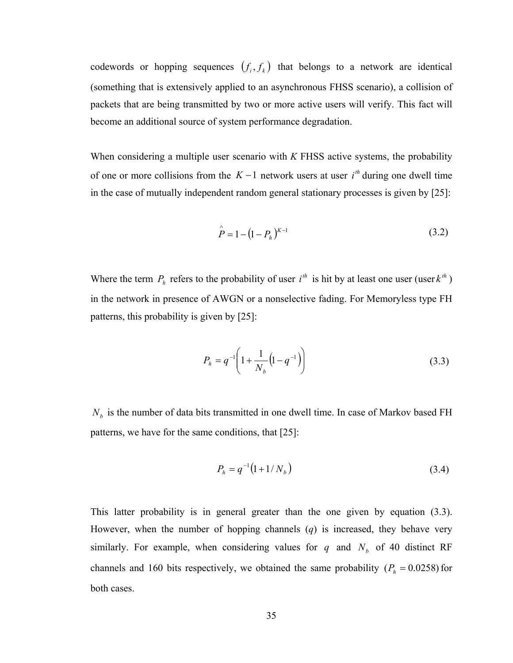codewords or hopping sequences  $(f_i, f_k)$  that belongs to a network are identical (something that is extensively applied to an asynchronous FHSS scenario), a collision of packets that are being transmitted by two or more active users will verify. This fact will become an additional source of system performance degradation.

of one or more collisions from the  $K-1$  network users at user  $i<sup>th</sup>$  during one dwell time When considering a multiple user scenario with *K* FHSS active systems, the probability in the case of mutually independent random general stationary processes is given by [25]:

$$
\hat{P} = 1 - (1 - P_h)^{K-1}
$$
\n(3.2)

Where the term  $P_h$  refers to the probability of user  $i^h$  is hit by at least one user (user  $k^h$ ) in the network in presence of AWGN or a nonselective fading. For Memoryless type FH patterns, this probability is given by [25]:

$$
P_h = q^{-1} \left( 1 + \frac{1}{N_b} \left( 1 - q^{-1} \right) \right) \tag{3.3}
$$

 $N_b$  is the number of data bits transmitted in one dwell time. In case of Markov based FH patterns, we have for the same conditions, that [25]:

$$
P_h = q^{-1} (1 + 1/N_b) \tag{3.4}
$$

This latter probability is in general greater than the one given by equation (3.3). However, when the number of hopping channels (*q*) is increased, they behave very similarly. For example, when considering values for  $q$  and  $N_b$  of 40 distinct RF channels and 160 bits respectively, we obtained the same probability  $(P_h = 0.0258)$  for both cases.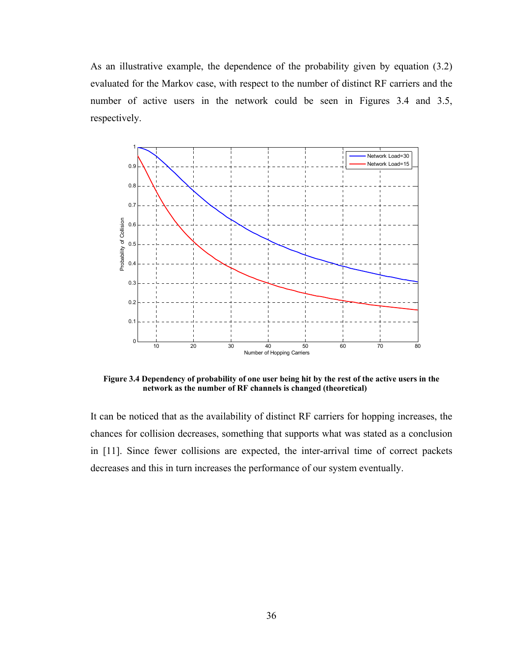As an illustrative example, the dependence of the probability given by equation (3.2) evaluated for the Markov case, with respect to the number of distinct RF carriers and the number of active users in the network could be seen in Figures 3.4 and 3.5, respectively.



**Figure 3.4 Dependency of probability of one user being hit by the rest of the active users in the network as the number of RF channels is changed (theoretical)** 

It can be noticed that as the availability of distinct RF carriers for hopping increases, the chances for collision decreases, something that supports what was stated as a conclusion in [11]. Since fewer collisions are expected, the inter-arrival time of correct packets decreases and this in turn increases the performance of our system eventually.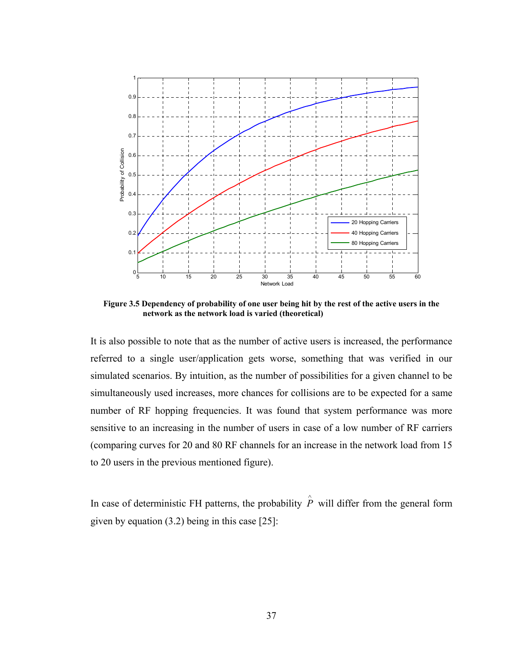

**Figure 3.5 Dependency of probability of one user being hit by the rest of the active users in the network as the network load is varied (theoretical)** 

It is also possible to note that as the number of active users is increased, the performance referred to a single user/application gets worse, something that was verified in our simulated scenarios. By intuition, as the number of possibilities for a given channel to be simultaneously used increases, more chances for collisions are to be expected for a same number of RF hopping frequencies. It was found that system performance was more sensitive to an increasing in the number of users in case of a low number of RF carriers (comparing curves for 20 and 80 RF channels for an increase in the network load from 15 to 20 users in the previous mentioned figure).

In case of deterministic FH patterns, the probability  $\hat{P}$  will differ from the general form given by equation (3.2) being in this case [25]: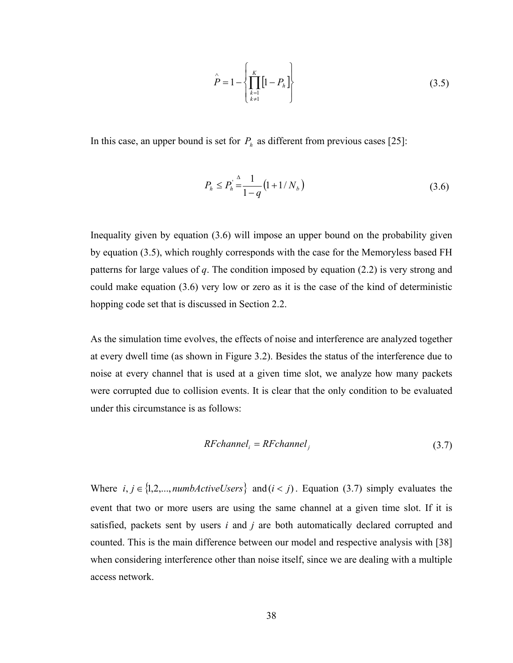$$
\hat{P} = 1 - \left\{ \prod_{\substack{k=1 \\ k \neq 1}}^{K} \left[ 1 - P_h \right] \right\}
$$
\n(3.5)

In this case, an upper bound is set for  $P_h$  as different from previous cases [25]:

$$
P_h \le P_h \frac{\Delta}{1 - q} \left( 1 + 1/N_b \right) \tag{3.6}
$$

Inequality given by equation (3.6) will impose an upper bound on the probability given by equation (3.5), which roughly corresponds with the case for the Memoryless based FH patterns for large values of *q*. The condition imposed by equation (2.2) is very strong and could make equation (3.6) very low or zero as it is the case of the kind of deterministic hopping code set that is discussed in Section 2.2.

As the simulation time evolves, the effects of noise and interference are analyzed together at every dwell time (as shown in Figure 3.2). Besides the status of the interference due to noise at every channel that is used at a given time slot, we analyze how many packets were corrupted due to collision events. It is clear that the only condition to be evaluated under this circumstance is as follows:

$$
RFchannel_i = RFchannel_i \tag{3.7}
$$

Where  $i, j \in \{1, 2, \ldots, \text{numbActiveUsers}\}$  and  $(i < j)$ . Equation (3.7) simply evaluates the event that two or more users are using the same channel at a given time slot. If it is satisfied, packets sent by users *i* and *j* are both automatically declared corrupted and counted. This is the main difference between our model and respective analysis with [38] when considering interference other than noise itself, since we are dealing with a multiple access network.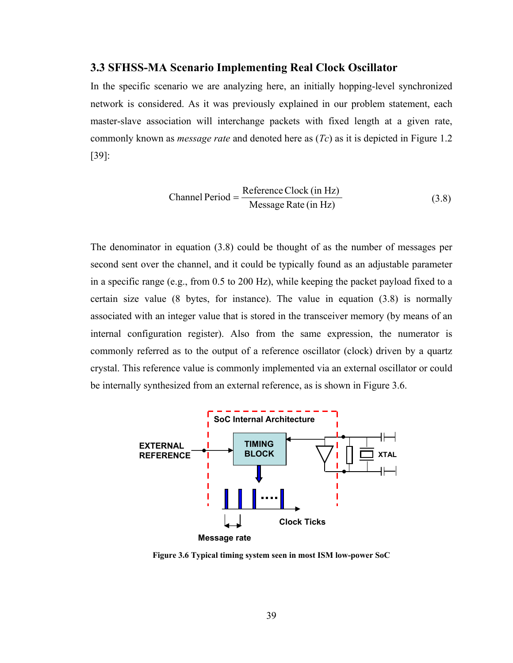#### **3.3 SFHSS-MA Scenario Implementing Real Clock Oscillator**

In the specific scenario we are analyzing here, an initially hopping-level synchronized network is considered. As it was previously explained in our problem statement, each master-slave association will interchange packets with fixed length at a given rate, commonly known as *message rate* and denoted here as (*Tc*) as it is depicted in Figure 1.2 [39]:

$$
Channel Period = \frac{Reference Clock (in Hz)}{Message Rate (in Hz)}
$$
\n(3.8)

The denominator in equation (3.8) could be thought of as the number of messages per second sent over the channel, and it could be typically found as an adjustable parameter in a specific range (e.g., from 0.5 to 200 Hz), while keeping the packet payload fixed to a certain size value (8 bytes, for instance). The value in equation (3.8) is normally associated with an integer value that is stored in the transceiver memory (by means of an internal configuration register). Also from the same expression, the numerator is commonly referred as to the output of a reference oscillator (clock) driven by a quartz crystal. This reference value is commonly implemented via an external oscillator or could be internally synthesized from an external reference, as is shown in Figure 3.6.



**Figure 3.6 Typical timing system seen in most ISM low-power SoC**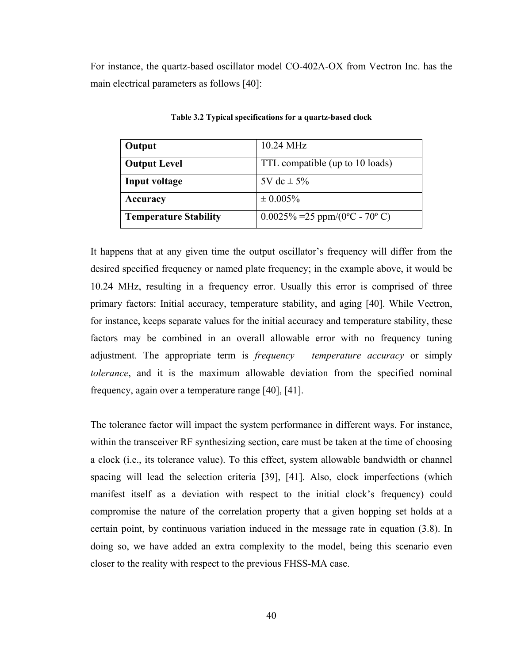For instance, the quartz-based oscillator model CO-402A-OX from Vectron Inc. has the main electrical parameters as follows [40]:

| Output                       | 10.24 MHz                        |
|------------------------------|----------------------------------|
| <b>Output Level</b>          | TTL compatible (up to 10 loads)  |
| Input voltage                | 5V dc $\pm$ 5%                   |
| Accuracy                     | $\pm 0.005\%$                    |
| <b>Temperature Stability</b> | $0.0025\% = 25$ ppm/(0°C - 70°C) |

**Table 3.2 Typical specifications for a quartz-based clock** 

It happens that at any given time the output oscillator's frequency will differ from the desired specified frequency or named plate frequency; in the example above, it would be 10.24 MHz, resulting in a frequency error. Usually this error is comprised of three primary factors: Initial accuracy, temperature stability, and aging [40]. While Vectron, for instance, keeps separate values for the initial accuracy and temperature stability, these factors may be combined in an overall allowable error with no frequency tuning adjustment. The appropriate term is *frequency – temperature accuracy* or simply *tolerance*, and it is the maximum allowable deviation from the specified nominal frequency, again over a temperature range [40], [41].

The tolerance factor will impact the system performance in different ways. For instance, within the transceiver RF synthesizing section, care must be taken at the time of choosing a clock (i.e., its tolerance value). To this effect, system allowable bandwidth or channel spacing will lead the selection criteria [39], [41]. Also, clock imperfections (which manifest itself as a deviation with respect to the initial clock's frequency) could compromise the nature of the correlation property that a given hopping set holds at a certain point, by continuous variation induced in the message rate in equation (3.8). In doing so, we have added an extra complexity to the model, being this scenario even closer to the reality with respect to the previous FHSS-MA case.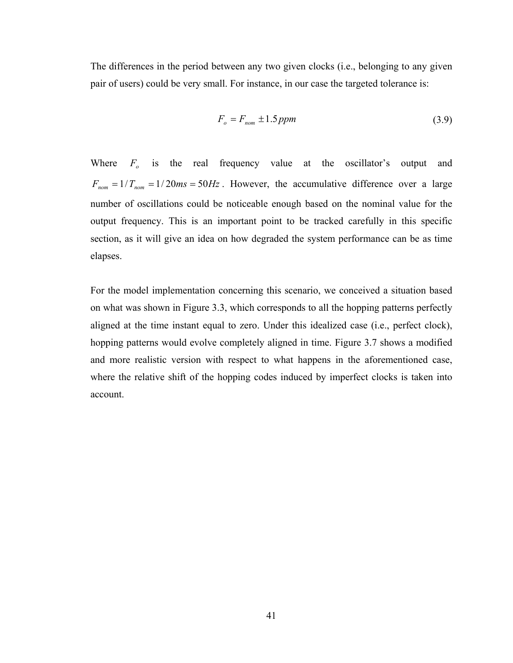The differences in the period between any two given clocks (i.e., belonging to any given pair of users) could be very small. For instance, in our case the targeted tolerance is:

$$
F_o = F_{nom} \pm 1.5 ppm \tag{3.9}
$$

Where  $F_o$  is the real frequency value at the oscillator's output and  $F_{nom} = 1/T_{nom} = 1/20ms = 50Hz$ . However, the accumulative difference over a large number of oscillations could be noticeable enough based on the nominal value for the output frequency. This is an important point to be tracked carefully in this specific section, as it will give an idea on how degraded the system performance can be as time elapses.

For the model implementation concerning this scenario, we conceived a situation based on what was shown in Figure 3.3, which corresponds to all the hopping patterns perfectly aligned at the time instant equal to zero. Under this idealized case (i.e., perfect clock), hopping patterns would evolve completely aligned in time. Figure 3.7 shows a modified and more realistic version with respect to what happens in the aforementioned case, where the relative shift of the hopping codes induced by imperfect clocks is taken into account.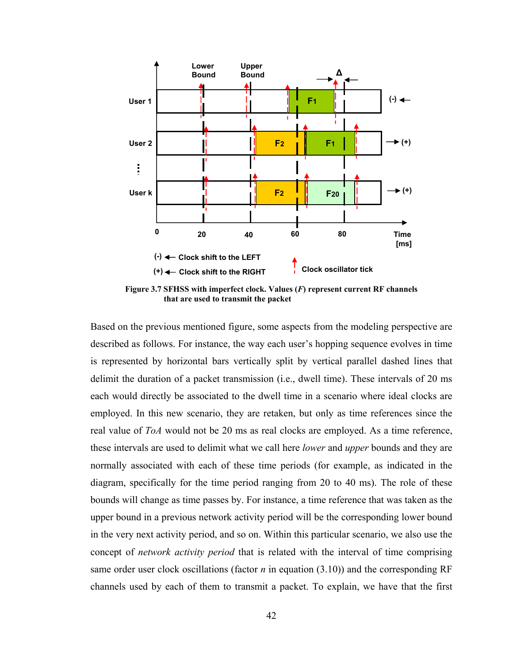

**Figure 3.7 SFHSS with imperfect clock. Values (***F***) represent current RF channels that are used to transmit the packet** 

Based on the previous mentioned figure, some aspects from the modeling perspective are described as follows. For instance, the way each user's hopping sequence evolves in time is represented by horizontal bars vertically split by vertical parallel dashed lines that delimit the duration of a packet transmission (i.e., dwell time). These intervals of 20 ms each would directly be associated to the dwell time in a scenario where ideal clocks are employed. In this new scenario, they are retaken, but only as time references since the real value of *ToA* would not be 20 ms as real clocks are employed. As a time reference, these intervals are used to delimit what we call here *lower* and *upper* bounds and they are normally associated with each of these time periods (for example, as indicated in the diagram, specifically for the time period ranging from 20 to 40 ms). The role of these bounds will change as time passes by. For instance, a time reference that was taken as the upper bound in a previous network activity period will be the corresponding lower bound in the very next activity period, and so on. Within this particular scenario, we also use the concept of *network activity period* that is related with the interval of time comprising same order user clock oscillations (factor  $n$  in equation (3.10)) and the corresponding RF channels used by each of them to transmit a packet. To explain, we have that the first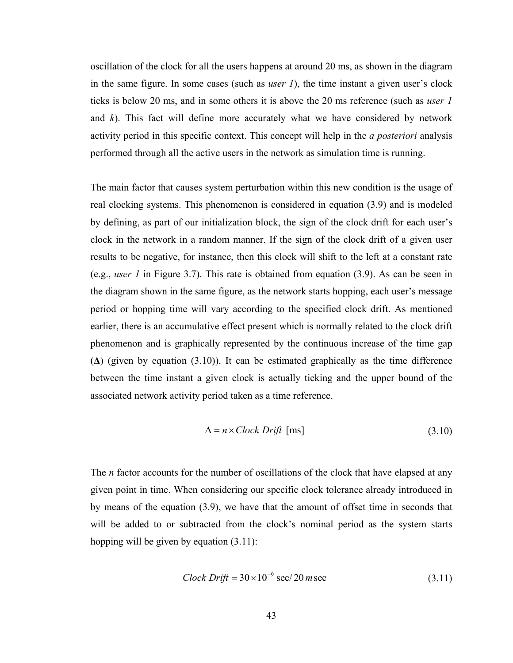oscillation of the clock for all the users happens at around 20 ms, as shown in the diagram in the same figure. In some cases (such as *user 1*), the time instant a given user's clock ticks is below 20 ms, and in some others it is above the 20 ms reference (such as *user 1* and *k*). This fact will define more accurately what we have considered by network activity period in this specific context. This concept will help in the *a posteriori* analysis performed through all the active users in the network as simulation time is running.

The main factor that causes system perturbation within this new condition is the usage of real clocking systems. This phenomenon is considered in equation (3.9) and is modeled by defining, as part of our initialization block, the sign of the clock drift for each user's clock in the network in a random manner. If the sign of the clock drift of a given user results to be negative, for instance, then this clock will shift to the left at a constant rate (e.g., *user 1* in Figure 3.7). This rate is obtained from equation (3.9). As can be seen in the diagram shown in the same figure, as the network starts hopping, each user's message period or hopping time will vary according to the specified clock drift. As mentioned earlier, there is an accumulative effect present which is normally related to the clock drift phenomenon and is graphically represented by the continuous increase of the time gap  $(\Delta)$  (given by equation (3.10)). It can be estimated graphically as the time difference between the time instant a given clock is actually ticking and the upper bound of the associated network activity period taken as a time reference.

$$
\Delta = n \times Clock \; Drift \; [ms] \tag{3.10}
$$

The *n* factor accounts for the number of oscillations of the clock that have elapsed at any given point in time. When considering our specific clock tolerance already introduced in by means of the equation (3.9), we have that the amount of offset time in seconds that will be added to or subtracted from the clock's nominal period as the system starts hopping will be given by equation (3.11):

$$
Clock Drift = 30 \times 10^{-9} \sec/20 m \sec \tag{3.11}
$$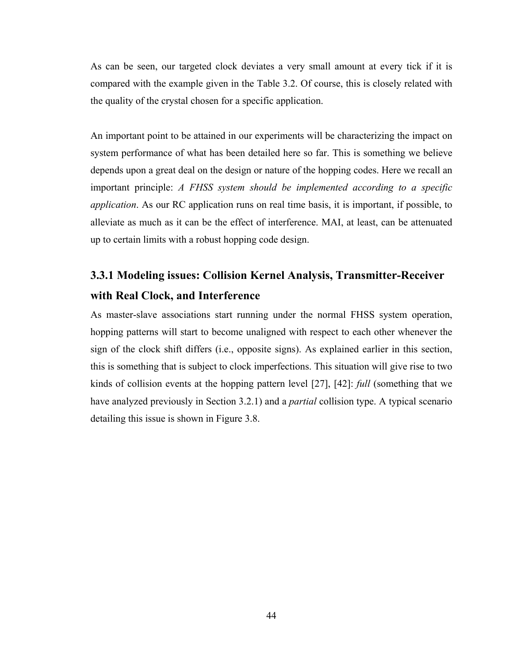As can be seen, our targeted clock deviates a very small amount at every tick if it is compared with the example given in the Table 3.2. Of course, this is closely related with the quality of the crystal chosen for a specific application.

An important point to be attained in our experiments will be characterizing the impact on system performance of what has been detailed here so far. This is something we believe depends upon a great deal on the design or nature of the hopping codes. Here we recall an important principle: *A FHSS system should be implemented according to a specific application*. As our RC application runs on real time basis, it is important, if possible, to alleviate as much as it can be the effect of interference. MAI, at least, can be attenuated up to certain limits with a robust hopping code design.

## **3.3.1 Modeling issues: Collision Kernel Analysis, Transmitter-Receiver with Real Clock, and Interference**

As master-slave associations start running under the normal FHSS system operation, hopping patterns will start to become unaligned with respect to each other whenever the sign of the clock shift differs (i.e., opposite signs). As explained earlier in this section, this is something that is subject to clock imperfections. This situation will give rise to two kinds of collision events at the hopping pattern level [27], [42]: *full* (something that we have analyzed previously in Section 3.2.1) and a *partial* collision type. A typical scenario detailing this issue is shown in Figure 3.8.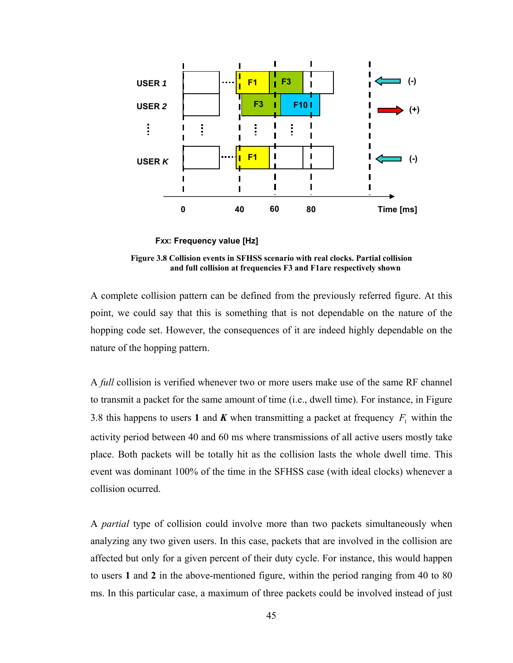

**FXX: Frequency value [Hz]**

**Figure 3.8 Collision events in SFHSS scenario with real clocks. Partial collision and full collision at frequencies F3 and F1are respectively shown** 

A complete collision pattern can be defined from the previously referred figure. At this point, we could say that this is something that is not dependable on the nature of the hopping code set. However, the consequences of it are indeed highly dependable on the nature of the hopping pattern.

A *full* collision is verified whenever two or more users make use of the same RF channel to transmit a packet for the same amount of time (i.e., dwell time). For instance, in Figure 3.8 this happens to users 1 and *K* when transmitting a packet at frequency  $F_1$  within the activity period between 40 and 60 ms where transmissions of all active users mostly take place. Both packets will be totally hit as the collision lasts the whole dwell time. This event was dominant 100% of the time in the SFHSS case (with ideal clocks) whenever a collision ocurred.

A *partial* type of collision could involve more than two packets simultaneously when analyzing any two given users. In this case, packets that are involved in the collision are affected but only for a given percent of their duty cycle. For instance, this would happen to users **1** and **2** in the above-mentioned figure, within the period ranging from 40 to 80 ms. In this particular case, a maximum of three packets could be involved instead of just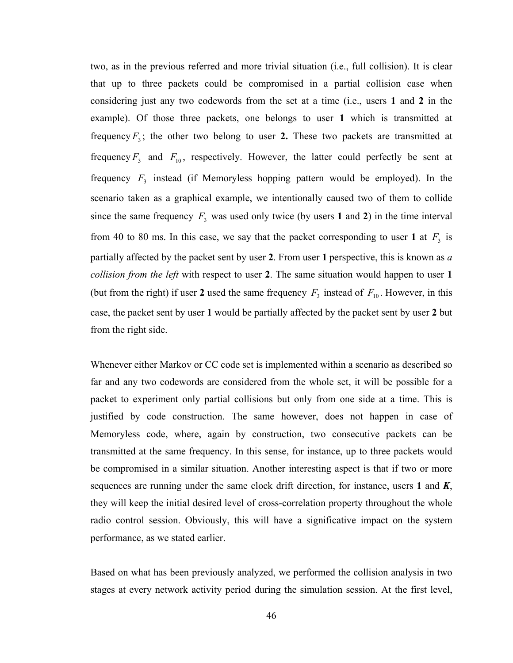two, as in the previous referred and more trivial situation (i.e., full collision). It is clear that up to three packets could be compromised in a partial collision case when considering just any two codewords from the set at a time (i.e., users **1** and **2** in the example). Of those three packets, one belongs to user **1** which is transmitted at frequency  $F_3$ ; the other two belong to user 2. These two packets are transmitted at frequency  $F_3$  and  $F_{10}$ , respectively. However, the latter could perfectly be sent at frequency  $F_3$  instead (if Memoryless hopping pattern would be employed). In the scenario taken as a graphical example, we intentionally caused two of them to collide since the same frequency  $F_3$  was used only twice (by users 1 and 2) in the time interval from 40 to 80 ms. In this case, we say that the packet corresponding to user 1 at  $F_3$  is partially affected by the packet sent by user **2**. From user **1** perspective, this is known as *a collision from the left* with respect to user **2**. The same situation would happen to user **1**  (but from the right) if user 2 used the same frequency  $F_3$  instead of  $F_{10}$ . However, in this case, the packet sent by user **1** would be partially affected by the packet sent by user **2** but from the right side.

Whenever either Markov or CC code set is implemented within a scenario as described so far and any two codewords are considered from the whole set, it will be possible for a packet to experiment only partial collisions but only from one side at a time. This is justified by code construction. The same however, does not happen in case of Memoryless code, where, again by construction, two consecutive packets can be transmitted at the same frequency. In this sense, for instance, up to three packets would be compromised in a similar situation. Another interesting aspect is that if two or more sequences are running under the same clock drift direction, for instance, users **1** and *K*, they will keep the initial desired level of cross-correlation property throughout the whole radio control session. Obviously, this will have a significative impact on the system performance, as we stated earlier.

Based on what has been previously analyzed, we performed the collision analysis in two stages at every network activity period during the simulation session. At the first level,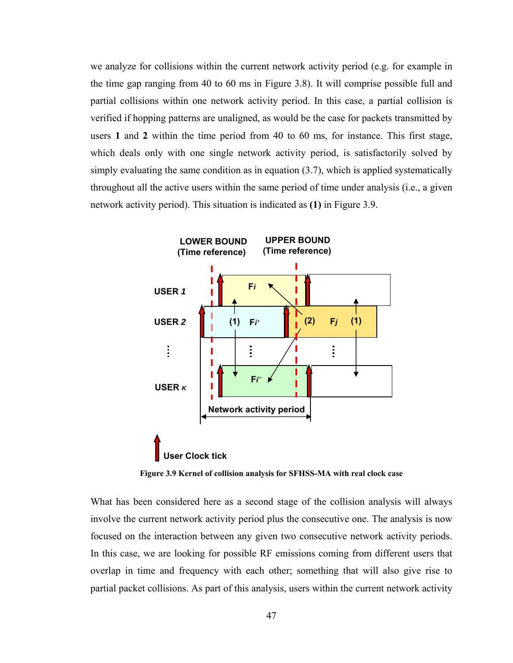we analyze for collisions within the current network activity period (e.g. for example in the time gap ranging from 40 to 60 ms in Figure 3.8). It will comprise possible full and partial collisions within one network activity period. In this case, a partial collision is verified if hopping patterns are unaligned, as would be the case for packets transmitted by users **1** and **2** within the time period from 40 to 60 ms, for instance. This first stage, which deals only with one single network activity period, is satisfactorily solved by simply evaluating the same condition as in equation (3.7), which is applied systematically throughout all the active users within the same period of time under analysis (i.e., a given network activity period). This situation is indicated as **(1)** in Figure 3.9.



**Figure 3.9 Kernel of collision analysis for SFHSS-MA with real clock case** 

What has been considered here as a second stage of the collision analysis will always involve the current network activity period plus the consecutive one. The analysis is now focused on the interaction between any given two consecutive network activity periods. In this case, we are looking for possible RF emissions coming from different users that overlap in time and frequency with each other; something that will also give rise to partial packet collisions. As part of this analysis, users within the current network activity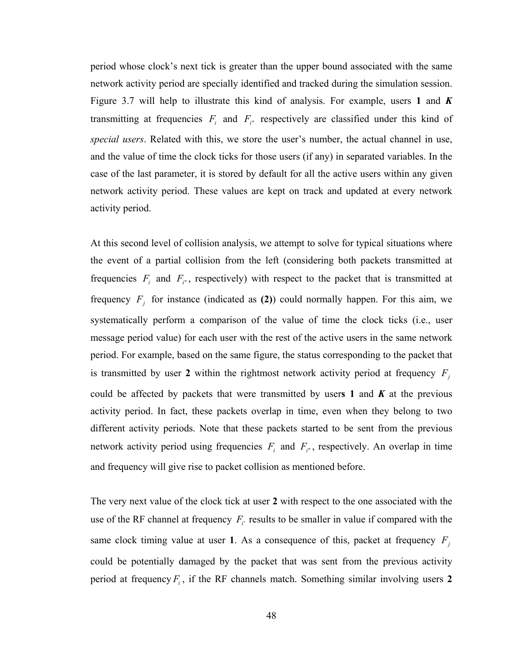period whose clock's next tick is greater than the upper bound associated with the same network activity period are specially identified and tracked during the simulation session. Figure 3.7 will help to illustrate this kind of analysis. For example, users **1** and *K* transmitting at frequencies  $F_i$  and  $F_i$  respectively are classified under this kind of *special users*. Related with this, we store the user's number, the actual channel in use, and the value of time the clock ticks for those users (if any) in separated variables. In the case of the last parameter, it is stored by default for all the active users within any given network activity period. These values are kept on track and updated at every network activity period.

At this second level of collision analysis, we attempt to solve for typical situations where the event of a partial collision from the left (considering both packets transmitted at frequencies  $F_i$  and  $F_i$ , respectively) with respect to the packet that is transmitted at frequency  $F_j$  for instance (indicated as (2)) could normally happen. For this aim, we systematically perform a comparison of the value of time the clock ticks (i.e., user message period value) for each user with the rest of the active users in the same network period. For example, based on the same figure, the status corresponding to the packet that is transmitted by user 2 within the rightmost network activity period at frequency  $F_j$ could be affected by packets that were transmitted by users 1 and  $K$  at the previous activity period. In fact, these packets overlap in time, even when they belong to two different activity periods. Note that these packets started to be sent from the previous network activity period using frequencies  $F_i$  and  $F_i$ , respectively. An overlap in time and frequency will give rise to packet collision as mentioned before.

The very next value of the clock tick at user **2** with respect to the one associated with the use of the RF channel at frequency  $F_i$  results to be smaller in value if compared with the same clock timing value at user 1. As a consequence of this, packet at frequency  $F_j$ could be potentially damaged by the packet that was sent from the previous activity period at frequency  $F_i$ , if the RF channels match. Something similar involving users 2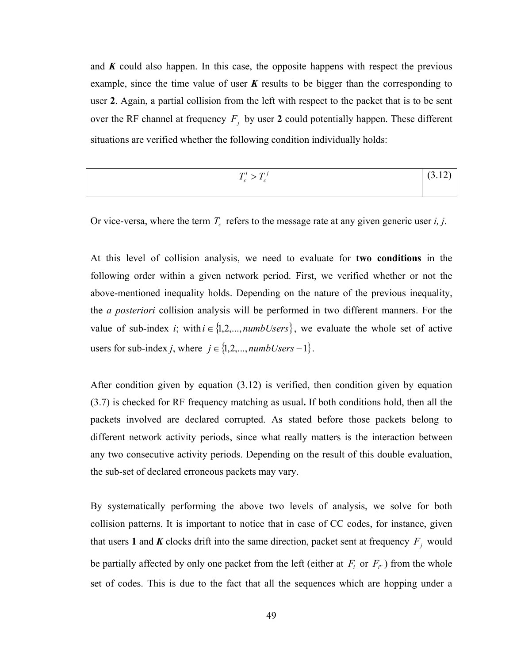and *K* could also happen. In this case, the opposite happens with respect the previous example, since the time value of user *K* results to be bigger than the corresponding to user **2**. Again, a partial collision from the left with respect to the packet that is to be sent over the RF channel at frequency  $F_j$  by user 2 could potentially happen. These different situations are verified whether the following condition individually holds:

| $\pi i$<br>$\bm{\tau}$ i<br>-<br><b>.</b><br>$\overline{\phantom{a}}$ | - |
|-----------------------------------------------------------------------|---|
|                                                                       |   |

Or vice-versa, where the term  $T_c$  refers to the message rate at any given generic user *i*, *j*.

At this level of collision analysis, we need to evaluate for **two conditions** in the following order within a given network period. First, we verified whether or not the above-mentioned inequality holds. Depending on the nature of the previous inequality, the *a posteriori* collision analysis will be performed in two different manners. For the value of sub-index *i*; with  $i \in \{1, 2, ..., \text{numbUsers}\}$ , we evaluate the whole set of active users for sub-index *j*, where  $j \in \{1, 2, ..., \textit{numbUsers} - 1\}$ .

After condition given by equation (3.12) is verified, then condition given by equation (3.7) is checked for RF frequency matching as usual**.** If both conditions hold, then all the packets involved are declared corrupted. As stated before those packets belong to different network activity periods, since what really matters is the interaction between any two consecutive activity periods. Depending on the result of this double evaluation, the sub-set of declared erroneous packets may vary.

By systematically performing the above two levels of analysis, we solve for both collision patterns. It is important to notice that in case of CC codes, for instance, given that users 1 and *K* clocks drift into the same direction, packet sent at frequency  $F_j$  would be partially affected by only one packet from the left (either at  $F_i$  or  $F_i$ ) from the whole set of codes. This is due to the fact that all the sequences which are hopping under a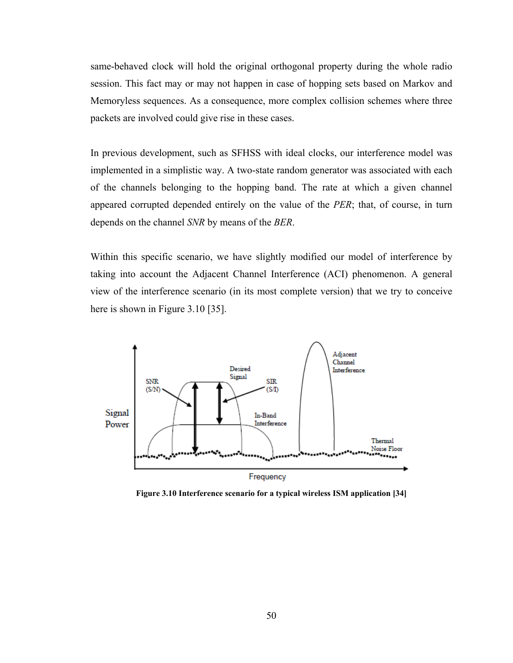same-behaved clock will hold the original orthogonal property during the whole radio session. This fact may or may not happen in case of hopping sets based on Markov and Memoryless sequences. As a consequence, more complex collision schemes where three packets are involved could give rise in these cases.

In previous development, such as SFHSS with ideal clocks, our interference model was implemented in a simplistic way. A two-state random generator was associated with each of the channels belonging to the hopping band. The rate at which a given channel appeared corrupted depended entirely on the value of the *PER*; that, of course, in turn depends on the channel *SNR* by means of the *BER*.

Within this specific scenario, we have slightly modified our model of interference by taking into account the Adjacent Channel Interference (ACI) phenomenon. A general view of the interference scenario (in its most complete version) that we try to conceive here is shown in Figure 3.10 [35].



**Figure 3.10 Interference scenario for a typical wireless ISM application [34]**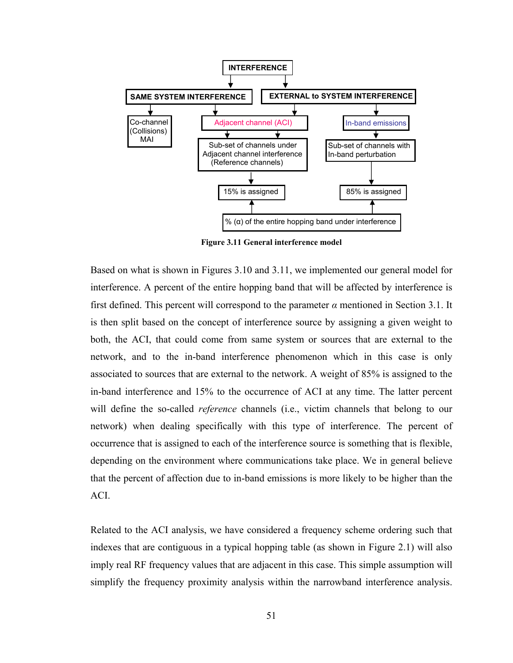

**Figure 3.11 General interference model** 

Based on what is shown in Figures 3.10 and 3.11, we implemented our general model for interference. A percent of the entire hopping band that will be affected by interference is first defined. This percent will correspond to the parameter  $\alpha$  mentioned in Section 3.1. It is then split based on the concept of interference source by assigning a given weight to both, the ACI, that could come from same system or sources that are external to the network, and to the in-band interference phenomenon which in this case is only associated to sources that are external to the network. A weight of 85% is assigned to the in-band interference and 15% to the occurrence of ACI at any time. The latter percent will define the so-called *reference* channels (i.e., victim channels that belong to our network) when dealing specifically with this type of interference. The percent of occurrence that is assigned to each of the interference source is something that is flexible, depending on the environment where communications take place. We in general believe that the percent of affection due to in-band emissions is more likely to be higher than the ACI.

Related to the ACI analysis, we have considered a frequency scheme ordering such that indexes that are contiguous in a typical hopping table (as shown in Figure 2.1) will also imply real RF frequency values that are adjacent in this case. This simple assumption will simplify the frequency proximity analysis within the narrowband interference analysis.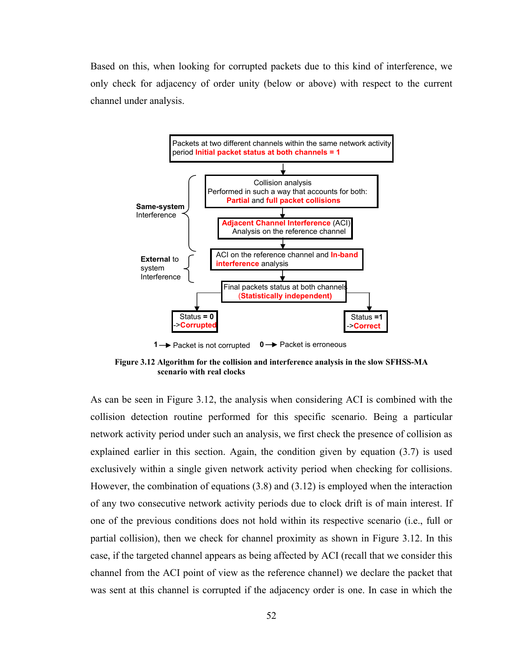Based on this, when looking for corrupted packets due to this kind of interference, we only check for adjacency of order unity (below or above) with respect to the current channel under analysis.



**1** → Packet is not corrupted **0** → Packet is erroneous

**Figure 3.12 Algorithm for the collision and interference analysis in the slow SFHSS-MA scenario with real clocks** 

As can be seen in Figure 3.12, the analysis when considering ACI is combined with the collision detection routine performed for this specific scenario. Being a particular network activity period under such an analysis, we first check the presence of collision as explained earlier in this section. Again, the condition given by equation (3.7) is used exclusively within a single given network activity period when checking for collisions. However, the combination of equations (3.8) and (3.12) is employed when the interaction of any two consecutive network activity periods due to clock drift is of main interest. If one of the previous conditions does not hold within its respective scenario (i.e., full or partial collision), then we check for channel proximity as shown in Figure 3.12. In this case, if the targeted channel appears as being affected by ACI (recall that we consider this channel from the ACI point of view as the reference channel) we declare the packet that was sent at this channel is corrupted if the adjacency order is one. In case in which the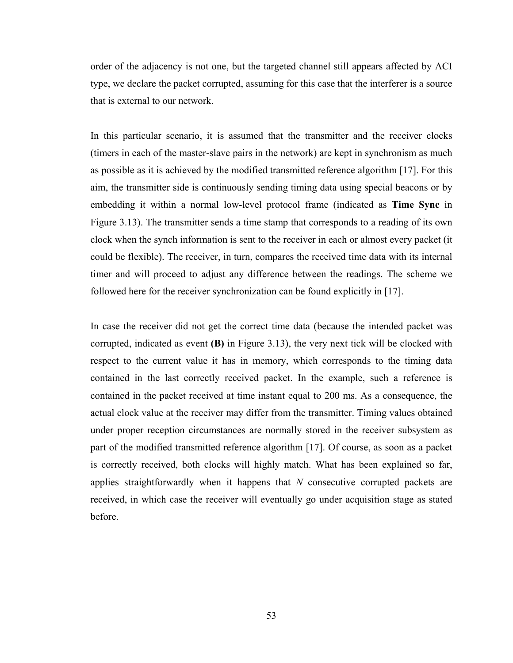order of the adjacency is not one, but the targeted channel still appears affected by ACI type, we declare the packet corrupted, assuming for this case that the interferer is a source that is external to our network.

In this particular scenario, it is assumed that the transmitter and the receiver clocks (timers in each of the master-slave pairs in the network) are kept in synchronism as much as possible as it is achieved by the modified transmitted reference algorithm [17]. For this aim, the transmitter side is continuously sending timing data using special beacons or by embedding it within a normal low-level protocol frame (indicated as **Time Sync** in Figure 3.13). The transmitter sends a time stamp that corresponds to a reading of its own clock when the synch information is sent to the receiver in each or almost every packet (it could be flexible). The receiver, in turn, compares the received time data with its internal timer and will proceed to adjust any difference between the readings. The scheme we followed here for the receiver synchronization can be found explicitly in [17].

In case the receiver did not get the correct time data (because the intended packet was corrupted, indicated as event **(B)** in Figure 3.13), the very next tick will be clocked with respect to the current value it has in memory, which corresponds to the timing data contained in the last correctly received packet. In the example, such a reference is contained in the packet received at time instant equal to 200 ms. As a consequence, the actual clock value at the receiver may differ from the transmitter. Timing values obtained under proper reception circumstances are normally stored in the receiver subsystem as part of the modified transmitted reference algorithm [17]. Of course, as soon as a packet is correctly received, both clocks will highly match. What has been explained so far, applies straightforwardly when it happens that *N* consecutive corrupted packets are received, in which case the receiver will eventually go under acquisition stage as stated before.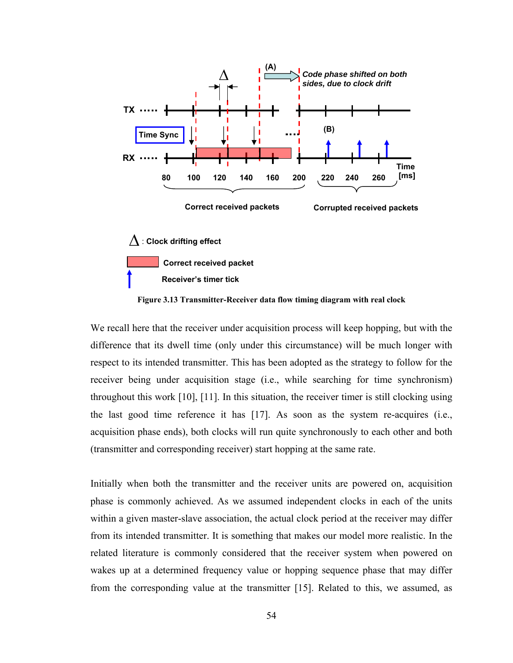

**Correct received packet**

**Receiver's timer tick**

**Figure 3.13 Transmitter-Receiver data flow timing diagram with real clock** 

We recall here that the receiver under acquisition process will keep hopping, but with the difference that its dwell time (only under this circumstance) will be much longer with respect to its intended transmitter. This has been adopted as the strategy to follow for the receiver being under acquisition stage (i.e., while searching for time synchronism) throughout this work [10], [11]. In this situation, the receiver timer is still clocking using the last good time reference it has [17]. As soon as the system re-acquires (i.e., acquisition phase ends), both clocks will run quite synchronously to each other and both (transmitter and corresponding receiver) start hopping at the same rate.

Initially when both the transmitter and the receiver units are powered on, acquisition phase is commonly achieved. As we assumed independent clocks in each of the units within a given master-slave association, the actual clock period at the receiver may differ from its intended transmitter. It is something that makes our model more realistic. In the related literature is commonly considered that the receiver system when powered on wakes up at a determined frequency value or hopping sequence phase that may differ from the corresponding value at the transmitter [15]. Related to this, we assumed, as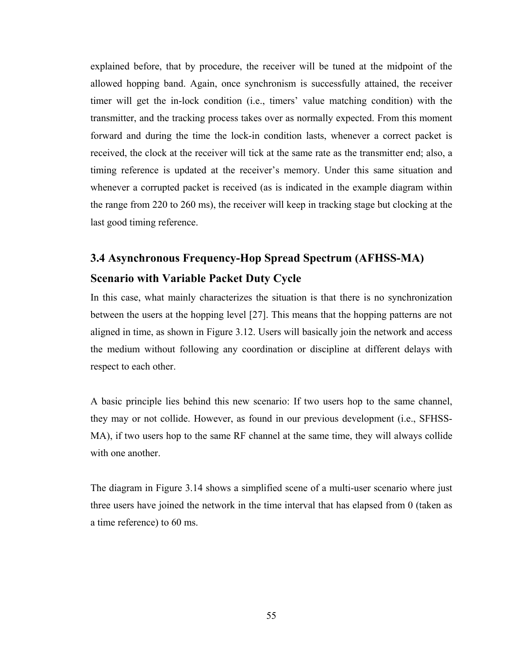explained before, that by procedure, the receiver will be tuned at the midpoint of the allowed hopping band. Again, once synchronism is successfully attained, the receiver timer will get the in-lock condition (i.e., timers' value matching condition) with the transmitter, and the tracking process takes over as normally expected. From this moment forward and during the time the lock-in condition lasts, whenever a correct packet is received, the clock at the receiver will tick at the same rate as the transmitter end; also, a timing reference is updated at the receiver's memory. Under this same situation and whenever a corrupted packet is received (as is indicated in the example diagram within the range from 220 to 260 ms), the receiver will keep in tracking stage but clocking at the last good timing reference.

### **3.4 Asynchronous Frequency-Hop Spread Spectrum (AFHSS-MA) Scenario with Variable Packet Duty Cycle**

In this case, what mainly characterizes the situation is that there is no synchronization between the users at the hopping level [27]. This means that the hopping patterns are not aligned in time, as shown in Figure 3.12. Users will basically join the network and access the medium without following any coordination or discipline at different delays with respect to each other.

A basic principle lies behind this new scenario: If two users hop to the same channel, they may or not collide. However, as found in our previous development (i.e., SFHSS-MA), if two users hop to the same RF channel at the same time, they will always collide with one another.

The diagram in Figure 3.14 shows a simplified scene of a multi-user scenario where just three users have joined the network in the time interval that has elapsed from 0 (taken as a time reference) to 60 ms.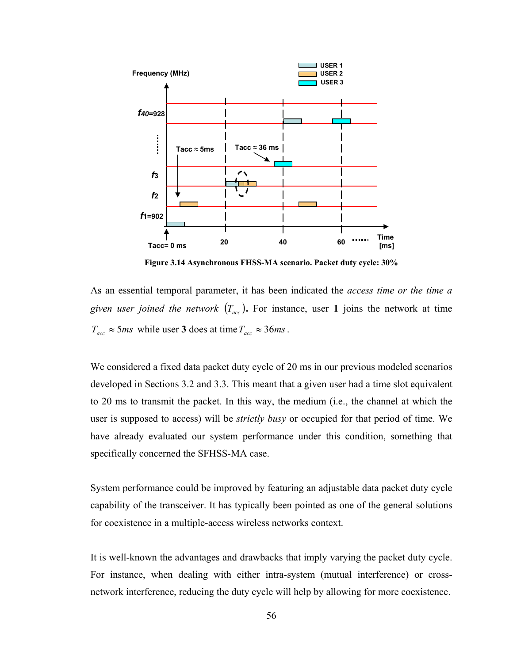

**Figure 3.14 Asynchronous FHSS-MA scenario. Packet duty cycle: 30%**

As an essential temporal parameter, it has been indicated the *access time or the time a given user joined the network*  $(T_{acc})$ . For instance, user 1 joins the network at time  $T_{\text{acc}} \approx 5 \text{ms}$  while user **3** does at time  $T_{\text{acc}} \approx 36 \text{ms}$ .

We considered a fixed data packet duty cycle of 20 ms in our previous modeled scenarios developed in Sections 3.2 and 3.3. This meant that a given user had a time slot equivalent to 20 ms to transmit the packet. In this way, the medium (i.e., the channel at which the user is supposed to access) will be *strictly busy* or occupied for that period of time. We have already evaluated our system performance under this condition, something that specifically concerned the SFHSS-MA case.

System performance could be improved by featuring an adjustable data packet duty cycle capability of the transceiver. It has typically been pointed as one of the general solutions for coexistence in a multiple-access wireless networks context.

It is well-known the advantages and drawbacks that imply varying the packet duty cycle. For instance, when dealing with either intra-system (mutual interference) or crossnetwork interference, reducing the duty cycle will help by allowing for more coexistence.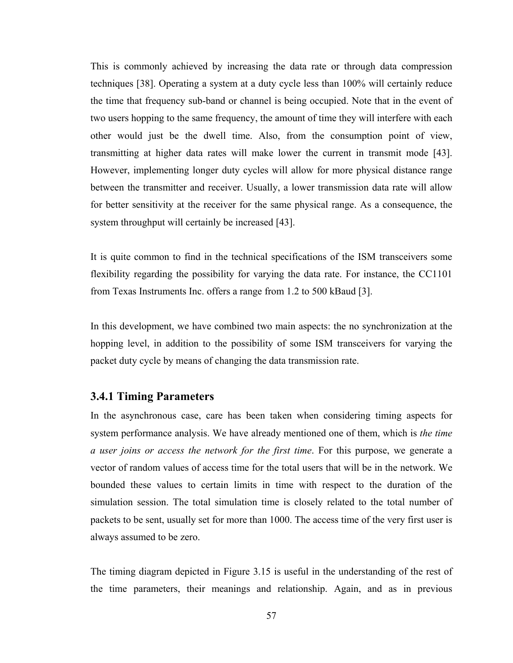This is commonly achieved by increasing the data rate or through data compression techniques [38]. Operating a system at a duty cycle less than 100% will certainly reduce the time that frequency sub-band or channel is being occupied. Note that in the event of two users hopping to the same frequency, the amount of time they will interfere with each other would just be the dwell time. Also, from the consumption point of view, transmitting at higher data rates will make lower the current in transmit mode [43]. However, implementing longer duty cycles will allow for more physical distance range between the transmitter and receiver. Usually, a lower transmission data rate will allow for better sensitivity at the receiver for the same physical range. As a consequence, the system throughput will certainly be increased [43].

It is quite common to find in the technical specifications of the ISM transceivers some flexibility regarding the possibility for varying the data rate. For instance, the CC1101 from Texas Instruments Inc. offers a range from 1.2 to 500 kBaud [3].

In this development, we have combined two main aspects: the no synchronization at the hopping level, in addition to the possibility of some ISM transceivers for varying the packet duty cycle by means of changing the data transmission rate.

#### **3.4.1 Timing Parameters**

In the asynchronous case, care has been taken when considering timing aspects for system performance analysis. We have already mentioned one of them, which is *the time a user joins or access the network for the first time*. For this purpose, we generate a vector of random values of access time for the total users that will be in the network. We bounded these values to certain limits in time with respect to the duration of the simulation session. The total simulation time is closely related to the total number of packets to be sent, usually set for more than 1000. The access time of the very first user is always assumed to be zero.

The timing diagram depicted in Figure 3.15 is useful in the understanding of the rest of the time parameters, their meanings and relationship. Again, and as in previous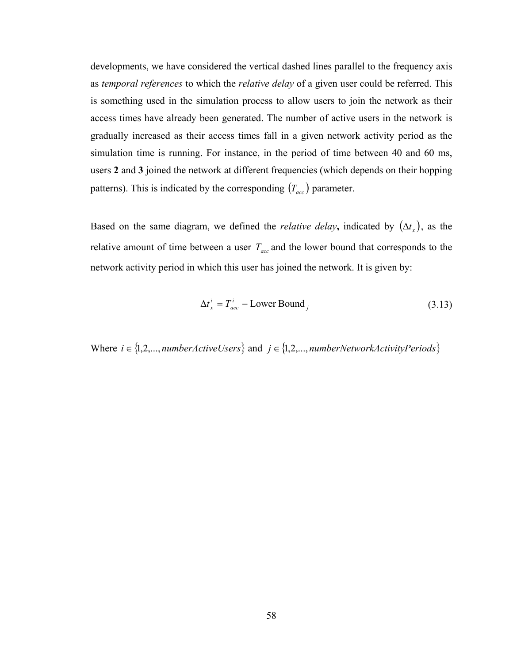developments, we have considered the vertical dashed lines parallel to the frequency axis as *temporal references* to which the *relative delay* of a given user could be referred. This is something used in the simulation process to allow users to join the network as their access times have already been generated. The number of active users in the network is gradually increased as their access times fall in a given network activity period as the simulation time is running. For instance, in the period of time between 40 and 60 ms, users **2** and **3** joined the network at different frequencies (which depends on their hopping patterns). This is indicated by the corresponding  $(T_{acc})$  parameter.

Based on the same diagram, we defined the *relative delay*, indicated by  $(\Delta t_x)$ , as the relative amount of time between a user  $T_{acc}$  and the lower bound that corresponds to the network activity period in which this user has joined the network. It is given by:

$$
\Delta t_x^i = T_{acc}^i - \text{Lower Bound}_j \tag{3.13}
$$

Where  $i \in \{1, 2, \ldots, numberActiveUsers\}$  and  $j \in \{1, 2, \ldots, numberNetworkActivityPeriods\}$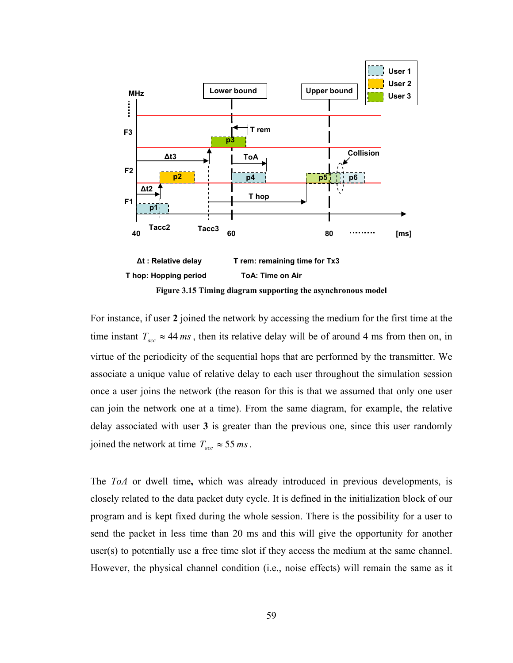

For instance, if user **2** joined the network by accessing the medium for the first time at the time instant  $T_{acc} \approx 44 \text{ ms}$ , then its relative delay will be of around 4 ms from then on, in virtue of the periodicity of the sequential hops that are performed by the transmitter. We associate a unique value of relative delay to each user throughout the simulation session once a user joins the network (the reason for this is that we assumed that only one user can join the network one at a time). From the same diagram, for example, the relative delay associated with user **3** is greater than the previous one, since this user randomly joined the network at time  $T_{acc} \approx 55 \, \text{ms}$ .

The *ToA* or dwell time**,** which was already introduced in previous developments, is closely related to the data packet duty cycle. It is defined in the initialization block of our program and is kept fixed during the whole session. There is the possibility for a user to send the packet in less time than 20 ms and this will give the opportunity for another user(s) to potentially use a free time slot if they access the medium at the same channel. However, the physical channel condition (i.e., noise effects) will remain the same as it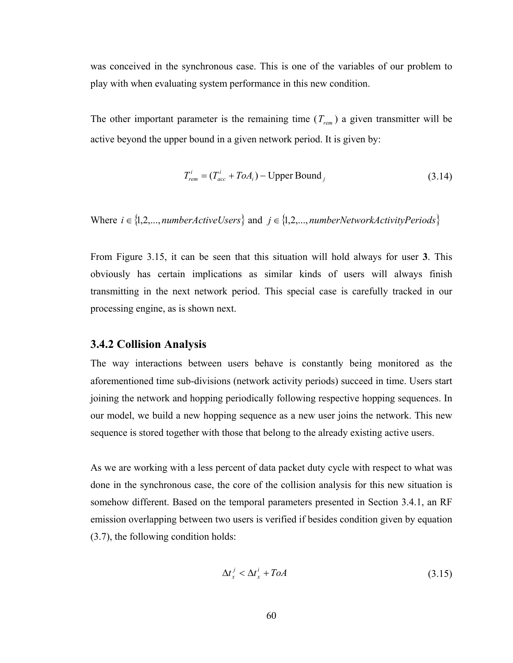was conceived in the synchronous case. This is one of the variables of our problem to play with when evaluating system performance in this new condition.

The other important parameter is the remaining time  $(T_{rem})$  a given transmitter will be active beyond the upper bound in a given network period. It is given by:

$$
T_{rem}^{i} = (T_{acc}^{i} + ToA_{i}) - Upper Bound_{j}
$$
 (3.14)

Where  $i \in \{1, 2, ..., numberActiveUsers\}$  and  $j \in \{1, 2, ..., numberNetworkActivityPeriods\}$ 

From Figure 3.15, it can be seen that this situation will hold always for user **3**. This obviously has certain implications as similar kinds of users will always finish transmitting in the next network period. This special case is carefully tracked in our processing engine, as is shown next.

#### **3.4.2 Collision Analysis**

The way interactions between users behave is constantly being monitored as the aforementioned time sub-divisions (network activity periods) succeed in time. Users start joining the network and hopping periodically following respective hopping sequences. In our model, we build a new hopping sequence as a new user joins the network. This new sequence is stored together with those that belong to the already existing active users.

As we are working with a less percent of data packet duty cycle with respect to what was done in the synchronous case, the core of the collision analysis for this new situation is somehow different. Based on the temporal parameters presented in Section 3.4.1, an RF emission overlapping between two users is verified if besides condition given by equation (3.7), the following condition holds:

$$
\Delta t_x^j < \Delta t_x^i + ToA \tag{3.15}
$$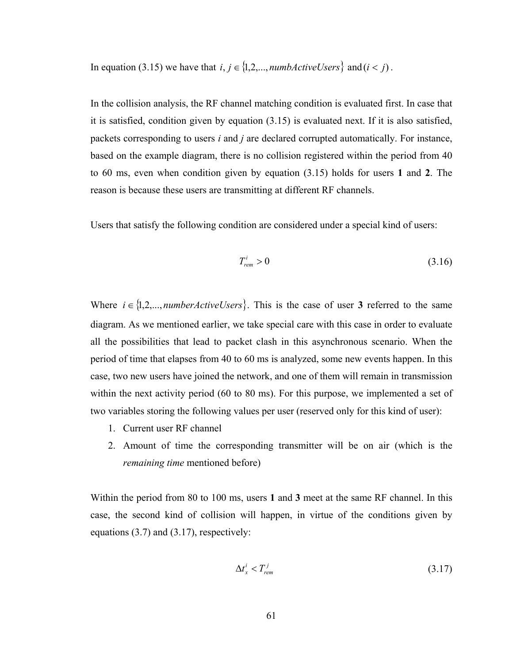In equation (3.15) we have that  $i, j \in \{1, 2, \ldots, \textit{numbActiveUsers}\}\$ and ( $i < j$ ).

In the collision analysis, the RF channel matching condition is evaluated first. In case that it is satisfied, condition given by equation (3.15) is evaluated next. If it is also satisfied, packets corresponding to users *i* and *j* are declared corrupted automatically. For instance, based on the example diagram, there is no collision registered within the period from 40 to 60 ms, even when condition given by equation (3.15) holds for users **1** and **2**. The reason is because these users are transmitting at different RF channels.

Users that satisfy the following condition are considered under a special kind of users:

$$
T_{\text{rem}}^i > 0 \tag{3.16}
$$

Where  $i \in \{1, 2, \ldots, \text{numberActiveUsers}\}\$ . This is the case of user **3** referred to the same diagram. As we mentioned earlier, we take special care with this case in order to evaluate all the possibilities that lead to packet clash in this asynchronous scenario. When the period of time that elapses from 40 to 60 ms is analyzed, some new events happen. In this case, two new users have joined the network, and one of them will remain in transmission within the next activity period (60 to 80 ms). For this purpose, we implemented a set of two variables storing the following values per user (reserved only for this kind of user):

- 1. Current user RF channel
- 2. Amount of time the corresponding transmitter will be on air (which is the *remaining time* mentioned before)

Within the period from 80 to 100 ms, users **1** and **3** meet at the same RF channel. In this case, the second kind of collision will happen, in virtue of the conditions given by equations (3.7) and (3.17), respectively:

$$
\Delta t_x^i < T_{\text{rem}}^j \tag{3.17}
$$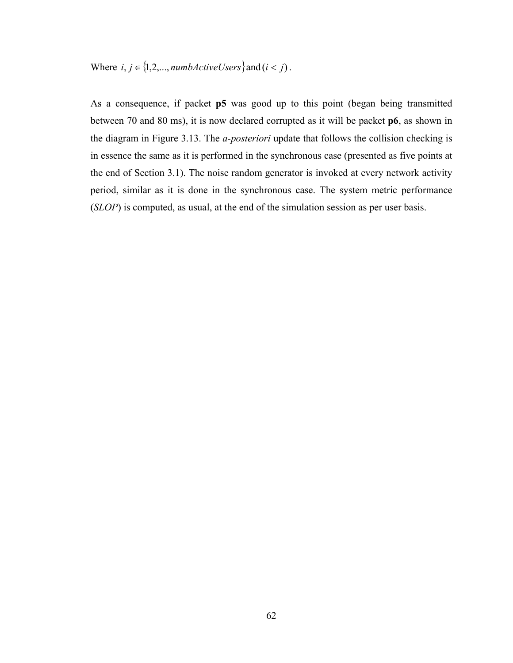Where  $i, j \in \{1, 2, \ldots, \text{number}(I) \}$  and  $(i < j)$ .

As a consequence, if packet **p5** was good up to this point (began being transmitted between 70 and 80 ms), it is now declared corrupted as it will be packet **p6**, as shown in the diagram in Figure 3.13. The *a-posteriori* update that follows the collision checking is in essence the same as it is performed in the synchronous case (presented as five points at the end of Section 3.1). The noise random generator is invoked at every network activity period, similar as it is done in the synchronous case. The system metric performance (*SLOP*) is computed, as usual, at the end of the simulation session as per user basis.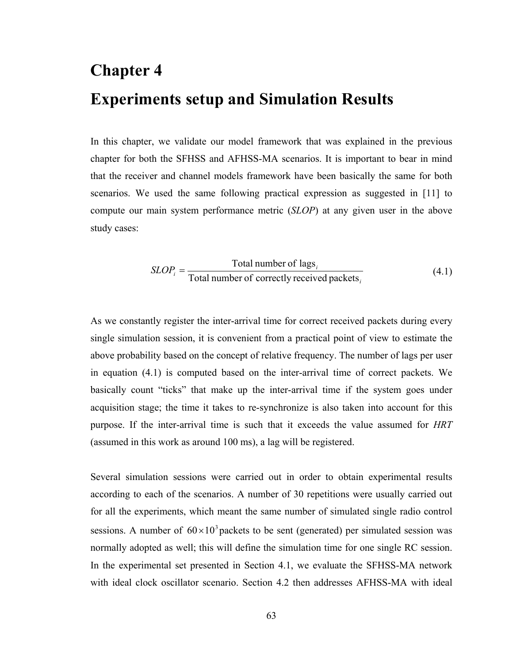# **Chapter 4 Experiments setup and Simulation Results**

In this chapter, we validate our model framework that was explained in the previous chapter for both the SFHSS and AFHSS-MA scenarios. It is important to bear in mind that the receiver and channel models framework have been basically the same for both scenarios. We used the same following practical expression as suggested in [11] to compute our main system performance metric (*SLOP*) at any given user in the above study cases:

$$
SLOP_i = \frac{\text{Total number of lags}_i}{\text{Total number of correctly received packets}_i}
$$
(4.1)

As we constantly register the inter-arrival time for correct received packets during every single simulation session, it is convenient from a practical point of view to estimate the above probability based on the concept of relative frequency. The number of lags per user in equation (4.1) is computed based on the inter-arrival time of correct packets. We basically count "ticks" that make up the inter-arrival time if the system goes under acquisition stage; the time it takes to re-synchronize is also taken into account for this purpose. If the inter-arrival time is such that it exceeds the value assumed for *HRT*  (assumed in this work as around 100 ms), a lag will be registered.

Several simulation sessions were carried out in order to obtain experimental results according to each of the scenarios. A number of 30 repetitions were usually carried out for all the experiments, which meant the same number of simulated single radio control sessions. A number of  $60 \times 10^3$  packets to be sent (generated) per simulated session was normally adopted as well; this will define the simulation time for one single RC session. In the experimental set presented in Section 4.1, we evaluate the SFHSS-MA network with ideal clock oscillator scenario. Section 4.2 then addresses AFHSS-MA with ideal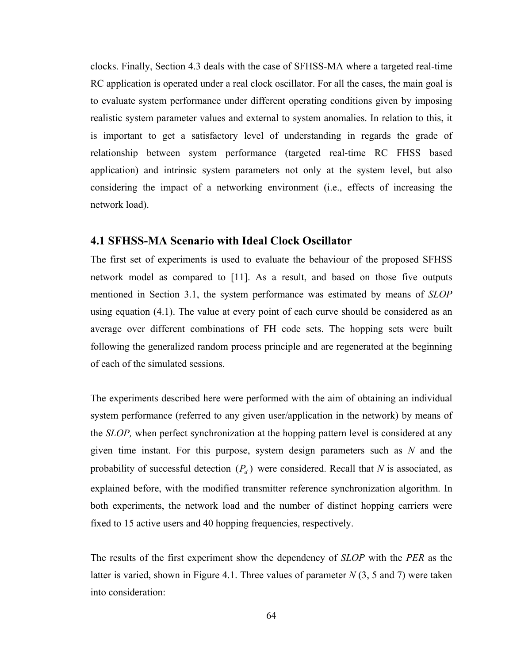clocks. Finally, Section 4.3 deals with the case of SFHSS-MA where a targeted real-time RC application is operated under a real clock oscillator. For all the cases, the main goal is to evaluate system performance under different operating conditions given by imposing realistic system parameter values and external to system anomalies. In relation to this, it is important to get a satisfactory level of understanding in regards the grade of relationship between system performance (targeted real-time RC FHSS based application) and intrinsic system parameters not only at the system level, but also considering the impact of a networking environment (i.e., effects of increasing the network load).

### **4.1 SFHSS-MA Scenario with Ideal Clock Oscillator**

The first set of experiments is used to evaluate the behaviour of the proposed SFHSS network model as compared to [11]. As a result, and based on those five outputs mentioned in Section 3.1, the system performance was estimated by means of *SLOP* using equation (4.1). The value at every point of each curve should be considered as an average over different combinations of FH code sets. The hopping sets were built following the generalized random process principle and are regenerated at the beginning of each of the simulated sessions.

The experiments described here were performed with the aim of obtaining an individual system performance (referred to any given user/application in the network) by means of the *SLOP,* when perfect synchronization at the hopping pattern level is considered at any given time instant. For this purpose, system design parameters such as *N* and the probability of successful detection  $(P_d)$  were considered. Recall that *N* is associated, as explained before, with the modified transmitter reference synchronization algorithm. In both experiments, the network load and the number of distinct hopping carriers were fixed to 15 active users and 40 hopping frequencies, respectively.

The results of the first experiment show the dependency of *SLOP* with the *PER* as the latter is varied, shown in Figure 4.1. Three values of parameter *N* (3, 5 and 7) were taken into consideration: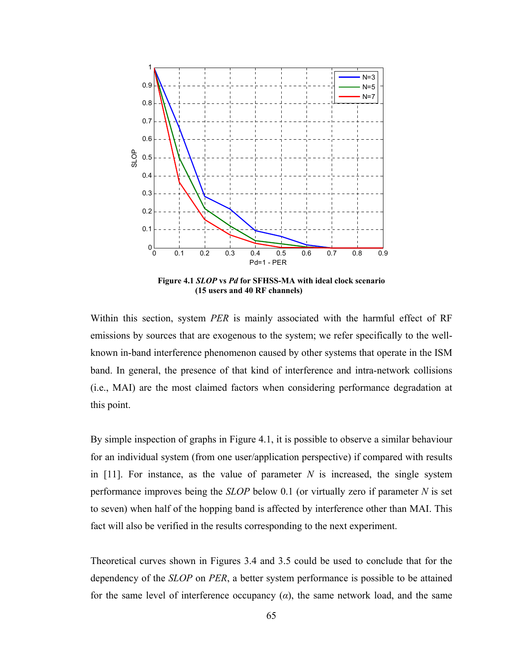

**Figure 4.1** *SLOP* **vs** *Pd* **for SFHSS-MA with ideal clock scenario (15 users and 40 RF channels)** 

Within this section, system *PER* is mainly associated with the harmful effect of RF emissions by sources that are exogenous to the system; we refer specifically to the wellknown in-band interference phenomenon caused by other systems that operate in the ISM band. In general, the presence of that kind of interference and intra-network collisions (i.e., MAI) are the most claimed factors when considering performance degradation at this point.

By simple inspection of graphs in Figure 4.1, it is possible to observe a similar behaviour for an individual system (from one user/application perspective) if compared with results in  $[11]$ . For instance, as the value of parameter N is increased, the single system performance improves being the *SLOP* below 0.1 (or virtually zero if parameter *N* is set to seven) when half of the hopping band is affected by interference other than MAI. This fact will also be verified in the results corresponding to the next experiment.

Theoretical curves shown in Figures 3.4 and 3.5 could be used to conclude that for the dependency of the *SLOP* on *PER*, a better system performance is possible to be attained for the same level of interference occupancy  $(a)$ , the same network load, and the same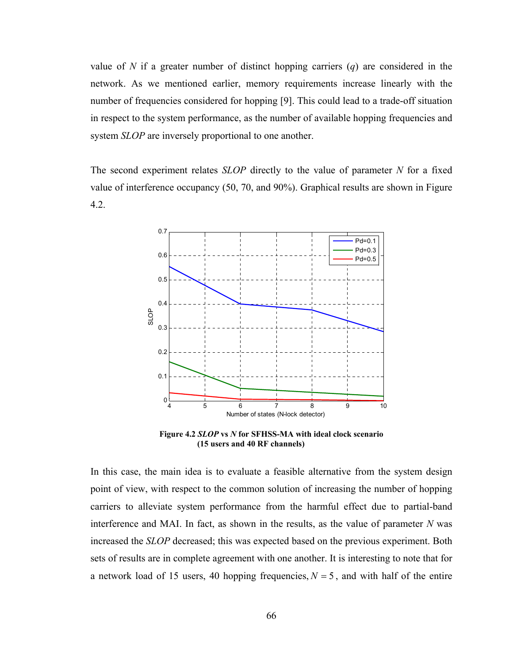value of *N* if a greater number of distinct hopping carriers (*q*) are considered in the network. As we mentioned earlier, memory requirements increase linearly with the number of frequencies considered for hopping [9]. This could lead to a trade-off situation in respect to the system performance, as the number of available hopping frequencies and system *SLOP* are inversely proportional to one another.

The second experiment relates *SLOP* directly to the value of parameter *N* for a fixed value of interference occupancy (50, 70, and 90%). Graphical results are shown in Figure 4.2.



**Figure 4.2** *SLOP* **vs** *N* **for SFHSS-MA with ideal clock scenario (15 users and 40 RF channels)** 

In this case, the main idea is to evaluate a feasible alternative from the system design point of view, with respect to the common solution of increasing the number of hopping carriers to alleviate system performance from the harmful effect due to partial-band interference and MAI. In fact, as shown in the results, as the value of parameter *N* was increased the *SLOP* decreased; this was expected based on the previous experiment. Both sets of results are in complete agreement with one another. It is interesting to note that for a network load of 15 users, 40 hopping frequencies,  $N = 5$ , and with half of the entire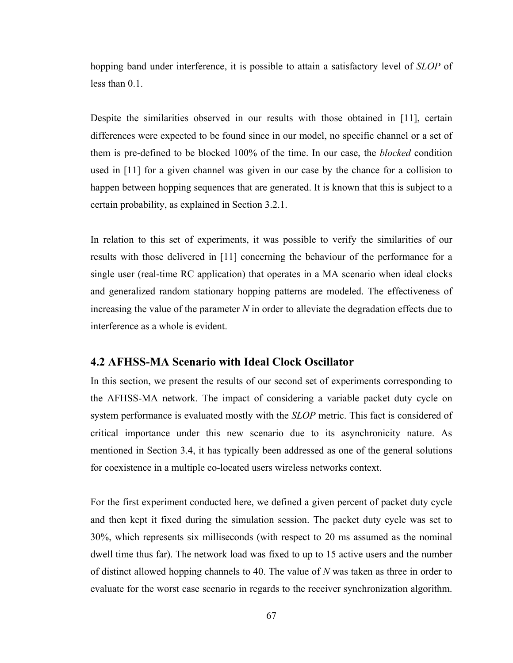hopping band under interference, it is possible to attain a satisfactory level of *SLOP* of less than 0.1.

Despite the similarities observed in our results with those obtained in [11], certain differences were expected to be found since in our model, no specific channel or a set of them is pre-defined to be blocked 100% of the time. In our case, the *blocked* condition used in [11] for a given channel was given in our case by the chance for a collision to happen between hopping sequences that are generated. It is known that this is subject to a certain probability, as explained in Section 3.2.1.

In relation to this set of experiments, it was possible to verify the similarities of our results with those delivered in [11] concerning the behaviour of the performance for a single user (real-time RC application) that operates in a MA scenario when ideal clocks and generalized random stationary hopping patterns are modeled. The effectiveness of increasing the value of the parameter *N* in order to alleviate the degradation effects due to interference as a whole is evident.

### **4.2 AFHSS-MA Scenario with Ideal Clock Oscillator**

In this section, we present the results of our second set of experiments corresponding to the AFHSS-MA network. The impact of considering a variable packet duty cycle on system performance is evaluated mostly with the *SLOP* metric. This fact is considered of critical importance under this new scenario due to its asynchronicity nature. As mentioned in Section 3.4, it has typically been addressed as one of the general solutions for coexistence in a multiple co-located users wireless networks context.

For the first experiment conducted here, we defined a given percent of packet duty cycle and then kept it fixed during the simulation session. The packet duty cycle was set to 30%, which represents six milliseconds (with respect to 20 ms assumed as the nominal dwell time thus far). The network load was fixed to up to 15 active users and the number of distinct allowed hopping channels to 40. The value of *N* was taken as three in order to evaluate for the worst case scenario in regards to the receiver synchronization algorithm.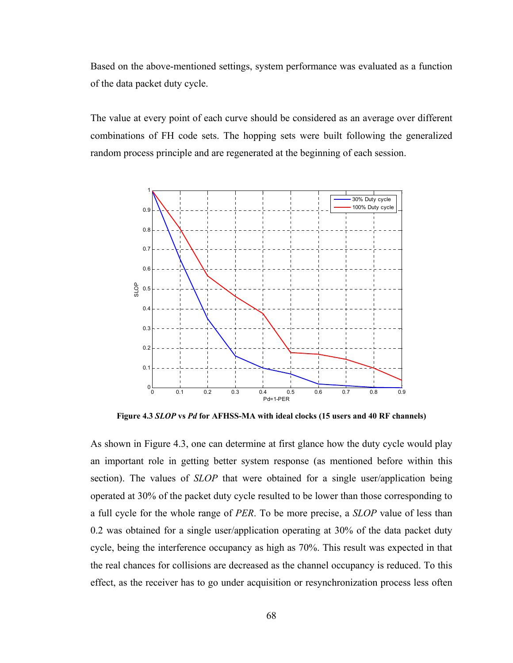Based on the above-mentioned settings, system performance was evaluated as a function of the data packet duty cycle.

The value at every point of each curve should be considered as an average over different combinations of FH code sets. The hopping sets were built following the generalized random process principle and are regenerated at the beginning of each session.



**Figure 4.3** *SLOP* **vs** *Pd* **for AFHSS-MA with ideal clocks (15 users and 40 RF channels)** 

As shown in Figure 4.3, one can determine at first glance how the duty cycle would play an important role in getting better system response (as mentioned before within this section). The values of *SLOP* that were obtained for a single user/application being operated at 30% of the packet duty cycle resulted to be lower than those corresponding to a full cycle for the whole range of *PER*. To be more precise, a *SLOP* value of less than 0.2 was obtained for a single user/application operating at 30% of the data packet duty cycle, being the interference occupancy as high as 70%. This result was expected in that the real chances for collisions are decreased as the channel occupancy is reduced. To this effect, as the receiver has to go under acquisition or resynchronization process less often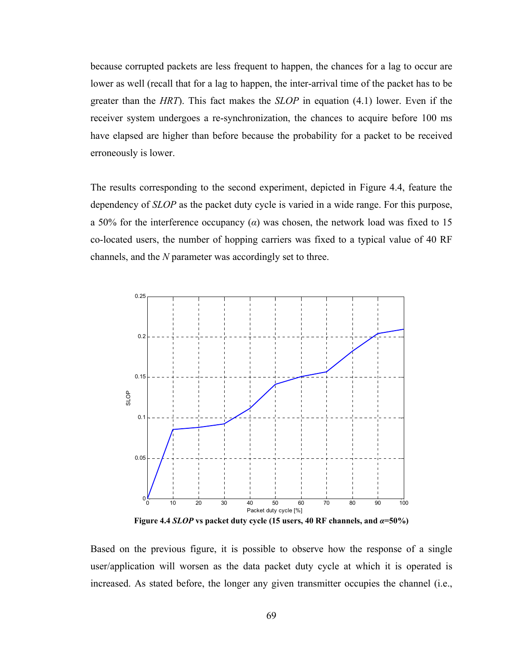because corrupted packets are less frequent to happen, the chances for a lag to occur are lower as well (recall that for a lag to happen, the inter-arrival time of the packet has to be greater than the *HRT*). This fact makes the *SLOP* in equation (4.1) lower. Even if the receiver system undergoes a re-synchronization, the chances to acquire before 100 ms have elapsed are higher than before because the probability for a packet to be received erroneously is lower.

The results corresponding to the second experiment, depicted in Figure 4.4, feature the dependency of *SLOP* as the packet duty cycle is varied in a wide range. For this purpose, a 50% for the interference occupancy (*α*) was chosen, the network load was fixed to 15 co-located users, the number of hopping carriers was fixed to a typical value of 40 RF channels, and the *N* parameter was accordingly set to three.



**Figure 4.4** *SLOP* **vs packet duty cycle (15 users, 40 RF channels, and** *α***=50%)** 

Based on the previous figure, it is possible to observe how the response of a single user/application will worsen as the data packet duty cycle at which it is operated is increased. As stated before, the longer any given transmitter occupies the channel (i.e.,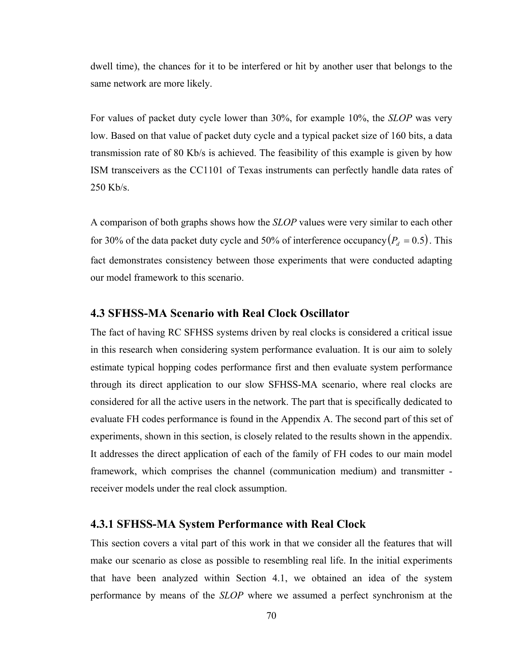dwell time), the chances for it to be interfered or hit by another user that belongs to the same network are more likely.

For values of packet duty cycle lower than 30%, for example 10%, the *SLOP* was very low. Based on that value of packet duty cycle and a typical packet size of 160 bits, a data transmission rate of 80 Kb/s is achieved. The feasibility of this example is given by how ISM transceivers as the CC1101 of Texas instruments can perfectly handle data rates of 250 Kb/s.

A comparison of both graphs shows how the *SLOP* values were very similar to each other for 30% of the data packet duty cycle and 50% of interference occupancy  $(P_d = 0.5)$ . This fact demonstrates consistency between those experiments that were conducted adapting our model framework to this scenario.

# **4.3 SFHSS-MA Scenario with Real Clock Oscillator**

The fact of having RC SFHSS systems driven by real clocks is considered a critical issue in this research when considering system performance evaluation. It is our aim to solely estimate typical hopping codes performance first and then evaluate system performance through its direct application to our slow SFHSS-MA scenario, where real clocks are considered for all the active users in the network. The part that is specifically dedicated to evaluate FH codes performance is found in the Appendix A. The second part of this set of experiments, shown in this section, is closely related to the results shown in the appendix. It addresses the direct application of each of the family of FH codes to our main model framework, which comprises the channel (communication medium) and transmitter receiver models under the real clock assumption.

# **4.3.1 SFHSS-MA System Performance with Real Clock**

This section covers a vital part of this work in that we consider all the features that will make our scenario as close as possible to resembling real life. In the initial experiments that have been analyzed within Section 4.1, we obtained an idea of the system performance by means of the *SLOP* where we assumed a perfect synchronism at the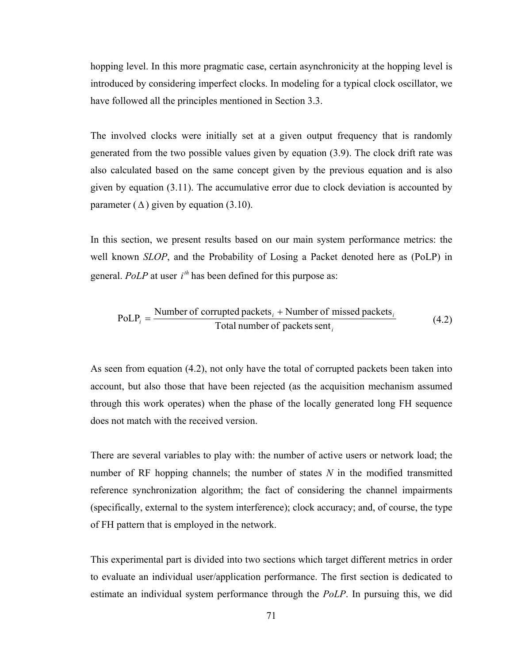hopping level. In this more pragmatic case, certain asynchronicity at the hopping level is introduced by considering imperfect clocks. In modeling for a typical clock oscillator, we have followed all the principles mentioned in Section 3.3.

The involved clocks were initially set at a given output frequency that is randomly generated from the two possible values given by equation (3.9). The clock drift rate was also calculated based on the same concept given by the previous equation and is also given by equation (3.11). The accumulative error due to clock deviation is accounted by parameter  $(\Delta)$  given by equation (3.10).

In this section, we present results based on our main system performance metrics: the well known *SLOP*, and the Probability of Losing a Packet denoted here as (PoLP) in general. *PoLP* at user  $i^{th}$  has been defined for this purpose as:

$$
PoLPi = \frac{Number of corrupted packetsi + Number of missed packetsi}{Total number of packets senti}
$$
 (4.2)

As seen from equation (4.2), not only have the total of corrupted packets been taken into account, but also those that have been rejected (as the acquisition mechanism assumed through this work operates) when the phase of the locally generated long FH sequence does not match with the received version.

There are several variables to play with: the number of active users or network load; the number of RF hopping channels; the number of states *N* in the modified transmitted reference synchronization algorithm; the fact of considering the channel impairments (specifically, external to the system interference); clock accuracy; and, of course, the type of FH pattern that is employed in the network.

This experimental part is divided into two sections which target different metrics in order to evaluate an individual user/application performance. The first section is dedicated to estimate an individual system performance through the *PoLP*. In pursuing this, we did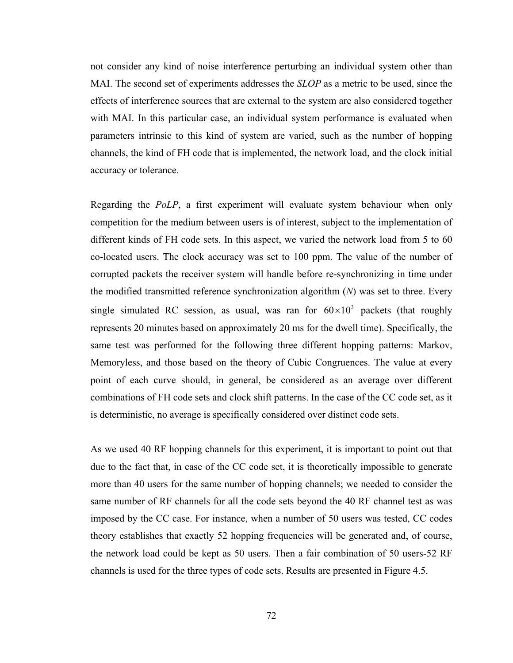not consider any kind of noise interference perturbing an individual system other than MAI. The second set of experiments addresses the *SLOP* as a metric to be used, since the effects of interference sources that are external to the system are also considered together with MAI. In this particular case, an individual system performance is evaluated when parameters intrinsic to this kind of system are varied, such as the number of hopping channels, the kind of FH code that is implemented, the network load, and the clock initial accuracy or tolerance.

Regarding the *PoLP*, a first experiment will evaluate system behaviour when only competition for the medium between users is of interest, subject to the implementation of different kinds of FH code sets. In this aspect, we varied the network load from 5 to 60 co-located users. The clock accuracy was set to 100 ppm. The value of the number of corrupted packets the receiver system will handle before re-synchronizing in time under the modified transmitted reference synchronization algorithm (*N*) was set to three. Every single simulated RC session, as usual, was ran for  $60 \times 10^3$  packets (that roughly represents 20 minutes based on approximately 20 ms for the dwell time). Specifically, the same test was performed for the following three different hopping patterns: Markov, Memoryless, and those based on the theory of Cubic Congruences. The value at every point of each curve should, in general, be considered as an average over different combinations of FH code sets and clock shift patterns. In the case of the CC code set, as it is deterministic, no average is specifically considered over distinct code sets.

As we used 40 RF hopping channels for this experiment, it is important to point out that due to the fact that, in case of the CC code set, it is theoretically impossible to generate more than 40 users for the same number of hopping channels; we needed to consider the same number of RF channels for all the code sets beyond the 40 RF channel test as was imposed by the CC case. For instance, when a number of 50 users was tested, CC codes theory establishes that exactly 52 hopping frequencies will be generated and, of course, the network load could be kept as 50 users. Then a fair combination of 50 users-52 RF channels is used for the three types of code sets. Results are presented in Figure 4.5.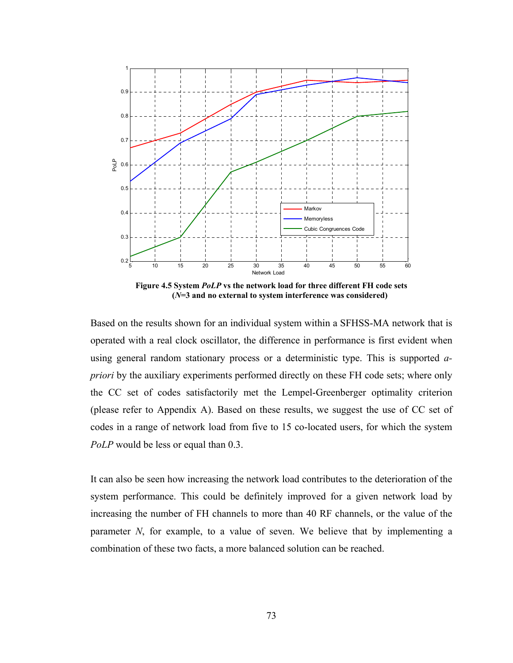

**Figure 4.5 System** *PoLP* **vs the network load for three different FH code sets (***N***=3 and no external to system interference was considered)** 

Based on the results shown for an individual system within a SFHSS-MA network that is operated with a real clock oscillator, the difference in performance is first evident when using general random stationary process or a deterministic type. This is supported *apriori* by the auxiliary experiments performed directly on these FH code sets; where only the CC set of codes satisfactorily met the Lempel-Greenberger optimality criterion (please refer to Appendix A). Based on these results, we suggest the use of CC set of codes in a range of network load from five to 15 co-located users, for which the system *PoLP* would be less or equal than 0.3.

It can also be seen how increasing the network load contributes to the deterioration of the system performance. This could be definitely improved for a given network load by increasing the number of FH channels to more than 40 RF channels, or the value of the parameter *N*, for example, to a value of seven. We believe that by implementing a combination of these two facts, a more balanced solution can be reached.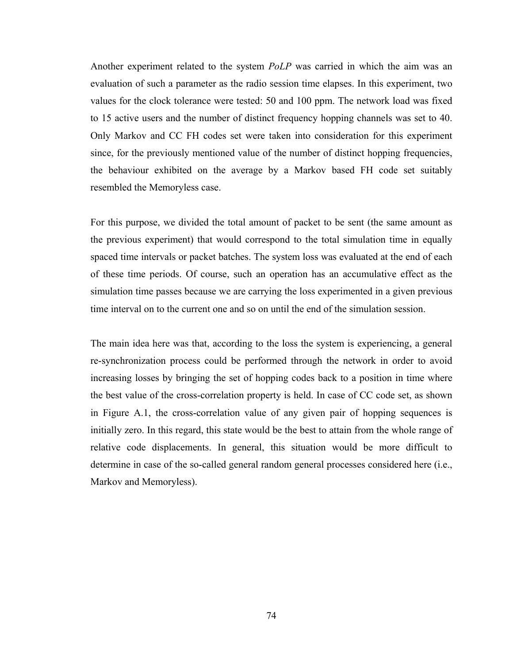Another experiment related to the system *PoLP* was carried in which the aim was an evaluation of such a parameter as the radio session time elapses. In this experiment, two values for the clock tolerance were tested: 50 and 100 ppm. The network load was fixed to 15 active users and the number of distinct frequency hopping channels was set to 40. Only Markov and CC FH codes set were taken into consideration for this experiment since, for the previously mentioned value of the number of distinct hopping frequencies, the behaviour exhibited on the average by a Markov based FH code set suitably resembled the Memoryless case.

For this purpose, we divided the total amount of packet to be sent (the same amount as the previous experiment) that would correspond to the total simulation time in equally spaced time intervals or packet batches. The system loss was evaluated at the end of each of these time periods. Of course, such an operation has an accumulative effect as the simulation time passes because we are carrying the loss experimented in a given previous time interval on to the current one and so on until the end of the simulation session.

The main idea here was that, according to the loss the system is experiencing, a general re-synchronization process could be performed through the network in order to avoid increasing losses by bringing the set of hopping codes back to a position in time where the best value of the cross-correlation property is held. In case of CC code set, as shown in Figure A.1, the cross-correlation value of any given pair of hopping sequences is initially zero. In this regard, this state would be the best to attain from the whole range of relative code displacements. In general, this situation would be more difficult to determine in case of the so-called general random general processes considered here (i.e., Markov and Memoryless).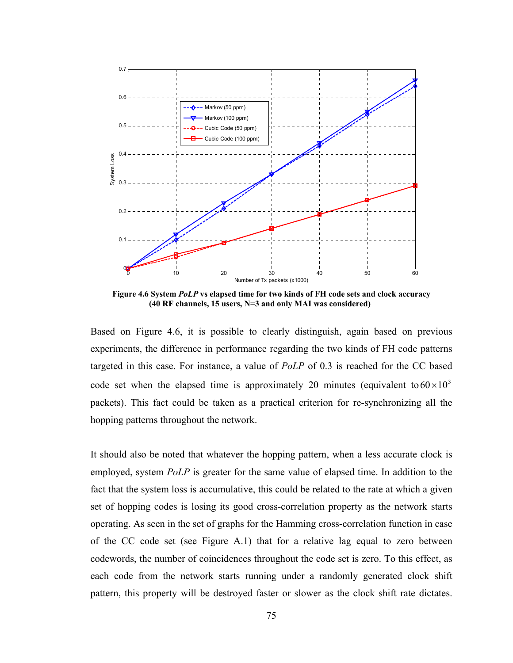

**Figure 4.6 System** *PoLP* **vs elapsed time for two kinds of FH code sets and clock accuracy (40 RF channels, 15 users, N=3 and only MAI was considered)** 

Based on Figure 4.6, it is possible to clearly distinguish, again based on previous experiments, the difference in performance regarding the two kinds of FH code patterns targeted in this case. For instance, a value of *PoLP* of 0.3 is reached for the CC based code set when the elapsed time is approximately 20 minutes (equivalent to  $60 \times 10^3$ packets). This fact could be taken as a practical criterion for re-synchronizing all the hopping patterns throughout the network.

It should also be noted that whatever the hopping pattern, when a less accurate clock is employed, system *PoLP* is greater for the same value of elapsed time. In addition to the fact that the system loss is accumulative, this could be related to the rate at which a given set of hopping codes is losing its good cross-correlation property as the network starts operating. As seen in the set of graphs for the Hamming cross-correlation function in case of the CC code set (see Figure A.1) that for a relative lag equal to zero between codewords, the number of coincidences throughout the code set is zero. To this effect, as each code from the network starts running under a randomly generated clock shift pattern, this property will be destroyed faster or slower as the clock shift rate dictates.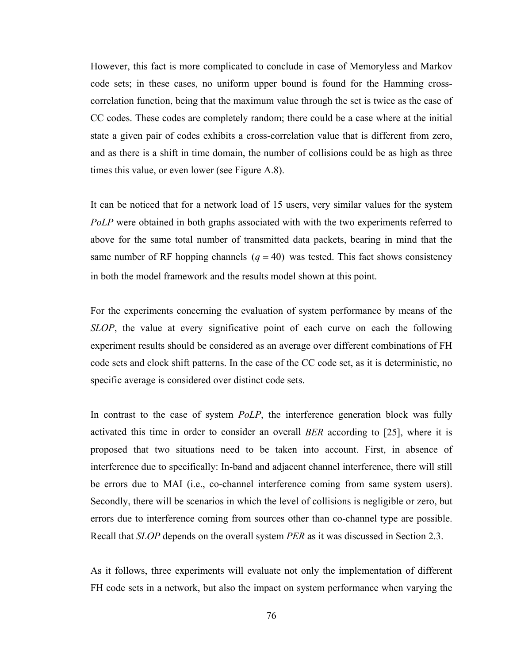However, this fact is more complicated to conclude in case of Memoryless and Markov code sets; in these cases, no uniform upper bound is found for the Hamming crosscorrelation function, being that the maximum value through the set is twice as the case of CC codes. These codes are completely random; there could be a case where at the initial state a given pair of codes exhibits a cross-correlation value that is different from zero, and as there is a shift in time domain, the number of collisions could be as high as three times this value, or even lower (see Figure A.8).

It can be noticed that for a network load of 15 users, very similar values for the system *PoLP* were obtained in both graphs associated with with the two experiments referred to above for the same total number of transmitted data packets, bearing in mind that the same number of RF hopping channels  $(q = 40)$  was tested. This fact shows consistency in both the model framework and the results model shown at this point.

For the experiments concerning the evaluation of system performance by means of the *SLOP*, the value at every significative point of each curve on each the following experiment results should be considered as an average over different combinations of FH code sets and clock shift patterns. In the case of the CC code set, as it is deterministic, no specific average is considered over distinct code sets.

In contrast to the case of system *PoLP*, the interference generation block was fully activated this time in order to consider an overall *BER* according to [25], where it is proposed that two situations need to be taken into account. First, in absence of interference due to specifically: In-band and adjacent channel interference, there will still be errors due to MAI (i.e., co-channel interference coming from same system users). Secondly, there will be scenarios in which the level of collisions is negligible or zero, but errors due to interference coming from sources other than co-channel type are possible. Recall that *SLOP* depends on the overall system *PER* as it was discussed in Section 2.3.

As it follows, three experiments will evaluate not only the implementation of different FH code sets in a network, but also the impact on system performance when varying the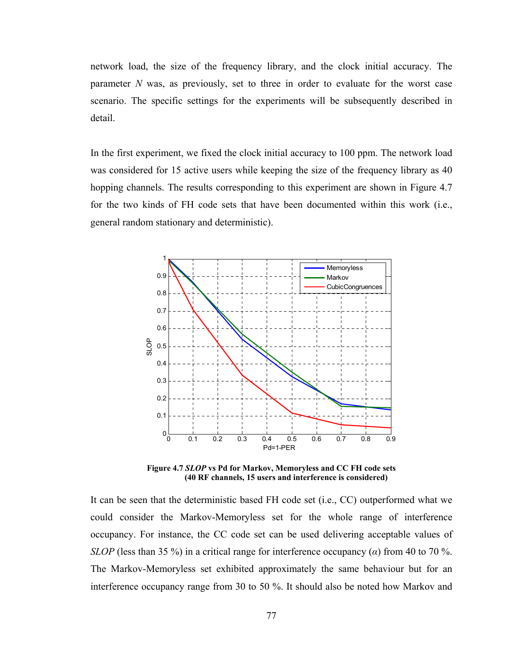network load, the size of the frequency library, and the clock initial accuracy. The parameter *N* was, as previously, set to three in order to evaluate for the worst case scenario. The specific settings for the experiments will be subsequently described in detail.

In the first experiment, we fixed the clock initial accuracy to 100 ppm. The network load was considered for 15 active users while keeping the size of the frequency library as 40 hopping channels. The results corresponding to this experiment are shown in Figure 4.7 for the two kinds of FH code sets that have been documented within this work (i.e., general random stationary and deterministic).



**Figure 4.7** *SLOP* **vs Pd for Markov, Memoryless and CC FH code sets (40 RF channels, 15 users and interference is considered)** 

It can be seen that the deterministic based FH code set (i.e., CC) outperformed what we could consider the Markov-Memoryless set for the whole range of interference occupancy. For instance, the CC code set can be used delivering acceptable values of *SLOP* (less than 35 %) in a critical range for interference occupancy (*α*) from 40 to 70 %. The Markov-Memoryless set exhibited approximately the same behaviour but for an interference occupancy range from 30 to 50 %. It should also be noted how Markov and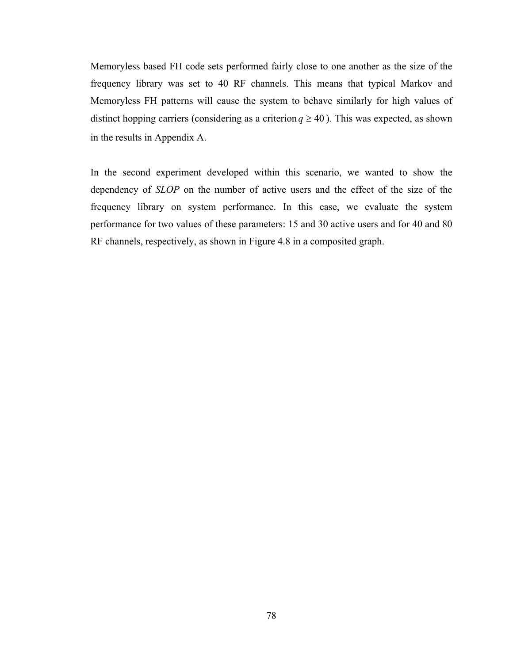Memoryless based FH code sets performed fairly close to one another as the size of the frequency library was set to 40 RF channels. This means that typical Markov and Memoryless FH patterns will cause the system to behave similarly for high values of distinct hopping carriers (considering as a criterion  $q \ge 40$ ). This was expected, as shown in the results in Appendix A.

In the second experiment developed within this scenario, we wanted to show the dependency of *SLOP* on the number of active users and the effect of the size of the frequency library on system performance. In this case, we evaluate the system performance for two values of these parameters: 15 and 30 active users and for 40 and 80 RF channels, respectively, as shown in Figure 4.8 in a composited graph.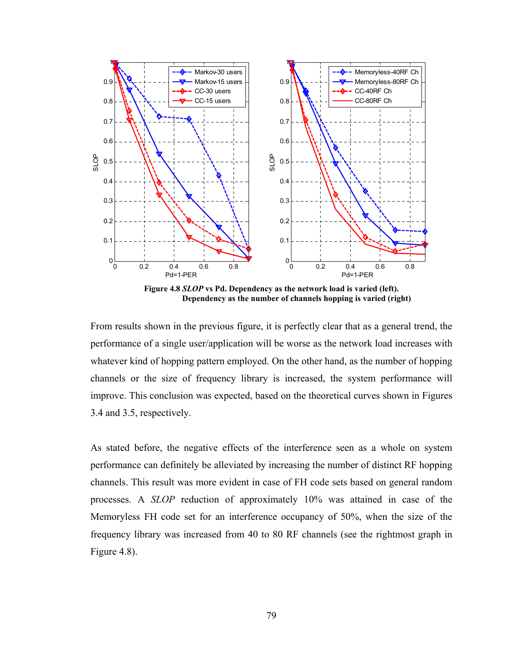

**Figure 4.8** *SLOP* **vs Pd. Dependency as the network load is varied (left). Dependency as the number of channels hopping is varied (right)** 

From results shown in the previous figure, it is perfectly clear that as a general trend, the performance of a single user/application will be worse as the network load increases with whatever kind of hopping pattern employed. On the other hand, as the number of hopping channels or the size of frequency library is increased, the system performance will improve. This conclusion was expected, based on the theoretical curves shown in Figures 3.4 and 3.5, respectively.

As stated before, the negative effects of the interference seen as a whole on system performance can definitely be alleviated by increasing the number of distinct RF hopping channels. This result was more evident in case of FH code sets based on general random processes. A *SLOP* reduction of approximately 10% was attained in case of the Memoryless FH code set for an interference occupancy of 50%, when the size of the frequency library was increased from 40 to 80 RF channels (see the rightmost graph in Figure 4.8).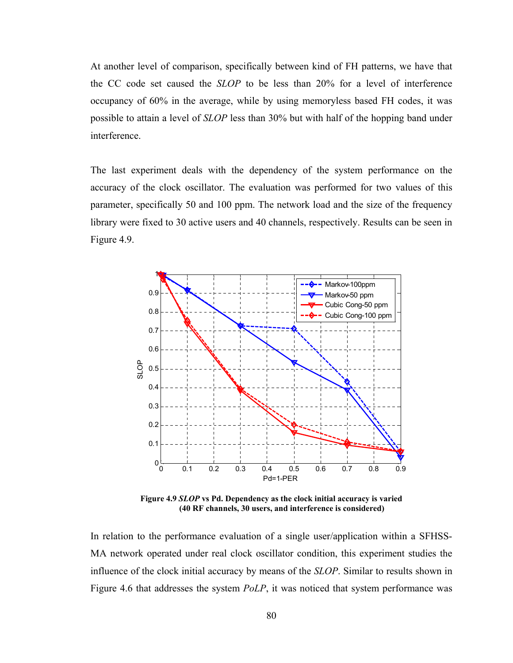At another level of comparison, specifically between kind of FH patterns, we have that the CC code set caused the *SLOP* to be less than 20% for a level of interference occupancy of 60% in the average, while by using memoryless based FH codes, it was possible to attain a level of *SLOP* less than 30% but with half of the hopping band under interference.

The last experiment deals with the dependency of the system performance on the accuracy of the clock oscillator. The evaluation was performed for two values of this parameter, specifically 50 and 100 ppm. The network load and the size of the frequency library were fixed to 30 active users and 40 channels, respectively. Results can be seen in Figure 4.9.



**Figure 4.9** *SLOP* **vs Pd. Dependency as the clock initial accuracy is varied (40 RF channels, 30 users, and interference is considered)** 

In relation to the performance evaluation of a single user/application within a SFHSS-MA network operated under real clock oscillator condition, this experiment studies the influence of the clock initial accuracy by means of the *SLOP*. Similar to results shown in Figure 4.6 that addresses the system *PoLP*, it was noticed that system performance was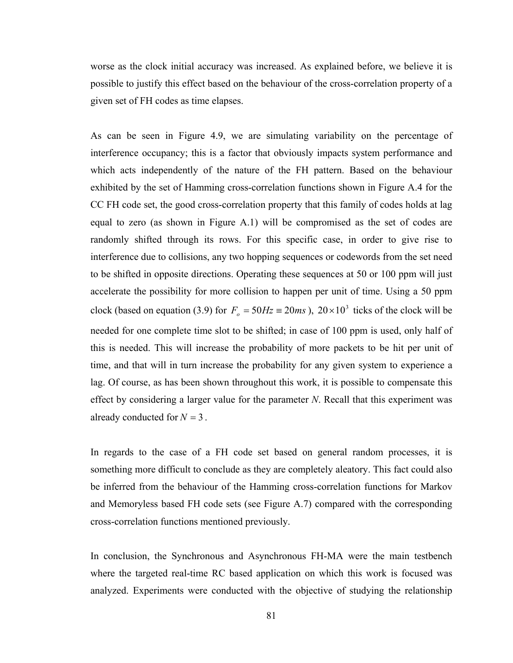worse as the clock initial accuracy was increased. As explained before, we believe it is possible to justify this effect based on the behaviour of the cross-correlation property of a given set of FH codes as time elapses.

As can be seen in Figure 4.9, we are simulating variability on the percentage of interference occupancy; this is a factor that obviously impacts system performance and which acts independently of the nature of the FH pattern. Based on the behaviour exhibited by the set of Hamming cross-correlation functions shown in Figure A.4 for the CC FH code set, the good cross-correlation property that this family of codes holds at lag equal to zero (as shown in Figure A.1) will be compromised as the set of codes are randomly shifted through its rows. For this specific case, in order to give rise to interference due to collisions, any two hopping sequences or codewords from the set need to be shifted in opposite directions. Operating these sequences at 50 or 100 ppm will just accelerate the possibility for more collision to happen per unit of time. Using a 50 ppm clock (based on equation (3.9) for  $F_o = 50Hz \equiv 20ms$ ),  $20 \times 10^3$  ticks of the clock will be needed for one complete time slot to be shifted; in case of 100 ppm is used, only half of this is needed. This will increase the probability of more packets to be hit per unit of time, and that will in turn increase the probability for any given system to experience a lag. Of course, as has been shown throughout this work, it is possible to compensate this effect by considering a larger value for the parameter *N*. Recall that this experiment was already conducted for  $N = 3$ .

In regards to the case of a FH code set based on general random processes, it is something more difficult to conclude as they are completely aleatory. This fact could also be inferred from the behaviour of the Hamming cross-correlation functions for Markov and Memoryless based FH code sets (see Figure A.7) compared with the corresponding cross-correlation functions mentioned previously.

In conclusion, the Synchronous and Asynchronous FH-MA were the main testbench where the targeted real-time RC based application on which this work is focused was analyzed. Experiments were conducted with the objective of studying the relationship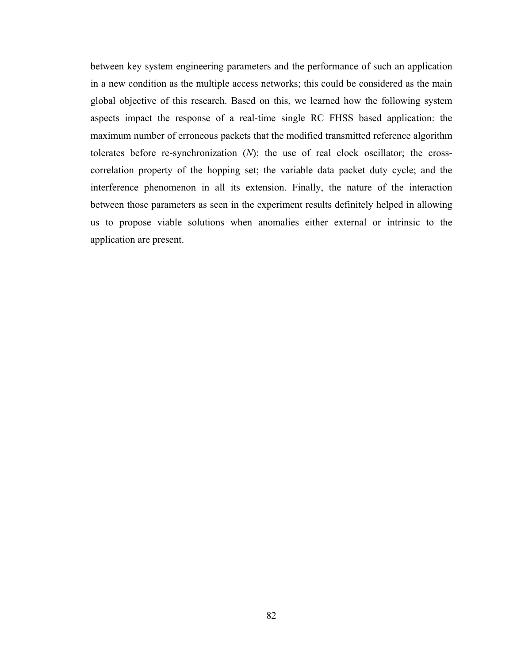between key system engineering parameters and the performance of such an application in a new condition as the multiple access networks; this could be considered as the main global objective of this research. Based on this, we learned how the following system aspects impact the response of a real-time single RC FHSS based application: the maximum number of erroneous packets that the modified transmitted reference algorithm tolerates before re-synchronization (*N*); the use of real clock oscillator; the crosscorrelation property of the hopping set; the variable data packet duty cycle; and the interference phenomenon in all its extension. Finally, the nature of the interaction between those parameters as seen in the experiment results definitely helped in allowing us to propose viable solutions when anomalies either external or intrinsic to the application are present.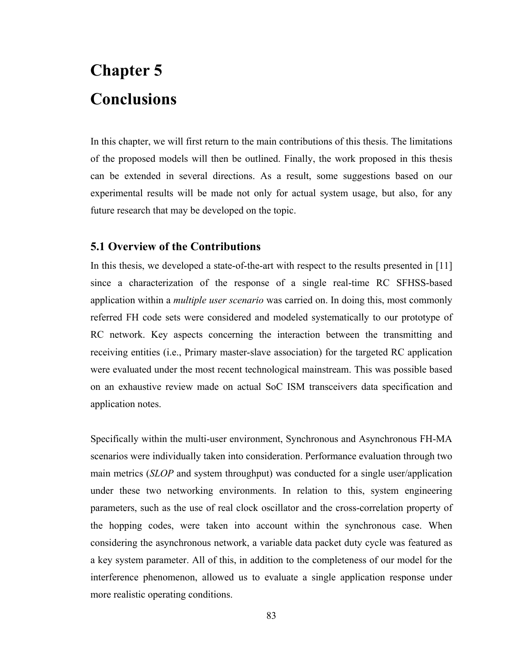# **Chapter 5 Conclusions**

In this chapter, we will first return to the main contributions of this thesis. The limitations of the proposed models will then be outlined. Finally, the work proposed in this thesis can be extended in several directions. As a result, some suggestions based on our experimental results will be made not only for actual system usage, but also, for any future research that may be developed on the topic.

# **5.1 Overview of the Contributions**

In this thesis, we developed a state-of-the-art with respect to the results presented in [11] since a characterization of the response of a single real-time RC SFHSS-based application within a *multiple user scenario* was carried on. In doing this, most commonly referred FH code sets were considered and modeled systematically to our prototype of RC network. Key aspects concerning the interaction between the transmitting and receiving entities (i.e., Primary master-slave association) for the targeted RC application were evaluated under the most recent technological mainstream. This was possible based on an exhaustive review made on actual SoC ISM transceivers data specification and application notes.

Specifically within the multi-user environment, Synchronous and Asynchronous FH-MA scenarios were individually taken into consideration. Performance evaluation through two main metrics (*SLOP* and system throughput) was conducted for a single user/application under these two networking environments. In relation to this, system engineering parameters, such as the use of real clock oscillator and the cross-correlation property of the hopping codes, were taken into account within the synchronous case. When considering the asynchronous network, a variable data packet duty cycle was featured as a key system parameter. All of this, in addition to the completeness of our model for the interference phenomenon, allowed us to evaluate a single application response under more realistic operating conditions.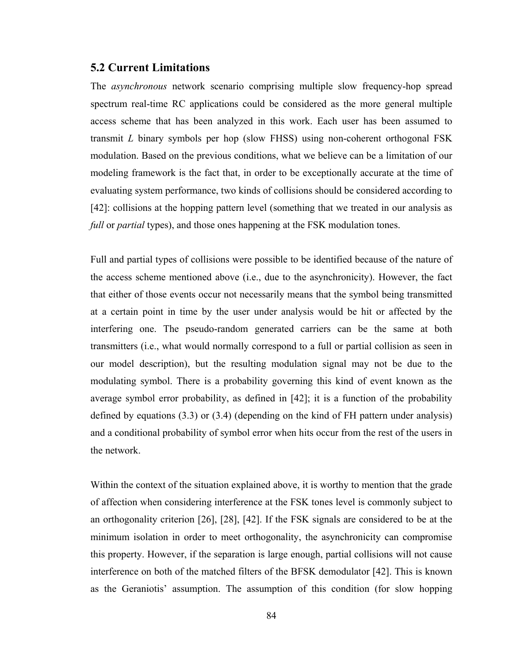### **5.2 Current Limitations**

The *asynchronous* network scenario comprising multiple slow frequency-hop spread spectrum real-time RC applications could be considered as the more general multiple access scheme that has been analyzed in this work. Each user has been assumed to transmit *L* binary symbols per hop (slow FHSS) using non-coherent orthogonal FSK modulation. Based on the previous conditions, what we believe can be a limitation of our modeling framework is the fact that, in order to be exceptionally accurate at the time of evaluating system performance, two kinds of collisions should be considered according to [42]: collisions at the hopping pattern level (something that we treated in our analysis as *full* or *partial* types), and those ones happening at the FSK modulation tones.

Full and partial types of collisions were possible to be identified because of the nature of the access scheme mentioned above (i.e., due to the asynchronicity). However, the fact that either of those events occur not necessarily means that the symbol being transmitted at a certain point in time by the user under analysis would be hit or affected by the interfering one. The pseudo-random generated carriers can be the same at both transmitters (i.e., what would normally correspond to a full or partial collision as seen in our model description), but the resulting modulation signal may not be due to the modulating symbol. There is a probability governing this kind of event known as the average symbol error probability, as defined in [42]; it is a function of the probability defined by equations (3.3) or (3.4) (depending on the kind of FH pattern under analysis) and a conditional probability of symbol error when hits occur from the rest of the users in the network.

Within the context of the situation explained above, it is worthy to mention that the grade of affection when considering interference at the FSK tones level is commonly subject to an orthogonality criterion [26], [28], [42]. If the FSK signals are considered to be at the minimum isolation in order to meet orthogonality, the asynchronicity can compromise this property. However, if the separation is large enough, partial collisions will not cause interference on both of the matched filters of the BFSK demodulator [42]. This is known as the Geraniotis' assumption. The assumption of this condition (for slow hopping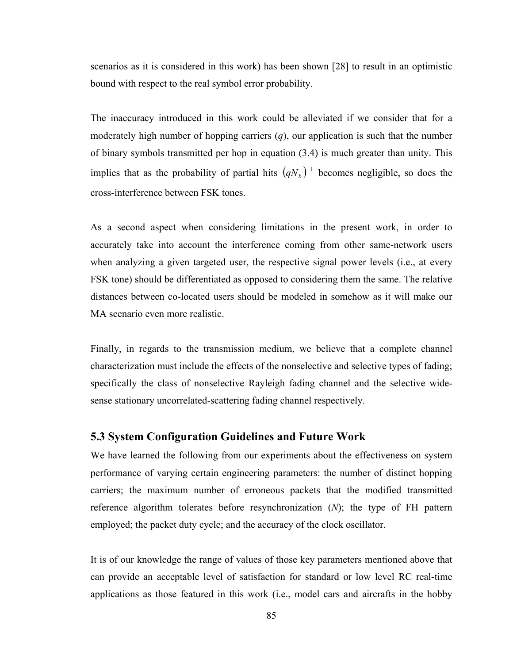scenarios as it is considered in this work) has been shown [28] to result in an optimistic bound with respect to the real symbol error probability.

The inaccuracy introduced in this work could be alleviated if we consider that for a moderately high number of hopping carriers (*q*), our application is such that the number of binary symbols transmitted per hop in equation (3.4) is much greater than unity. This implies that as the probability of partial hits  $(qN_b)^{-1}$  becomes negligible, so does the cross-interference between FSK tones.

As a second aspect when considering limitations in the present work, in order to accurately take into account the interference coming from other same-network users when analyzing a given targeted user, the respective signal power levels (i.e., at every FSK tone) should be differentiated as opposed to considering them the same. The relative distances between co-located users should be modeled in somehow as it will make our MA scenario even more realistic.

Finally, in regards to the transmission medium, we believe that a complete channel characterization must include the effects of the nonselective and selective types of fading; specifically the class of nonselective Rayleigh fading channel and the selective widesense stationary uncorrelated-scattering fading channel respectively.

### **5.3 System Configuration Guidelines and Future Work**

We have learned the following from our experiments about the effectiveness on system performance of varying certain engineering parameters: the number of distinct hopping carriers; the maximum number of erroneous packets that the modified transmitted reference algorithm tolerates before resynchronization (*N*); the type of FH pattern employed; the packet duty cycle; and the accuracy of the clock oscillator.

It is of our knowledge the range of values of those key parameters mentioned above that can provide an acceptable level of satisfaction for standard or low level RC real-time applications as those featured in this work (i.e., model cars and aircrafts in the hobby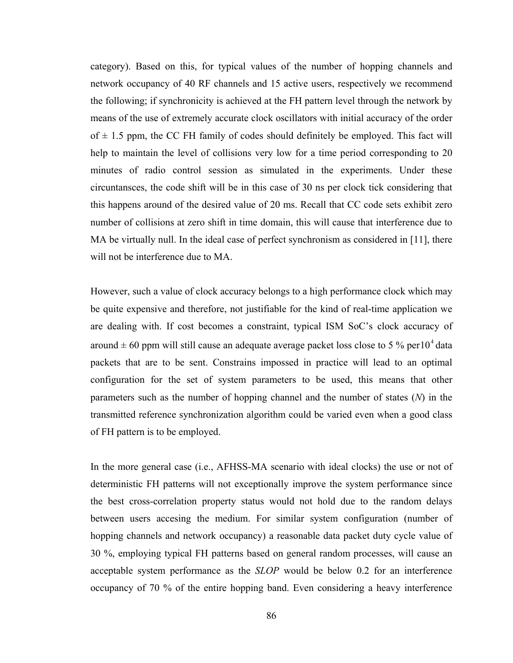category). Based on this, for typical values of the number of hopping channels and network occupancy of 40 RF channels and 15 active users, respectively we recommend the following; if synchronicity is achieved at the FH pattern level through the network by means of the use of extremely accurate clock oscillators with initial accuracy of the order of  $\pm$  1.5 ppm, the CC FH family of codes should definitely be employed. This fact will help to maintain the level of collisions very low for a time period corresponding to 20 minutes of radio control session as simulated in the experiments. Under these circuntansces, the code shift will be in this case of 30 ns per clock tick considering that this happens around of the desired value of 20 ms. Recall that CC code sets exhibit zero number of collisions at zero shift in time domain, this will cause that interference due to MA be virtually null. In the ideal case of perfect synchronism as considered in [11], there will not be interference due to MA.

However, such a value of clock accuracy belongs to a high performance clock which may be quite expensive and therefore, not justifiable for the kind of real-time application we are dealing with. If cost becomes a constraint, typical ISM SoC's clock accuracy of around  $\pm$  60 ppm will still cause an adequate average packet loss close to 5 % per 10<sup>4</sup> data packets that are to be sent. Constrains impossed in practice will lead to an optimal configuration for the set of system parameters to be used, this means that other parameters such as the number of hopping channel and the number of states (*N*) in the transmitted reference synchronization algorithm could be varied even when a good class of FH pattern is to be employed.

In the more general case (i.e., AFHSS-MA scenario with ideal clocks) the use or not of deterministic FH patterns will not exceptionally improve the system performance since the best cross-correlation property status would not hold due to the random delays between users accesing the medium. For similar system configuration (number of hopping channels and network occupancy) a reasonable data packet duty cycle value of 30 %, employing typical FH patterns based on general random processes, will cause an acceptable system performance as the *SLOP* would be below 0.2 for an interference occupancy of 70 % of the entire hopping band. Even considering a heavy interference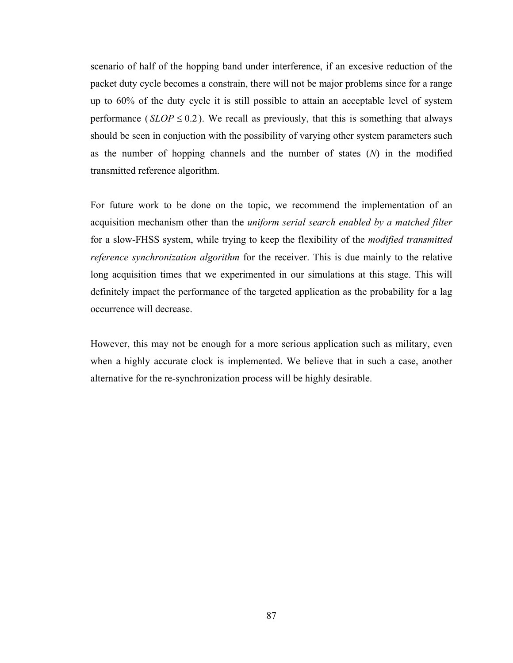scenario of half of the hopping band under interference, if an excesive reduction of the packet duty cycle becomes a constrain, there will not be major problems since for a range up to 60% of the duty cycle it is still possible to attain an acceptable level of system performance ( $SLOP \leq 0.2$ ). We recall as previously, that this is something that always should be seen in conjuction with the possibility of varying other system parameters such as the number of hopping channels and the number of states (*N*) in the modified transmitted reference algorithm.

For future work to be done on the topic, we recommend the implementation of an acquisition mechanism other than the *uniform serial search enabled by a matched filter* for a slow-FHSS system, while trying to keep the flexibility of the *modified transmitted reference synchronization algorithm* for the receiver. This is due mainly to the relative long acquisition times that we experimented in our simulations at this stage. This will definitely impact the performance of the targeted application as the probability for a lag occurrence will decrease.

However, this may not be enough for a more serious application such as military, even when a highly accurate clock is implemented. We believe that in such a case, another alternative for the re-synchronization process will be highly desirable.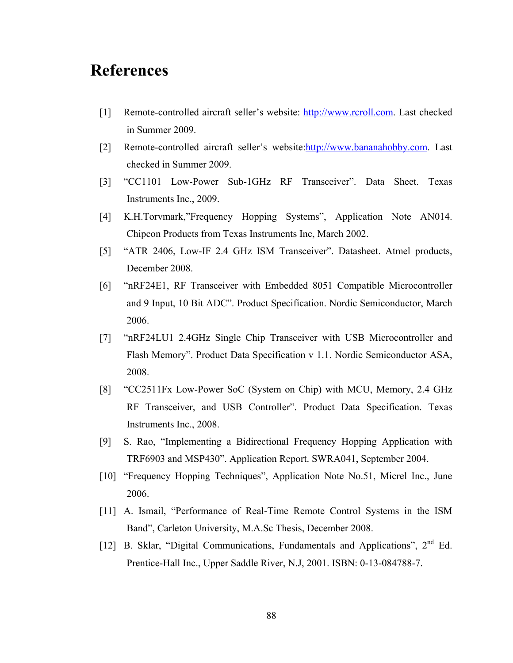# **References**

- [1] Remote-controlled aircraft seller's website: [http://www.rcroll.com](http://www.rcroll.com/). Last checked in Summer 2009.
- [2] Remote-controlled aircraft seller's website[:http://www.bananahobby.com](http://www.bananahobby.com/). Last checked in Summer 2009.
- [3] "CC1101 Low-Power Sub-1GHz RF Transceiver". Data Sheet. Texas Instruments Inc., 2009.
- [4] K.H.Torvmark,"Frequency Hopping Systems", Application Note AN014. Chipcon Products from Texas Instruments Inc, March 2002.
- [5] "ATR 2406, Low-IF 2.4 GHz ISM Transceiver". Datasheet. Atmel products, December 2008.
- [6] "nRF24E1, RF Transceiver with Embedded 8051 Compatible Microcontroller and 9 Input, 10 Bit ADC". Product Specification. Nordic Semiconductor, March 2006.
- [7] "nRF24LU1 2.4GHz Single Chip Transceiver with USB Microcontroller and Flash Memory". Product Data Specification v 1.1. Nordic Semiconductor ASA, 2008.
- [8] "CC2511Fx Low-Power SoC (System on Chip) with MCU, Memory, 2.4 GHz RF Transceiver, and USB Controller". Product Data Specification. Texas Instruments Inc., 2008.
- [9] S. Rao, "Implementing a Bidirectional Frequency Hopping Application with TRF6903 and MSP430". Application Report. SWRA041, September 2004.
- [10] "Frequency Hopping Techniques", Application Note No.51, Micrel Inc., June 2006.
- [11] A. Ismail, "Performance of Real-Time Remote Control Systems in the ISM Band", Carleton University, M.A.Sc Thesis, December 2008.
- [12] B. Sklar, "Digital Communications, Fundamentals and Applications", 2<sup>nd</sup> Ed. Prentice-Hall Inc., Upper Saddle River, N.J, 2001. ISBN: 0-13-084788-7.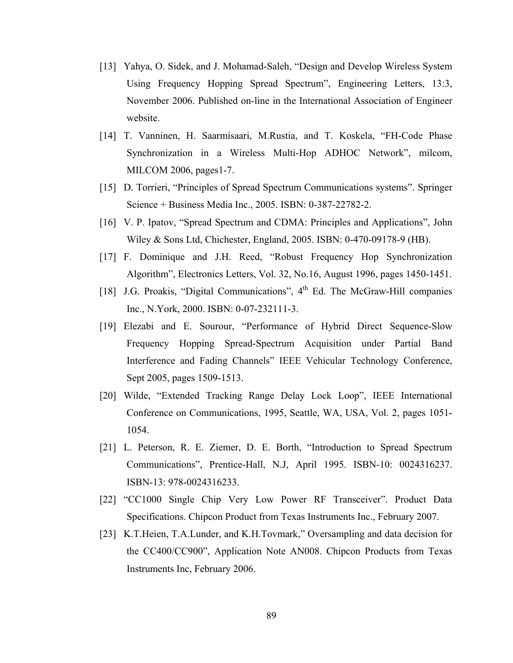- [13] Yahya, O. Sidek, and J. Mohamad-Saleh, "Design and Develop Wireless System Using Frequency Hopping Spread Spectrum", Engineering Letters, 13:3, November 2006. Published on-line in the International Association of Engineer website.
- [14] T. Vanninen, H. Saarmisaari, M.Rustia, and T. Koskela, "FH-Code Phase Synchronization in a Wireless Multi-Hop ADHOC Network", milcom, MILCOM 2006, pages1-7.
- [15] D. Torrieri, "Principles of Spread Spectrum Communications systems". Springer Science + Business Media Inc., 2005. ISBN: 0-387-22782-2.
- [16] V. P. Ipatov, "Spread Spectrum and CDMA: Principles and Applications", John Wiley & Sons Ltd, Chichester, England, 2005. ISBN: 0-470-09178-9 (HB).
- [17] F. Dominique and J.H. Reed, "Robust Frequency Hop Synchronization Algorithm", Electronics Letters, Vol. 32, No.16, August 1996, pages 1450-1451.
- [18] J.G. Proakis, "Digital Communications",  $4<sup>th</sup>$  Ed. The McGraw-Hill companies Inc., N.York, 2000. ISBN: 0-07-232111-3.
- [19] Elezabi and E. Sourour, "Performance of Hybrid Direct Sequence-Slow Frequency Hopping Spread-Spectrum Acquisition under Partial Band Interference and Fading Channels" IEEE Vehicular Technology Conference, Sept 2005, pages 1509-1513.
- [20] Wilde, "Extended Tracking Range Delay Lock Loop", IEEE International Conference on Communications, 1995, Seattle, WA, USA, Vol. 2, pages 1051- 1054.
- [21] L. Peterson, R. E. Ziemer, D. E. Borth, "Introduction to Spread Spectrum Communications", Prentice-Hall, N.J, April 1995. ISBN-10: 0024316237. ISBN-13: 978-0024316233.
- [22] "CC1000 Single Chip Very Low Power RF Transceiver". Product Data Specifications. Chipcon Product from Texas Instruments Inc., February 2007.
- [23] K.T.Heien, T.A.Lunder, and K.H.Tovmark," Oversampling and data decision for the CC400/CC900", Application Note AN008. Chipcon Products from Texas Instruments Inc, February 2006.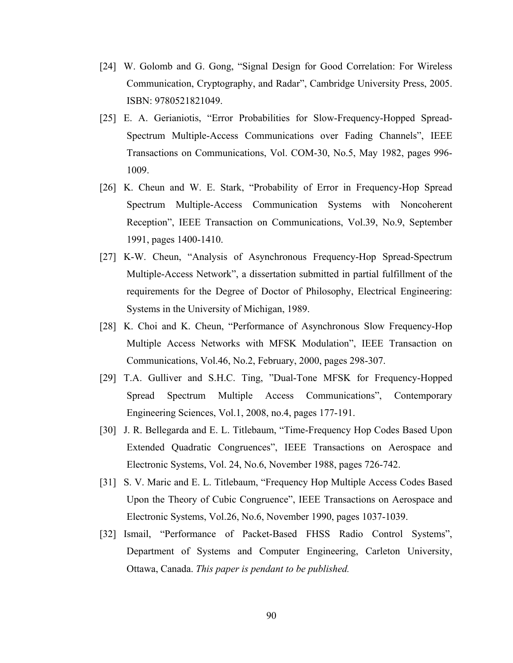- [24] W. Golomb and G. Gong, "Signal Design for Good Correlation: For Wireless Communication, Cryptography, and Radar", Cambridge University Press, 2005. ISBN: 9780521821049.
- [25] E. A. Gerianiotis, "Error Probabilities for Slow-Frequency-Hopped Spread-Spectrum Multiple-Access Communications over Fading Channels", IEEE Transactions on Communications, Vol. COM-30, No.5, May 1982, pages 996- 1009.
- [26] K. Cheun and W. E. Stark, "Probability of Error in Frequency-Hop Spread Spectrum Multiple-Access Communication Systems with Noncoherent Reception", IEEE Transaction on Communications, Vol.39, No.9, September 1991, pages 1400-1410.
- [27] K-W. Cheun, "Analysis of Asynchronous Frequency-Hop Spread-Spectrum Multiple-Access Network", a dissertation submitted in partial fulfillment of the requirements for the Degree of Doctor of Philosophy, Electrical Engineering: Systems in the University of Michigan, 1989.
- [28] K. Choi and K. Cheun, "Performance of Asynchronous Slow Frequency-Hop Multiple Access Networks with MFSK Modulation", IEEE Transaction on Communications, Vol.46, No.2, February, 2000, pages 298-307.
- [29] T.A. Gulliver and S.H.C. Ting, "Dual-Tone MFSK for Frequency-Hopped Spread Spectrum Multiple Access Communications", Contemporary Engineering Sciences, Vol.1, 2008, no.4, pages 177-191.
- [30] J. R. Bellegarda and E. L. Titlebaum, "Time-Frequency Hop Codes Based Upon Extended Quadratic Congruences", IEEE Transactions on Aerospace and Electronic Systems, Vol. 24, No.6, November 1988, pages 726-742.
- [31] S. V. Maric and E. L. Titlebaum, "Frequency Hop Multiple Access Codes Based Upon the Theory of Cubic Congruence", IEEE Transactions on Aerospace and Electronic Systems, Vol.26, No.6, November 1990, pages 1037-1039.
- [32] Ismail, "Performance of Packet-Based FHSS Radio Control Systems", Department of Systems and Computer Engineering, Carleton University, Ottawa, Canada. *This paper is pendant to be published.*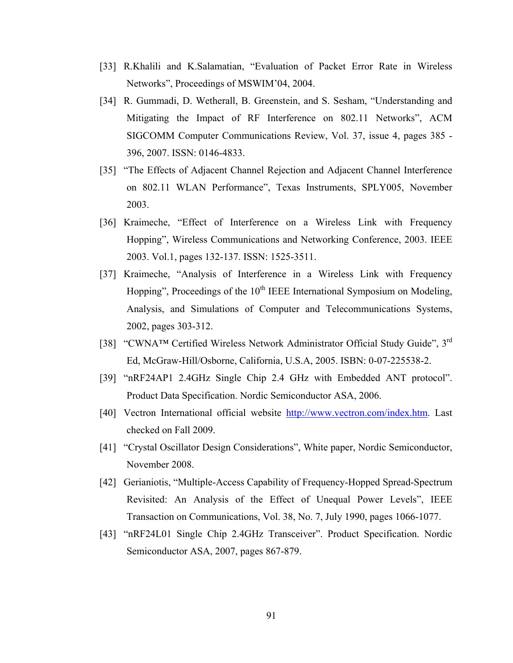- [33] R.Khalili and K.Salamatian, "Evaluation of Packet Error Rate in Wireless Networks", Proceedings of MSWIM'04, 2004.
- [34] R. Gummadi, D. Wetherall, B. Greenstein, and S. Sesham, "Understanding and Mitigating the Impact of RF Interference on 802.11 Networks", ACM SIGCOMM Computer Communications Review, Vol. 37, issue 4, pages 385 - 396, 2007. ISSN: 0146-4833.
- [35] "The Effects of Adjacent Channel Rejection and Adjacent Channel Interference on 802.11 WLAN Performance", Texas Instruments, SPLY005, November 2003.
- [36] Kraimeche, "Effect of Interference on a Wireless Link with Frequency Hopping", Wireless Communications and Networking Conference, 2003. IEEE 2003. Vol.1, pages 132-137. ISSN: 1525-3511.
- [37] Kraimeche, "Analysis of Interference in a Wireless Link with Frequency Hopping", Proceedings of the  $10<sup>th</sup>$  IEEE International Symposium on Modeling, Analysis, and Simulations of Computer and Telecommunications Systems, 2002, pages 303-312.
- [38] "CWNA™ Certified Wireless Network Administrator Official Study Guide", 3<sup>rd</sup> Ed, McGraw-Hill/Osborne, California, U.S.A, 2005. ISBN: 0-07-225538-2.
- [39] "nRF24AP1 2.4GHz Single Chip 2.4 GHz with Embedded ANT protocol". Product Data Specification. Nordic Semiconductor ASA, 2006.
- [40] Vectron International official website [http://www.vectron.com/index.htm.](http://www.vectron.com/index.htm) Last checked on Fall 2009.
- [41] "Crystal Oscillator Design Considerations", White paper, Nordic Semiconductor, November 2008.
- [42] Gerianiotis, "Multiple-Access Capability of Frequency-Hopped Spread-Spectrum Revisited: An Analysis of the Effect of Unequal Power Levels", IEEE Transaction on Communications, Vol. 38, No. 7, July 1990, pages 1066-1077.
- [43] "nRF24L01 Single Chip 2.4GHz Transceiver". Product Specification. Nordic Semiconductor ASA, 2007, pages 867-879.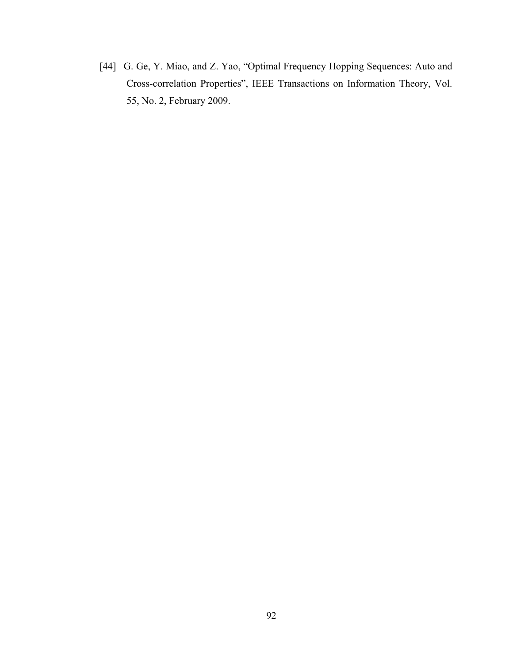[44] G. Ge, Y. Miao, and Z. Yao, "Optimal Frequency Hopping Sequences: Auto and Cross-correlation Properties", IEEE Transactions on Information Theory, Vol. 55, No. 2, February 2009.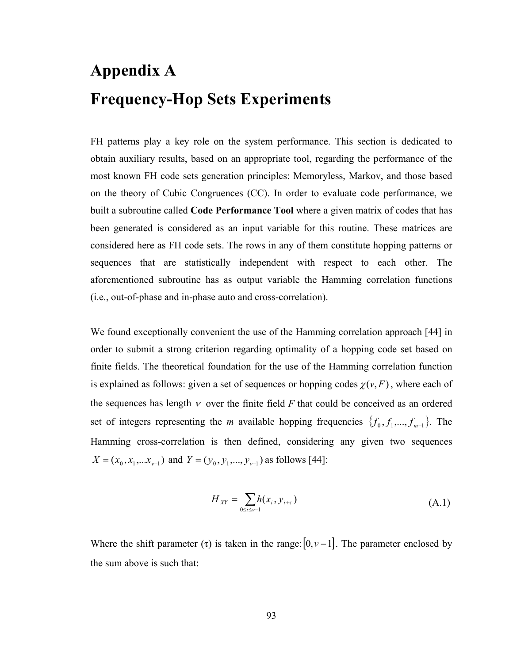# **Appendix A Frequency-Hop Sets Experiments**

FH patterns play a key role on the system performance. This section is dedicated to obtain auxiliary results, based on an appropriate tool, regarding the performance of the most known FH code sets generation principles: Memoryless, Markov, and those based on the theory of Cubic Congruences (CC). In order to evaluate code performance, we built a subroutine called **Code Performance Tool** where a given matrix of codes that has been generated is considered as an input variable for this routine. These matrices are considered here as FH code sets. The rows in any of them constitute hopping patterns or sequences that are statistically independent with respect to each other. The aforementioned subroutine has as output variable the Hamming correlation functions (i.e., out-of-phase and in-phase auto and cross-correlation).

We found exceptionally convenient the use of the Hamming correlation approach [44] in order to submit a strong criterion regarding optimality of a hopping code set based on finite fields. The theoretical foundation for the use of the Hamming correlation function is explained as follows: given a set of sequences or hopping codes  $\chi(\nu, F)$ , where each of the sequences has length  $\nu$  over the finite field  $F$  that could be conceived as an ordered set of integers representing the *m* available hopping frequencies  $\{f_0, f_1, ..., f_{m-1}\}$ . The Hamming cross-correlation is then defined, considering any given two sequences  $X = (x_0, x_1,...x_{v-1})$  and  $Y = (y_0, y_1,...,y_{v-1})$  as follows [44]:

$$
H_{XY} = \sum_{0 \le i \le v-1} h(x_i, y_{i+\tau})
$$
 (A.1)

Where the shift parameter  $(\tau)$  is taken in the range:  $[0, \nu -1]$ . The parameter enclosed by the sum above is such that: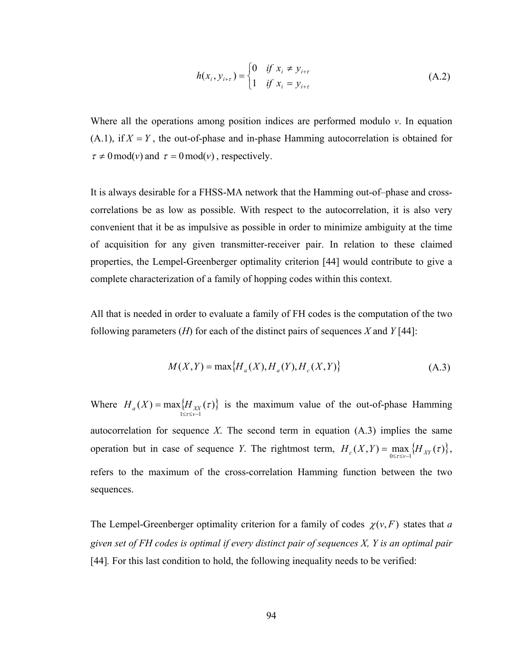$$
h(x_i, y_{i+\tau}) = \begin{cases} 0 & \text{if } x_i \neq y_{i+\tau} \\ 1 & \text{if } x_i = y_{i+\tau} \end{cases}
$$
 (A.2)

Where all the operations among position indices are performed modulo *v*. In equation  $(A.1)$ , if  $X = Y$ , the out-of-phase and in-phase Hamming autocorrelation is obtained for  $\tau \neq 0$  mod(*v*) and  $\tau = 0$  mod(*v*), respectively.

It is always desirable for a FHSS-MA network that the Hamming out-of–phase and crosscorrelations be as low as possible. With respect to the autocorrelation, it is also very convenient that it be as impulsive as possible in order to minimize ambiguity at the time of acquisition for any given transmitter-receiver pair. In relation to these claimed properties, the Lempel-Greenberger optimality criterion [44] would contribute to give a complete characterization of a family of hopping codes within this context.

All that is needed in order to evaluate a family of FH codes is the computation of the two following parameters (*H*) for each of the distinct pairs of sequences *X* and *Y* [44]:

$$
M(X,Y) = \max\{H_a(X), H_a(Y), H_c(X,Y)\}
$$
 (A.3)

Where  $H_a(X) = \max\{$ .  $1 \leq \tau \leq \nu-1$  $(X) = \max\{H_{xx}(\tau)\}$ −≤≤ =  $H_a(X) = \max\{H_{XX}(\tau)\}\$  is the maximum value of the out-of-phase Hamming autocorrelation for sequence *X*. The second term in equation  $(A.3)$  implies the same operation but in case of sequence *Y*. The rightmost term,  $H_c(X,Y) = \max_{0 \le \tau \le v-1} \{H_{XY}(\tau)\},\$ refers to the maximum of the cross-correlation Hamming function between the two sequences.

The Lempel-Greenberger optimality criterion for a family of codes  $\chi(v, F)$  states that *a given set of FH codes is optimal if every distinct pair of sequences X, Y is an optimal pair* [44]*.* For this last condition to hold, the following inequality needs to be verified: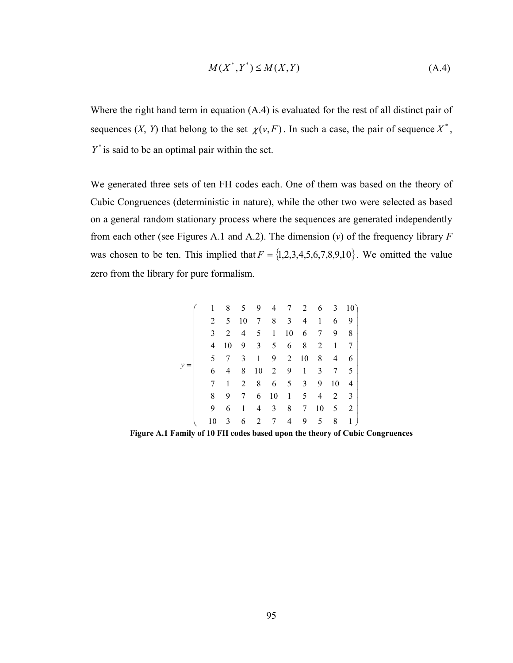$$
M(X^*,Y^*) \le M(X,Y) \tag{A.4}
$$

Where the right hand term in equation (A.4) is evaluated for the rest of all distinct pair of sequences  $(X, Y)$  that belong to the set  $\chi(v, F)$ . In such a case, the pair of sequence  $X^*$ ,  $Y^*$  is said to be an optimal pair within the set.

We generated three sets of ten FH codes each. One of them was based on the theory of Cubic Congruences (deterministic in nature), while the other two were selected as based on a general random stationary process where the sequences are generated independently from each other (see Figures A.1 and A.2). The dimension (*v*) of the frequency library *F*  was chosen to be ten. This implied that  $F = \{1, 2, 3, 4, 5, 6, 7, 8, 9, 10\}$ . We omitted the value zero from the library for pure formalism.

|  | 1  | 8  |                |                |                | 5 9 4 7 2     |                 |                | 6 3            | 10)                     |  |
|--|----|----|----------------|----------------|----------------|---------------|-----------------|----------------|----------------|-------------------------|--|
|  | 2  | 5  | 10             |                |                | 7 8 3 4       |                 | $\mathbf{1}$   | 6              | -9                      |  |
|  | 3  | 2  | $\overline{4}$ | 5 <sup>5</sup> | $\mathbf{1}$   | 10            | 6               | 7              | 9              | 8                       |  |
|  | 4  | 10 | 9              | $\overline{3}$ | 5 <sup>5</sup> | 6             | 8               |                | $2 \quad 1$    | 7                       |  |
|  | 5. | 7  | 3              | $\mathbf{1}$   |                | 9 2 10 8      |                 |                | $\overline{4}$ | 6                       |  |
|  | 6  | 4  | 8              | 10             |                | 2 9           | 1               | 3              | $7\degree$     | $5\overline{)}$         |  |
|  | 7  | 1  | 2              | 8              |                | $6 \t 5 \t 3$ |                 | 9              | 10             | $\overline{\mathbf{4}}$ |  |
|  | 8  | 9  | 7              |                | 6 10           | $\frac{1}{2}$ | 5 <sup>5</sup>  |                | $4\quad 2$     | $\overline{\mathbf{3}}$ |  |
|  | 9  | 6  | 1              | 4              | $\overline{3}$ | 8             | $7\overline{ }$ | 10             | 5 2            |                         |  |
|  | 10 | 3  | 6              |                | $2 \quad 7$    |               | $4\quad 9$      | 5 <sub>5</sub> | 8              | 1                       |  |

**Figure A.1 Family of 10 FH codes based upon the theory of Cubic Congruences**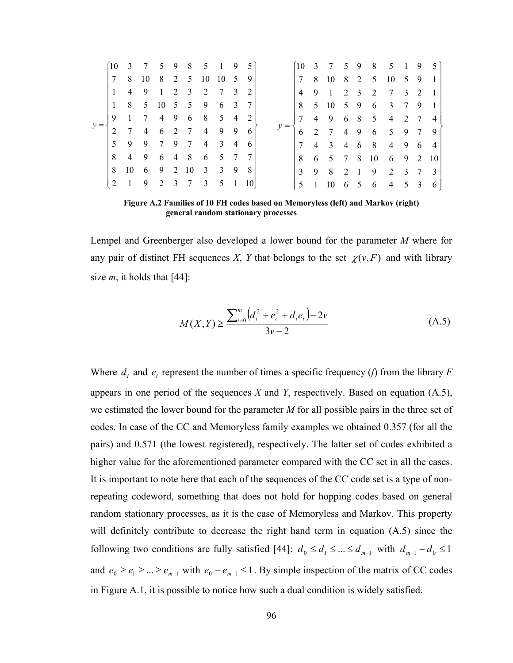|  | 10           |                |   | 3 7 5 9 8 5 1 9                   |  |    | $-5$ |       |                 |                | 10 3 7 5 9 8 5 1 9  |  |     |                     |     |     |
|--|--------------|----------------|---|-----------------------------------|--|----|------|-------|-----------------|----------------|---------------------|--|-----|---------------------|-----|-----|
|  | $\tau$       |                |   | 8 10 8 2 5 10 10 5                |  |    | - 9  |       | $7\phantom{0}$  |                | 8 10 8 2 5 10 5 9 1 |  |     |                     |     |     |
|  | $\mathbf{1}$ | $\overline{4}$ | 9 | 1 2 3 2 7 3                       |  |    | 2    |       | $\overline{4}$  |                | 9 1 2 3 2 7 3 2     |  |     |                     |     |     |
|  | $\mathbf{1}$ |                |   | 8 5 10 5 5 9 6 3                  |  |    |      |       | 8               |                | 5 10 5 9 6 3 7 9    |  |     |                     |     |     |
|  | 9            |                |   | 1 7 4 9 6 8 5 4                   |  |    | 2    |       | $7\phantom{.0}$ |                | 4 9 6 8 5 4 2 7     |  |     |                     |     |     |
|  | 2            |                |   | 7 4 6 2 7 4                       |  | 99 | 6    | $y =$ |                 |                | 2 7 4 9             |  |     | 6 5 9 7             |     | - 9 |
|  | 5            |                |   | 9 9 7 9 7 4 3 4                   |  |    | -6   |       | 7               |                | 4 3 4 6 8 4 9       |  |     |                     | - 6 | -4  |
|  | 8            |                |   | 4 9 6 4 8 6 5 7                   |  |    |      |       | 8               |                | 6 5 7 8             |  | -10 | 6 9 2               |     | -10 |
|  | 8            |                |   | $10 \t6 \t9 \t2 \t10 \t3 \t3 \t9$ |  |    | -8   |       | $\mathcal{E}$   |                | 9 8 2 1             |  | - 9 | 2 3 7 3             |     |     |
|  | 2            | $\overline{1}$ |   | 9 2 3 7 3 5 1                     |  |    |      |       | 5               | $\overline{1}$ | $10 \t 6 \t 5$      |  | - 6 | $4 \quad 5 \quad 3$ |     |     |

**Figure A.2 Families of 10 FH codes based on Memoryless (left) and Markov (right) general random stationary processes** 

Lempel and Greenberger also developed a lower bound for the parameter *M* where for any pair of distinct FH sequences *X*, *Y* that belongs to the set  $\chi(\nu, F)$  and with library size  $m$ , it holds that [44]:

$$
M(X,Y) \ge \frac{\sum_{i=0}^{m} (d_i^2 + e_i^2 + d_i e_i) - 2v}{3v - 2}
$$
 (A.5)

Where  $d_i$  and  $e_i$  represent the number of times a specific frequency (*f*) from the library *F* appears in one period of the sequences *X* and *Y*, respectively. Based on equation (A.5), we estimated the lower bound for the parameter *M* for all possible pairs in the three set of codes. In case of the CC and Memoryless family examples we obtained 0.357 (for all the pairs) and 0.571 (the lowest registered), respectively. The latter set of codes exhibited a higher value for the aforementioned parameter compared with the CC set in all the cases. It is important to note here that each of the sequences of the CC code set is a type of nonrepeating codeword, something that does not hold for hopping codes based on general random stationary processes, as it is the case of Memoryless and Markov. This property will definitely contribute to decrease the right hand term in equation  $(A.5)$  since the following two conditions are fully satisfied [44]:  $d_0 \le d_1 \le ... \le d_{m-1}$  with  $d_{m-1} - d_0 \le 1$ and  $e_0 \ge e_1 \ge ... \ge e_{m-1}$  with  $e_0 - e_{m-1} \le 1$ . By simple inspection of the matrix of CC codes in Figure A.1, it is possible to notice how such a dual condition is widely satisfied.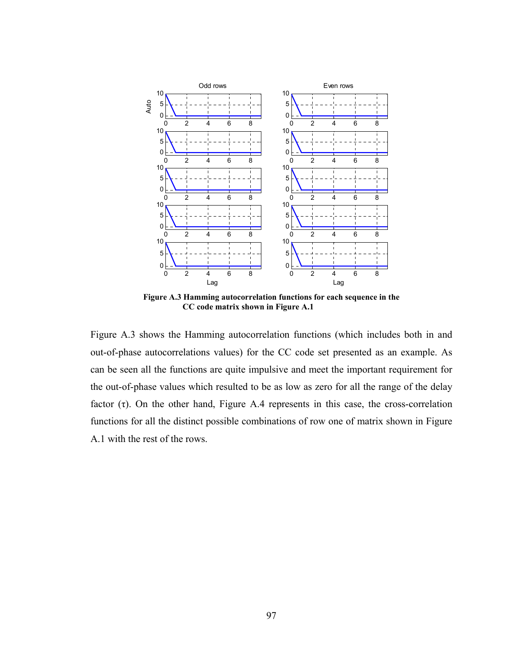

**Figure A.3 Hamming autocorrelation functions for each sequence in the CC code matrix shown in Figure A.1** 

Figure A.3 shows the Hamming autocorrelation functions (which includes both in and out-of-phase autocorrelations values) for the CC code set presented as an example. As can be seen all the functions are quite impulsive and meet the important requirement for the out-of-phase values which resulted to be as low as zero for all the range of the delay factor  $(\tau)$ . On the other hand, Figure A.4 represents in this case, the cross-correlation functions for all the distinct possible combinations of row one of matrix shown in Figure A.1 with the rest of the rows.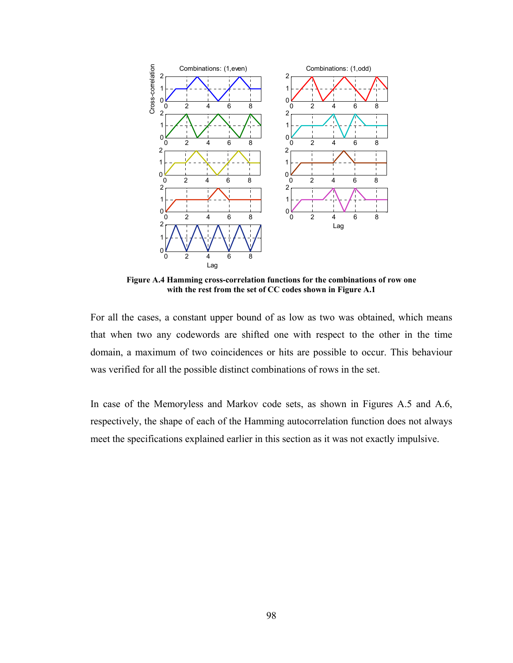

**Figure A.4 Hamming cross-correlation functions for the combinations of row one with the rest from the set of CC codes shown in Figure A.1** 

For all the cases, a constant upper bound of as low as two was obtained, which means that when two any codewords are shifted one with respect to the other in the time domain, a maximum of two coincidences or hits are possible to occur. This behaviour was verified for all the possible distinct combinations of rows in the set.

In case of the Memoryless and Markov code sets, as shown in Figures A.5 and A.6, respectively, the shape of each of the Hamming autocorrelation function does not always meet the specifications explained earlier in this section as it was not exactly impulsive.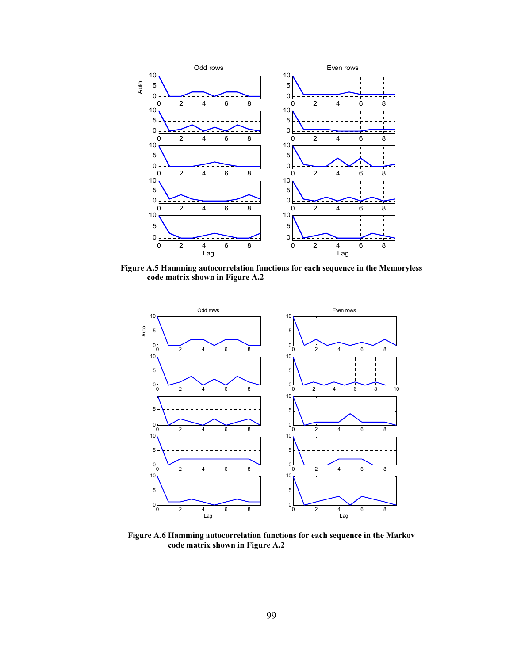

**Figure A.5 Hamming autocorrelation functions for each sequence in the Memoryless code matrix shown in Figure A.2** 



**Figure A.6 Hamming autocorrelation functions for each sequence in the Markov code matrix shown in Figure A.2**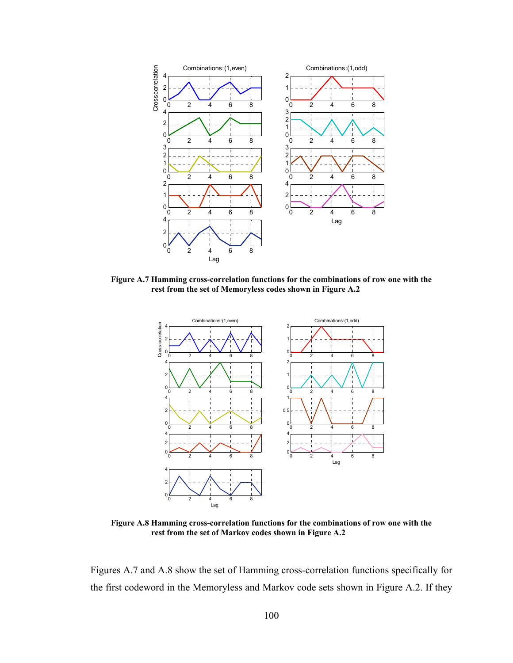

**Figure A.7 Hamming cross-correlation functions for the combinations of row one with the rest from the set of Memoryless codes shown in Figure A.2** 



**Figure A.8 Hamming cross-correlation functions for the combinations of row one with the rest from the set of Markov codes shown in Figure A.2** 

Figures A.7 and A.8 show the set of Hamming cross-correlation functions specifically for the first codeword in the Memoryless and Markov code sets shown in Figure A.2. If they